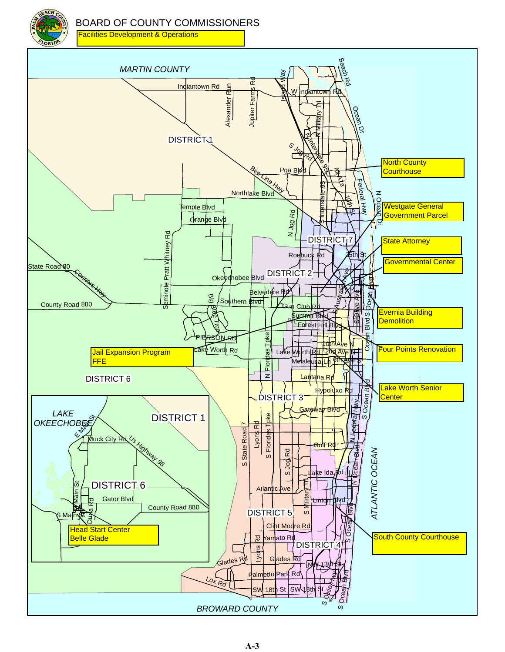



H wy

z Ocean

**North County Courthouse** 

Westgate General Government Parcel

**State Attorney** 

ā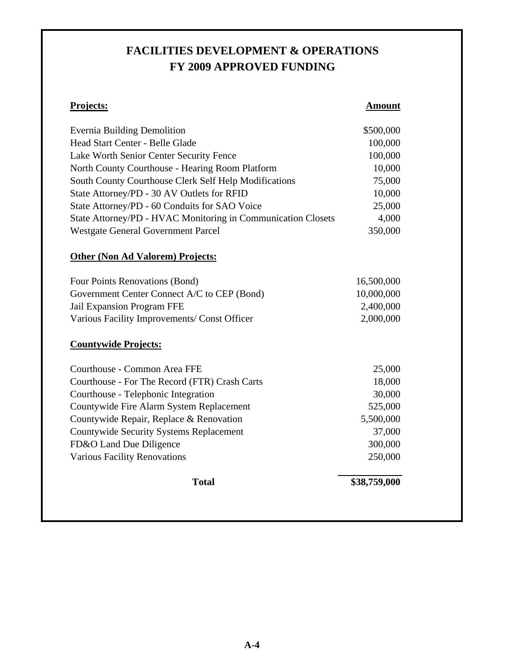#### **FACILITIES DEVELOPMENT & OPERATIONS FY 2009 APPROVED FUNDING**

#### **Projects: Amount**

| <b>Evernia Building Demolition</b>                           | \$500,000 |
|--------------------------------------------------------------|-----------|
| Head Start Center - Belle Glade                              | 100,000   |
| Lake Worth Senior Center Security Fence                      | 100,000   |
| North County Courthouse - Hearing Room Platform              | 10,000    |
| South County Courthouse Clerk Self Help Modifications        | 75,000    |
| State Attorney/PD - 30 AV Outlets for RFID                   | 10,000    |
| State Attorney/PD - 60 Conduits for SAO Voice                | 25,000    |
| State Attorney/PD - HVAC Monitoring in Communication Closets | 4,000     |
| <b>Westgate General Government Parcel</b>                    | 350,000   |

#### **Other (Non Ad Valorem) Projects:**

| Four Points Renovations (Bond)               | 16,500,000 |
|----------------------------------------------|------------|
| Government Center Connect A/C to CEP (Bond)  | 10,000,000 |
| Jail Expansion Program FFE                   | 2,400,000  |
| Various Facility Improvements/ Const Officer | 2,000,000  |

#### **Countywide Projects:**

| Courthouse - Common Area FFE                  | 25,000       |
|-----------------------------------------------|--------------|
| Courthouse - For The Record (FTR) Crash Carts | 18,000       |
| Courthouse - Telephonic Integration           | 30,000       |
| Countywide Fire Alarm System Replacement      | 525,000      |
| Countywide Repair, Replace & Renovation       | 5,500,000    |
| Countywide Security Systems Replacement       | 37,000       |
| FD&O Land Due Diligence                       | 300,000      |
| <b>Various Facility Renovations</b>           | 250,000      |
| Total                                         | \$38,759,000 |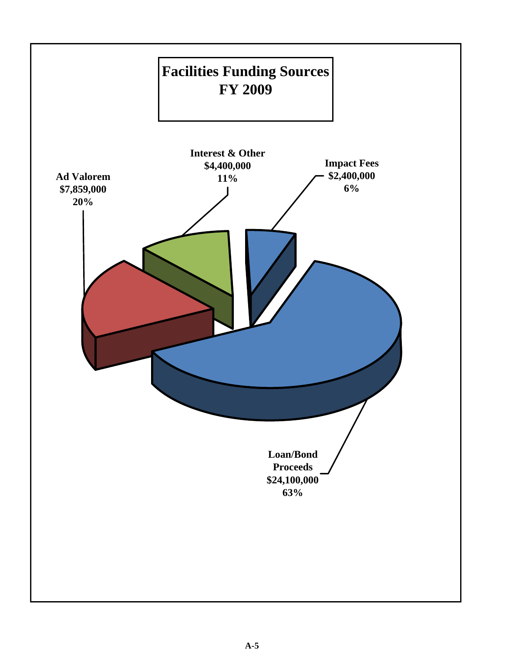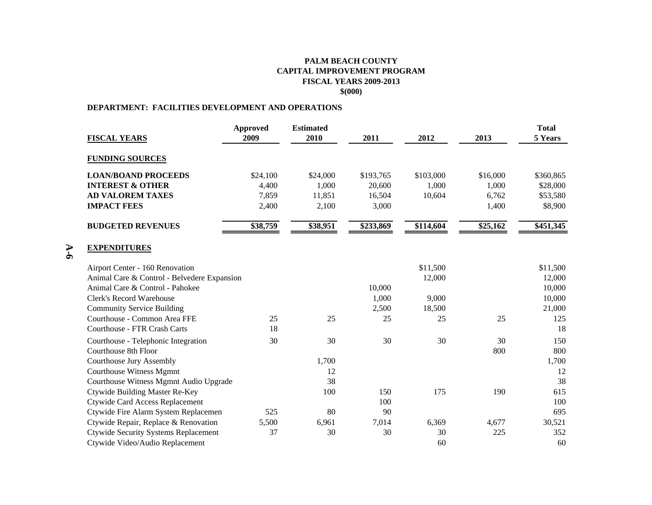#### **PALM BEACH COUNTYCAPITAL IMPROVEMENT PROGRAM FISCAL YEARS 2009-2013 \$(000)**

#### **DEPARTMENT: FACILITIES DEVELOPMENT AND OPERATIONS**

**A-6**

|                                             | <b>Approved</b> | <b>Estimated</b> |           |           |          | <b>Total</b> |
|---------------------------------------------|-----------------|------------------|-----------|-----------|----------|--------------|
| <b>FISCAL YEARS</b>                         | 2009            | 2010             | 2011      | 2012      | 2013     | 5 Years      |
| <b>FUNDING SOURCES</b>                      |                 |                  |           |           |          |              |
| <b>LOAN/BOAND PROCEEDS</b>                  | \$24,100        | \$24,000         | \$193,765 | \$103,000 | \$16,000 | \$360,865    |
| <b>INTEREST &amp; OTHER</b>                 | 4,400           | 1,000            | 20,600    | 1,000     | 1,000    | \$28,000     |
| <b>AD VALOREM TAXES</b>                     | 7,859           | 11,851           | 16,504    | 10,604    | 6,762    | \$53,580     |
| <b>IMPACT FEES</b>                          | 2,400           | 2,100            | 3,000     |           | 1,400    | \$8,900      |
| <b>BUDGETED REVENUES</b>                    | \$38,759        | \$38,951         | \$233,869 | \$114,604 | \$25,162 | \$451,345    |
| <b>EXPENDITURES</b>                         |                 |                  |           |           |          |              |
| Airport Center - 160 Renovation             |                 |                  |           | \$11,500  |          | \$11,500     |
| Animal Care & Control - Belvedere Expansion |                 |                  |           | 12,000    |          | 12,000       |
| Animal Care & Control - Pahokee             |                 |                  | 10,000    |           |          | 10,000       |
| <b>Clerk's Record Warehouse</b>             |                 |                  | 1,000     | 9,000     |          | 10,000       |
| <b>Community Service Building</b>           |                 |                  | 2,500     | 18,500    |          | 21,000       |
| Courthouse - Common Area FFE                | 25              | 25               | 25        | 25        | 25       | 125          |
| <b>Courthouse - FTR Crash Carts</b>         | 18              |                  |           |           |          | 18           |
| Courthouse - Telephonic Integration         | 30              | 30               | 30        | 30        | 30       | 150          |
| Courthouse 8th Floor                        |                 |                  |           |           | 800      | 800          |
| Courthouse Jury Assembly                    |                 | 1,700            |           |           |          | 1,700        |
| <b>Courthouse Witness Mgmnt</b>             |                 | 12               |           |           |          | 12           |
| Courthouse Witness Mgmnt Audio Upgrade      |                 | 38               |           |           |          | 38           |
| <b>Ctywide Building Master Re-Key</b>       |                 | 100              | 150       | 175       | 190      | 615          |
| <b>Ctywide Card Access Replacement</b>      |                 |                  | 100       |           |          | 100          |
| Ctywide Fire Alarm System Replacemen        | 525             | 80               | 90        |           |          | 695          |
| Ctywide Repair, Replace & Renovation        | 5,500           | 6,961            | 7,014     | 6,369     | 4,677    | 30,521       |
| <b>Ctywide Security Systems Replacement</b> | 37              | 30               | 30        | 30        | 225      | 352          |
| Ctywide Video/Audio Replacement             |                 |                  |           | 60        |          | 60           |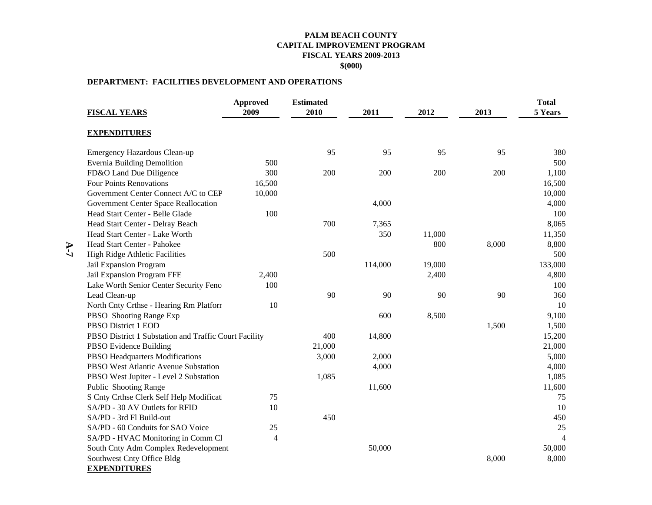#### **PALM BEACH COUNTY CAPITAL IMPROVEMENT PROGRAM FISCAL YEARS 2009-2013 \$(000)**

#### **DEPARTMENT: FACILITIES DEVELOPMENT AND OPERATIONS**

|     | <b>FISCAL YEARS</b>                                   | <b>Approved</b><br>2009 | <b>Estimated</b><br>2010 | 2011    | 2012   | 2013  | <b>Total</b><br>5 Years |
|-----|-------------------------------------------------------|-------------------------|--------------------------|---------|--------|-------|-------------------------|
|     | <b>EXPENDITURES</b>                                   |                         |                          |         |        |       |                         |
|     | Emergency Hazardous Clean-up                          |                         | 95                       | 95      | 95     | 95    | 380                     |
|     | <b>Evernia Building Demolition</b>                    | 500                     |                          |         |        |       | 500                     |
|     | FD&O Land Due Diligence                               | 300                     | 200                      | 200     | 200    | 200   | 1,100                   |
|     | Four Points Renovations                               | 16,500                  |                          |         |        |       | 16,500                  |
|     | Government Center Connect A/C to CEP                  | 10,000                  |                          |         |        |       | 10,000                  |
|     | Government Center Space Reallocation                  |                         |                          | 4,000   |        |       | 4,000                   |
|     | Head Start Center - Belle Glade                       | 100                     |                          |         |        |       | 100                     |
|     | Head Start Center - Delray Beach                      |                         | 700                      | 7,365   |        |       | 8,065                   |
|     | Head Start Center - Lake Worth                        |                         |                          | 350     | 11,000 |       | 11,350                  |
| A-7 | Head Start Center - Pahokee                           |                         |                          |         | 800    | 8,000 | 8,800                   |
|     | <b>High Ridge Athletic Facilities</b>                 |                         | 500                      |         |        |       | 500                     |
|     | Jail Expansion Program                                |                         |                          | 114,000 | 19,000 |       | 133,000                 |
|     | Jail Expansion Program FFE                            | 2,400                   |                          |         | 2,400  |       | 4,800                   |
|     | Lake Worth Senior Center Security Fenc                | 100                     |                          |         |        |       | 100                     |
|     | Lead Clean-up                                         |                         | 90                       | 90      | 90     | 90    | 360                     |
|     | North Cnty Crthse - Hearing Rm Platform               | 10                      |                          |         |        |       | 10                      |
|     | PBSO Shooting Range Exp                               |                         |                          | 600     | 8,500  |       | 9,100                   |
|     | PBSO District 1 EOD                                   |                         |                          |         |        | 1,500 | 1,500                   |
|     | PBSO District 1 Substation and Traffic Court Facility |                         | 400                      | 14,800  |        |       | 15,200                  |
|     | PBSO Evidence Building                                |                         | 21,000                   |         |        |       | 21,000                  |
|     | PBSO Headquarters Modifications                       |                         | 3,000                    | 2,000   |        |       | 5,000                   |
|     | PBSO West Atlantic Avenue Substation                  |                         |                          | 4,000   |        |       | 4,000                   |
|     | PBSO West Jupiter - Level 2 Substation                |                         | 1,085                    |         |        |       | 1,085                   |
|     | Public Shooting Range                                 |                         |                          | 11,600  |        |       | 11,600                  |
|     | S Cnty Crthse Clerk Self Help Modificati              | 75                      |                          |         |        |       | 75                      |
|     | SA/PD - 30 AV Outlets for RFID                        | 10                      |                          |         |        |       | 10                      |
|     | SA/PD - 3rd Fl Build-out                              |                         | 450                      |         |        |       | 450                     |
|     | SA/PD - 60 Conduits for SAO Voice                     | 25                      |                          |         |        |       | 25                      |
|     | SA/PD - HVAC Monitoring in Comm Cl                    | $\overline{4}$          |                          |         |        |       | $\overline{4}$          |
|     | South Cnty Adm Complex Redevelopment                  |                         |                          | 50,000  |        |       | 50,000                  |
|     | Southwest Cnty Office Bldg                            |                         |                          |         |        | 8,000 | 8,000                   |
|     | <b>EXPENDITURES</b>                                   |                         |                          |         |        |       |                         |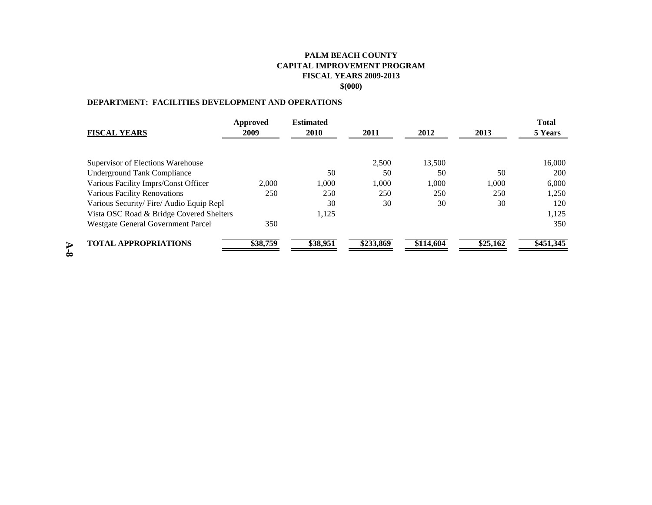#### **PALM BEACH COUNTYCAPITAL IMPROVEMENT PROGRAMFISCAL YEARS 2009-2013 \$(000)**

#### **DEPARTMENT: FACILITIES DEVELOPMENT AND OPERATIONS**

|                                          | Approved | <b>Estimated</b> |           |           |          | <b>Total</b> |
|------------------------------------------|----------|------------------|-----------|-----------|----------|--------------|
| <b>FISCAL YEARS</b>                      | 2009     | 2010             | 2011      | 2012      | 2013     | 5 Years      |
|                                          |          |                  |           |           |          |              |
| Supervisor of Elections Warehouse        |          |                  | 2,500     | 13,500    |          | 16.000       |
| <b>Underground Tank Compliance</b>       |          | 50               | 50        | 50        | 50       | 200          |
| Various Facility Imprs/Const Officer     | 2.000    | 1,000            | 1,000     | 1,000     | 1,000    | 6,000        |
| Various Facility Renovations             | 250      | 250              | 250       | 250       | 250      | 1,250        |
| Various Security/Fire/Audio Equip Repl   |          | 30               | 30        | 30        | 30       | 120          |
| Vista OSC Road & Bridge Covered Shelters |          | 1,125            |           |           |          | 1,125        |
| Westgate General Government Parcel       | 350      |                  |           |           |          | 350          |
| <b>TOTAL APPROPRIATIONS</b>              | \$38,759 | \$38,951         | \$233,869 | \$114,604 | \$25,162 | \$451,345    |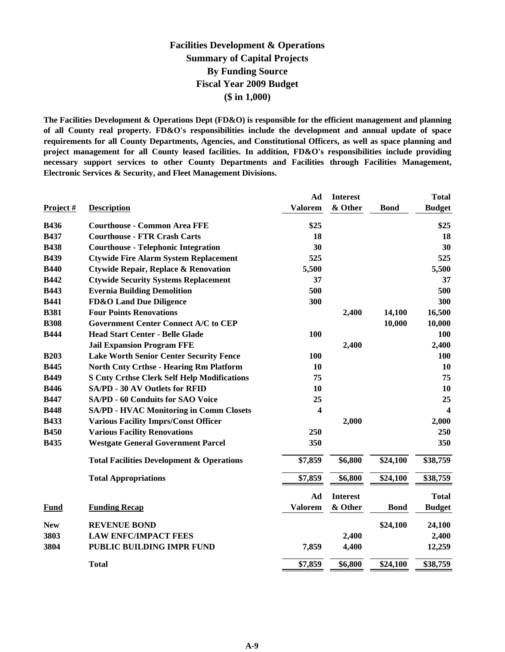#### **Facilities Development & Operations Summary of Capital Projects By Funding Source Fiscal Year 2009 Budget (\$ in 1,000)**

**The Facilities Development & Operations Dept (FD&O) is responsible for the efficient management and planning of all County real property. FD&O's responsibilities include the development and annual update of space requirements for all County Departments, Agencies, and Constitutional Officers, as well as space planning and project management for all County leased facilities. In addition, FD&O's responsibilities include providing necessary support services to other County Departments and Facilities through Facilities Management, Electronic Services & Security, and Fleet Management Divisions.**

|             |                                                      | Ad                  | <b>Interest</b> |             | <b>Total</b>     |
|-------------|------------------------------------------------------|---------------------|-----------------|-------------|------------------|
| Project #   | <b>Description</b>                                   | <b>Valorem</b>      | & Other         | <b>Bond</b> | <b>Budget</b>    |
| <b>B436</b> | <b>Courthouse - Common Area FFE</b>                  | \$25                |                 |             | \$25             |
| <b>B437</b> | <b>Courthouse - FTR Crash Carts</b>                  | 18                  |                 |             | 18               |
| <b>B438</b> | <b>Courthouse - Telephonic Integration</b>           | 30                  |                 |             | 30               |
| <b>B439</b> | <b>Ctywide Fire Alarm System Replacement</b>         | 525                 |                 |             | 525              |
| <b>B440</b> | <b>Ctywide Repair, Replace &amp; Renovation</b>      | 5,500               |                 |             | 5,500            |
| <b>B442</b> | <b>Ctywide Security Systems Replacement</b>          | 37                  |                 |             | 37               |
| <b>B443</b> | <b>Evernia Building Demolition</b>                   | 500                 |                 |             | 500              |
| <b>B441</b> | <b>FD&amp;O Land Due Diligence</b>                   | 300                 |                 |             | 300              |
| <b>B381</b> | <b>Four Points Renovations</b>                       |                     | 2,400           | 14,100      | 16,500           |
| <b>B308</b> | <b>Government Center Connect A/C to CEP</b>          |                     |                 | 10,000      | 10,000           |
| <b>B444</b> | <b>Head Start Center - Belle Glade</b>               | 100                 |                 |             | 100              |
|             | <b>Jail Expansion Program FFE</b>                    |                     | 2,400           |             | 2,400            |
| <b>B203</b> | <b>Lake Worth Senior Center Security Fence</b>       | 100                 |                 |             | <b>100</b>       |
| <b>B445</b> | <b>North Cnty Crthse - Hearing Rm Platform</b>       | 10                  |                 |             | <b>10</b>        |
| <b>B449</b> | <b>S Cnty Crthse Clerk Self Help Modifications</b>   | 75                  |                 |             | 75               |
| <b>B446</b> | <b>SA/PD - 30 AV Outlets for RFID</b>                | 10                  |                 |             | 10               |
| <b>B447</b> | <b>SA/PD - 60 Conduits for SAO Voice</b>             | 25                  |                 |             | 25               |
| <b>B448</b> | <b>SA/PD - HVAC Monitoring in Comm Closets</b>       | 4                   |                 |             | $\boldsymbol{4}$ |
| <b>B433</b> | <b>Various Facility Imprs/Const Officer</b>          |                     | 2,000           |             | 2,000            |
| <b>B450</b> | <b>Various Facility Renovations</b>                  | 250                 |                 |             | 250              |
| <b>B435</b> | <b>Westgate General Government Parcel</b>            | 350                 |                 |             | 350              |
|             | <b>Total Facilities Development &amp; Operations</b> | \$7,859             | \$6,800         | \$24,100    | \$38,759         |
|             | <b>Total Appropriations</b>                          | \$7,859             | \$6,800         | \$24,100    | \$38,759         |
|             |                                                      | Ad                  | <b>Interest</b> |             | <b>Total</b>     |
| <b>Fund</b> | <b>Funding Recap</b>                                 | <b>Valorem</b>      | & Other         | <b>Bond</b> | <b>Budget</b>    |
| <b>New</b>  | <b>REVENUE BOND</b>                                  |                     |                 | \$24,100    | 24,100           |
| 3803        | <b>LAW ENFC/IMPACT FEES</b>                          |                     | 2,400           |             | 2,400            |
| 3804        | PUBLIC BUILDING IMPR FUND                            | 7,859               | 4,400           |             | 12,259           |
|             | <b>Total</b>                                         | $\overline{$}7,859$ | \$6,800         | \$24,100    | \$38,759         |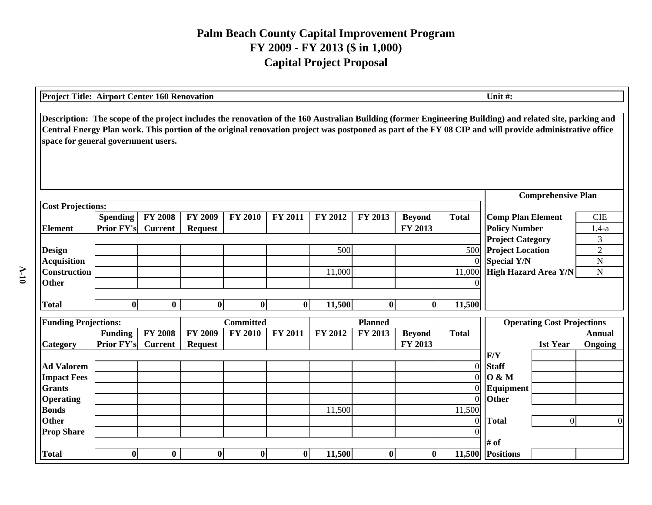| Project Title: Airport Center 160 Renovation                                                                                                                                                                                                                                                                                                               |                   |                |                |                  |                |         |                  |               |                  | Unit #:                                       |                            |  |  |
|------------------------------------------------------------------------------------------------------------------------------------------------------------------------------------------------------------------------------------------------------------------------------------------------------------------------------------------------------------|-------------------|----------------|----------------|------------------|----------------|---------|------------------|---------------|------------------|-----------------------------------------------|----------------------------|--|--|
| Description: The scope of the project includes the renovation of the 160 Australian Building (former Engineering Building) and related site, parking and<br>Central Energy Plan work. This portion of the original renovation project was postponed as part of the FY 08 CIP and will provide administrative office<br>space for general government users. |                   |                |                |                  |                |         |                  |               |                  |                                               |                            |  |  |
|                                                                                                                                                                                                                                                                                                                                                            |                   |                |                |                  |                |         |                  |               |                  | <b>Comprehensive Plan</b>                     |                            |  |  |
| <b>Cost Projections:</b>                                                                                                                                                                                                                                                                                                                                   |                   |                |                |                  |                |         |                  |               |                  |                                               |                            |  |  |
|                                                                                                                                                                                                                                                                                                                                                            | <b>Spending</b>   | <b>FY 2008</b> | <b>FY 2009</b> | <b>FY 2010</b>   | <b>FY 2011</b> | FY 2012 | FY 2013          | <b>Beyond</b> | <b>Total</b>     | <b>Comp Plan Element</b>                      | <b>CIE</b>                 |  |  |
| <b>Element</b>                                                                                                                                                                                                                                                                                                                                             | <b>Prior FY's</b> | <b>Current</b> | <b>Request</b> |                  |                |         |                  | FY 2013       |                  | <b>Policy Number</b>                          | $1.4-a$                    |  |  |
|                                                                                                                                                                                                                                                                                                                                                            |                   |                |                |                  |                | 500     |                  |               | 500              | <b>Project Category</b>                       | 3<br>$\overline{2}$        |  |  |
| <b>Design</b><br><b>Acquisition</b>                                                                                                                                                                                                                                                                                                                        |                   |                |                |                  |                |         |                  |               | $\Omega$         | <b>Project Location</b><br><b>Special Y/N</b> | ${\bf N}$                  |  |  |
| <b>Construction</b>                                                                                                                                                                                                                                                                                                                                        |                   |                |                |                  |                | 11,000  |                  |               | 11,000           | High Hazard Area Y/N                          | $\mathbf N$                |  |  |
| <b>Other</b>                                                                                                                                                                                                                                                                                                                                               |                   |                |                |                  |                |         |                  |               |                  |                                               |                            |  |  |
|                                                                                                                                                                                                                                                                                                                                                            |                   |                |                |                  |                |         |                  |               |                  |                                               |                            |  |  |
| <b>Total</b>                                                                                                                                                                                                                                                                                                                                               | $\bf{0}$          | $\bf{0}$       | $\bf{0}$       | $\mathbf{0}$     | $\bf{0}$       | 11,500  | $\bf{0}$         | $\bf{0}$      | 11,500           |                                               |                            |  |  |
| <b>Funding Projections:</b>                                                                                                                                                                                                                                                                                                                                |                   |                |                | <b>Committed</b> |                |         | <b>Planned</b>   |               |                  | <b>Operating Cost Projections</b>             |                            |  |  |
|                                                                                                                                                                                                                                                                                                                                                            | <b>Funding</b>    | <b>FY 2008</b> | <b>FY 2009</b> | <b>FY 2010</b>   | FY 2011        | FY 2012 | FY 2013          | <b>Beyond</b> | <b>Total</b>     |                                               | <b>Annual</b>              |  |  |
| <b>Category</b>                                                                                                                                                                                                                                                                                                                                            | <b>Prior FY's</b> | <b>Current</b> | <b>Request</b> |                  |                |         |                  | FY 2013       |                  | 1st Year                                      | Ongoing                    |  |  |
|                                                                                                                                                                                                                                                                                                                                                            |                   |                |                |                  |                |         |                  |               |                  | F/Y                                           |                            |  |  |
| <b>Ad Valorem</b>                                                                                                                                                                                                                                                                                                                                          |                   |                |                |                  |                |         |                  |               | $\overline{0}$   | <b>Staff</b>                                  |                            |  |  |
| <b>Impact Fees</b>                                                                                                                                                                                                                                                                                                                                         |                   |                |                |                  |                |         |                  |               | $\overline{0}$   | 0 & M                                         |                            |  |  |
| <b>Grants</b>                                                                                                                                                                                                                                                                                                                                              |                   |                |                |                  |                |         |                  |               | $\Omega$         | Equipment                                     |                            |  |  |
| <b>Operating</b>                                                                                                                                                                                                                                                                                                                                           |                   |                |                |                  |                |         |                  |               | $\overline{0}$   | <b>Other</b>                                  |                            |  |  |
| <b>Bonds</b>                                                                                                                                                                                                                                                                                                                                               |                   |                |                |                  |                | 11,500  |                  |               | 11,500           |                                               |                            |  |  |
| <b>Other</b>                                                                                                                                                                                                                                                                                                                                               |                   |                |                |                  |                |         |                  |               | $\boldsymbol{0}$ | <b>Total</b>                                  | $\overline{0}$<br>$\Omega$ |  |  |
| <b>Prop Share</b>                                                                                                                                                                                                                                                                                                                                          |                   |                |                |                  |                |         |                  |               |                  |                                               |                            |  |  |
|                                                                                                                                                                                                                                                                                                                                                            |                   |                |                |                  |                |         |                  |               |                  | $#$ of                                        |                            |  |  |
| <b>Total</b>                                                                                                                                                                                                                                                                                                                                               | $\bf{0}$          | $\bf{0}$       | $\bf{0}$       | $\bf{0}$         | $\bf{0}$       | 11,500  | $\boldsymbol{0}$ | $\bf{0}$      |                  | 11,500 Positions                              |                            |  |  |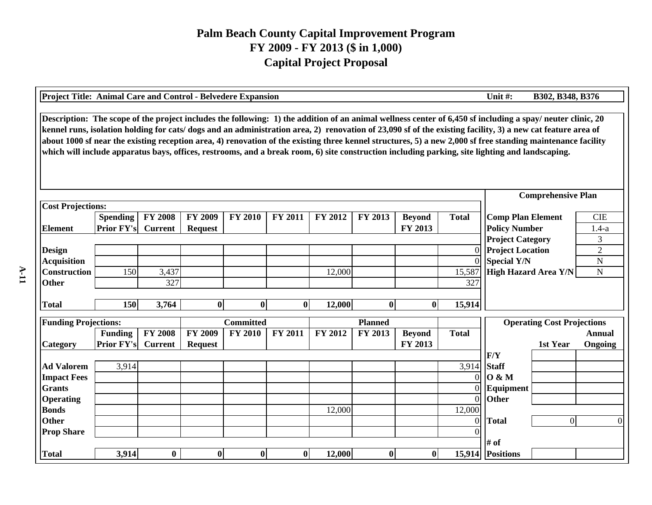| Unit#:<br>Project Title: Animal Care and Control - Belvedere Expansion<br>B302, B348, B376                                                                                                                                                                                                                                                                                                                                                                                                                                                                                                                                                 |                   |                |                |                  |              |                |                  |               |                |                                                 |                                   |                |
|--------------------------------------------------------------------------------------------------------------------------------------------------------------------------------------------------------------------------------------------------------------------------------------------------------------------------------------------------------------------------------------------------------------------------------------------------------------------------------------------------------------------------------------------------------------------------------------------------------------------------------------------|-------------------|----------------|----------------|------------------|--------------|----------------|------------------|---------------|----------------|-------------------------------------------------|-----------------------------------|----------------|
| Description: The scope of the project includes the following: 1) the addition of an animal wellness center of 6,450 sf including a spay/ neuter clinic, 20<br>kennel runs, isolation holding for cats/dogs and an administration area, 2) renovation of 23,090 sf of the existing facility, 3) a new cat feature area of<br>about 1000 sf near the existing reception area, 4) renovation of the existing three kennel structures, 5) a new 2,000 sf free standing maintenance facility<br>which will include apparatus bays, offices, restrooms, and a break room, 6) site construction including parking, site lighting and landscaping. |                   |                |                |                  |              |                |                  |               |                |                                                 |                                   |                |
| <b>Comprehensive Plan</b>                                                                                                                                                                                                                                                                                                                                                                                                                                                                                                                                                                                                                  |                   |                |                |                  |              |                |                  |               |                |                                                 |                                   |                |
| <b>Cost Projections:</b>                                                                                                                                                                                                                                                                                                                                                                                                                                                                                                                                                                                                                   |                   |                |                |                  |              |                |                  |               |                |                                                 |                                   |                |
|                                                                                                                                                                                                                                                                                                                                                                                                                                                                                                                                                                                                                                            | <b>Spending</b>   | <b>FY 2008</b> | FY 2009        | <b>FY 2010</b>   | FY 2011      | <b>FY 2012</b> | FY 2013          | <b>Beyond</b> | <b>Total</b>   | <b>Comp Plan Element</b>                        |                                   | <b>CIE</b>     |
| <b>Element</b>                                                                                                                                                                                                                                                                                                                                                                                                                                                                                                                                                                                                                             | Prior FY's        | <b>Current</b> | <b>Request</b> |                  |              |                |                  | FY 2013       |                | <b>Policy Number</b><br><b>Project Category</b> |                                   | $1.4-a$<br>3   |
| <b>Design</b>                                                                                                                                                                                                                                                                                                                                                                                                                                                                                                                                                                                                                              |                   |                |                |                  |              |                |                  |               | $\Omega$       | <b>Project Location</b>                         |                                   | $\overline{2}$ |
| <b>Acquisition</b>                                                                                                                                                                                                                                                                                                                                                                                                                                                                                                                                                                                                                         |                   |                |                |                  |              |                |                  |               | $\Omega$       | Special Y/N                                     |                                   | $\mathbf N$    |
| Construction                                                                                                                                                                                                                                                                                                                                                                                                                                                                                                                                                                                                                               | 150               | 3,437          |                |                  |              | 12,000         |                  |               | 15,587         | <b>High Hazard Area Y/N</b>                     |                                   | ${\bf N}$      |
| <b>Other</b>                                                                                                                                                                                                                                                                                                                                                                                                                                                                                                                                                                                                                               |                   | 327            |                |                  |              |                |                  |               | 327            |                                                 |                                   |                |
|                                                                                                                                                                                                                                                                                                                                                                                                                                                                                                                                                                                                                                            |                   |                |                |                  |              |                |                  |               |                |                                                 |                                   |                |
| <b>Total</b>                                                                                                                                                                                                                                                                                                                                                                                                                                                                                                                                                                                                                               | <b>150</b>        | 3,764          | $\bf{0}$       | $\bf{0}$         | $\mathbf{0}$ | 12,000         | $\bf{0}$         | $\bf{0}$      | 15,914         |                                                 |                                   |                |
|                                                                                                                                                                                                                                                                                                                                                                                                                                                                                                                                                                                                                                            |                   |                |                | <b>Committed</b> |              |                | <b>Planned</b>   |               |                |                                                 |                                   |                |
| <b>Funding Projections:</b>                                                                                                                                                                                                                                                                                                                                                                                                                                                                                                                                                                                                                | <b>Funding</b>    | <b>FY 2008</b> | <b>FY 2009</b> | <b>FY 2010</b>   | FY 2011      | FY 2012        | FY 2013          | <b>Beyond</b> | <b>Total</b>   |                                                 | <b>Operating Cost Projections</b> | <b>Annual</b>  |
| Category                                                                                                                                                                                                                                                                                                                                                                                                                                                                                                                                                                                                                                   | <b>Prior FY's</b> | <b>Current</b> | <b>Request</b> |                  |              |                |                  | FY 2013       |                |                                                 | 1st Year                          | Ongoing        |
|                                                                                                                                                                                                                                                                                                                                                                                                                                                                                                                                                                                                                                            |                   |                |                |                  |              |                |                  |               |                | F/Y                                             |                                   |                |
| <b>Ad Valorem</b>                                                                                                                                                                                                                                                                                                                                                                                                                                                                                                                                                                                                                          | 3,914             |                |                |                  |              |                |                  |               | 3,914          | <b>Staff</b>                                    |                                   |                |
| <b>Impact Fees</b>                                                                                                                                                                                                                                                                                                                                                                                                                                                                                                                                                                                                                         |                   |                |                |                  |              |                |                  |               | $\Omega$       | 0 & M                                           |                                   |                |
| <b>Grants</b>                                                                                                                                                                                                                                                                                                                                                                                                                                                                                                                                                                                                                              |                   |                |                |                  |              |                |                  |               | $\Omega$       | Equipment                                       |                                   |                |
| <b>Operating</b>                                                                                                                                                                                                                                                                                                                                                                                                                                                                                                                                                                                                                           |                   |                |                |                  |              |                |                  |               | $\Omega$       | <b>Other</b>                                    |                                   |                |
| <b>Bonds</b>                                                                                                                                                                                                                                                                                                                                                                                                                                                                                                                                                                                                                               |                   |                |                |                  |              | 12,000         |                  |               | 12,000         |                                                 |                                   |                |
| <b>Other</b>                                                                                                                                                                                                                                                                                                                                                                                                                                                                                                                                                                                                                               |                   |                |                |                  |              |                |                  |               | $\overline{0}$ | <b>Total</b>                                    | $\overline{0}$                    | 0              |
| <b>Prop Share</b>                                                                                                                                                                                                                                                                                                                                                                                                                                                                                                                                                                                                                          |                   |                |                |                  |              |                |                  |               |                |                                                 |                                   |                |
|                                                                                                                                                                                                                                                                                                                                                                                                                                                                                                                                                                                                                                            |                   |                |                |                  |              |                |                  |               |                | # of                                            |                                   |                |
| <b>Total</b>                                                                                                                                                                                                                                                                                                                                                                                                                                                                                                                                                                                                                               | 3,914             | $\bf{0}$       | $\bf{0}$       | $\bf{0}$         | $\mathbf{0}$ | 12,000         | $\boldsymbol{0}$ | $\bf{0}$      | 15,914         | <b>Positions</b>                                |                                   |                |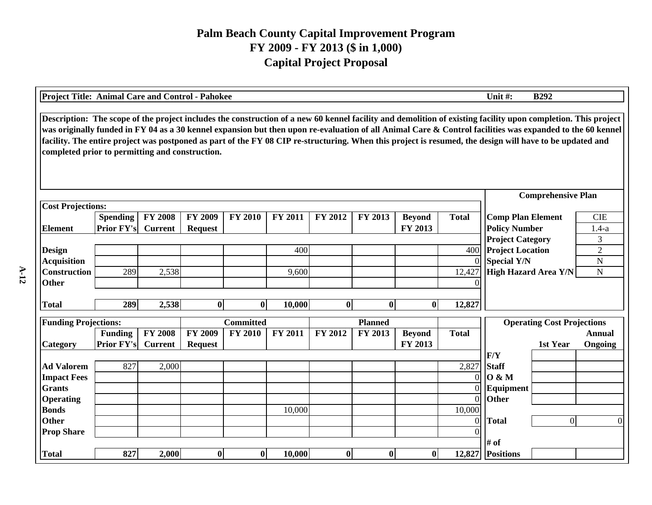| Project Title: Animal Care and Control - Pahokee<br>Unit #:<br><b>B292</b>                                                                                                                                                                                                                                                                                                                                                                                                                                                                |                   |                |                |                  |                |                |                |               |                      |                                   |                      |  |
|-------------------------------------------------------------------------------------------------------------------------------------------------------------------------------------------------------------------------------------------------------------------------------------------------------------------------------------------------------------------------------------------------------------------------------------------------------------------------------------------------------------------------------------------|-------------------|----------------|----------------|------------------|----------------|----------------|----------------|---------------|----------------------|-----------------------------------|----------------------|--|
| Description: The scope of the project includes the construction of a new 60 kennel facility and demolition of existing facility upon completion. This project<br>was originally funded in FY 04 as a 30 kennel expansion but then upon re-evaluation of all Animal Care & Control facilities was expanded to the 60 kennel<br>facility. The entire project was postponed as part of the FY 08 CIP re-structuring. When this project is resumed, the design will have to be updated and<br>completed prior to permitting and construction. |                   |                |                |                  |                |                |                |               |                      |                                   |                      |  |
|                                                                                                                                                                                                                                                                                                                                                                                                                                                                                                                                           |                   |                |                |                  |                |                |                |               |                      | <b>Comprehensive Plan</b>         |                      |  |
| <b>Cost Projections:</b>                                                                                                                                                                                                                                                                                                                                                                                                                                                                                                                  |                   |                |                |                  |                |                |                |               |                      |                                   |                      |  |
|                                                                                                                                                                                                                                                                                                                                                                                                                                                                                                                                           | <b>Spending</b>   | <b>FY 2008</b> | <b>FY 2009</b> | <b>FY 2010</b>   | <b>FY 2011</b> | <b>FY 2012</b> | FY 2013        | <b>Beyond</b> | <b>Total</b>         | <b>Comp Plan Element</b>          | <b>CIE</b>           |  |
| <b>Element</b>                                                                                                                                                                                                                                                                                                                                                                                                                                                                                                                            | <b>Prior FY's</b> | <b>Current</b> | <b>Request</b> |                  |                |                |                | FY 2013       |                      | <b>Policy Number</b>              | $1.4-a$              |  |
|                                                                                                                                                                                                                                                                                                                                                                                                                                                                                                                                           |                   |                |                |                  |                |                |                |               |                      | <b>Project Category</b>           | 3                    |  |
| <b>Design</b>                                                                                                                                                                                                                                                                                                                                                                                                                                                                                                                             |                   |                |                |                  | 400            |                |                |               | 400                  | <b>Project Location</b>           | $\overline{2}$       |  |
| <b>Acquisition</b>                                                                                                                                                                                                                                                                                                                                                                                                                                                                                                                        |                   |                |                |                  |                |                |                |               |                      | <b>Special Y/N</b>                | ${\bf N}$            |  |
| <b>Construction</b>                                                                                                                                                                                                                                                                                                                                                                                                                                                                                                                       | 289               | 2,538          |                |                  | 9,600          |                |                |               | 12,427               | High Hazard Area Y/N              | $\mathbf N$          |  |
| <b>Other</b>                                                                                                                                                                                                                                                                                                                                                                                                                                                                                                                              |                   |                |                |                  |                |                |                |               |                      |                                   |                      |  |
| <b>Total</b>                                                                                                                                                                                                                                                                                                                                                                                                                                                                                                                              | 289               | 2,538          | $\bf{0}$       | $\bf{0}$         | 10,000         | 0              | $\bf{0}$       | $\bf{0}$      | 12,827               |                                   |                      |  |
|                                                                                                                                                                                                                                                                                                                                                                                                                                                                                                                                           |                   |                |                |                  |                |                |                |               |                      |                                   |                      |  |
| <b>Funding Projections:</b>                                                                                                                                                                                                                                                                                                                                                                                                                                                                                                               |                   |                |                | <b>Committed</b> |                |                | <b>Planned</b> |               |                      | <b>Operating Cost Projections</b> |                      |  |
|                                                                                                                                                                                                                                                                                                                                                                                                                                                                                                                                           | <b>Funding</b>    | <b>FY 2008</b> | <b>FY 2009</b> | <b>FY 2010</b>   | FY 2011        | FY 2012        | FY 2013        | <b>Beyond</b> | <b>Total</b>         |                                   | <b>Annual</b>        |  |
| Category                                                                                                                                                                                                                                                                                                                                                                                                                                                                                                                                  | <b>Prior FY's</b> | <b>Current</b> | <b>Request</b> |                  |                |                |                | FY 2013       |                      | 1st Year                          | Ongoing              |  |
|                                                                                                                                                                                                                                                                                                                                                                                                                                                                                                                                           |                   |                |                |                  |                |                |                |               |                      | F/Y                               |                      |  |
| <b>Ad Valorem</b>                                                                                                                                                                                                                                                                                                                                                                                                                                                                                                                         | 827               | 2,000          |                |                  |                |                |                |               | 2,827                | <b>Staff</b>                      |                      |  |
| <b>Impact Fees</b>                                                                                                                                                                                                                                                                                                                                                                                                                                                                                                                        |                   |                |                |                  |                |                |                |               | $\Omega$             | 0 & M                             |                      |  |
| <b>Grants</b>                                                                                                                                                                                                                                                                                                                                                                                                                                                                                                                             |                   |                |                |                  |                |                |                |               | $\Omega$<br>$\Omega$ | Equipment<br>Other                |                      |  |
| <b>Operating</b><br><b>Bonds</b>                                                                                                                                                                                                                                                                                                                                                                                                                                                                                                          |                   |                |                |                  | 10,000         |                |                |               | 10,000               |                                   |                      |  |
| <b>Other</b>                                                                                                                                                                                                                                                                                                                                                                                                                                                                                                                              |                   |                |                |                  |                |                |                |               | $\Omega$             | <b>Total</b>                      | $\Omega$<br>$\Omega$ |  |
| <b>Prop Share</b>                                                                                                                                                                                                                                                                                                                                                                                                                                                                                                                         |                   |                |                |                  |                |                |                |               |                      |                                   |                      |  |
|                                                                                                                                                                                                                                                                                                                                                                                                                                                                                                                                           |                   |                |                |                  |                |                |                |               |                      | # of                              |                      |  |
| <b>Total</b>                                                                                                                                                                                                                                                                                                                                                                                                                                                                                                                              | 827               | 2,000          | $\bf{0}$       | $\bf{0}$         | 10,000         | $\bf{0}$       | $\bf{0}$       | $\bf{0}$      | 12,827               | <b>Positions</b>                  |                      |  |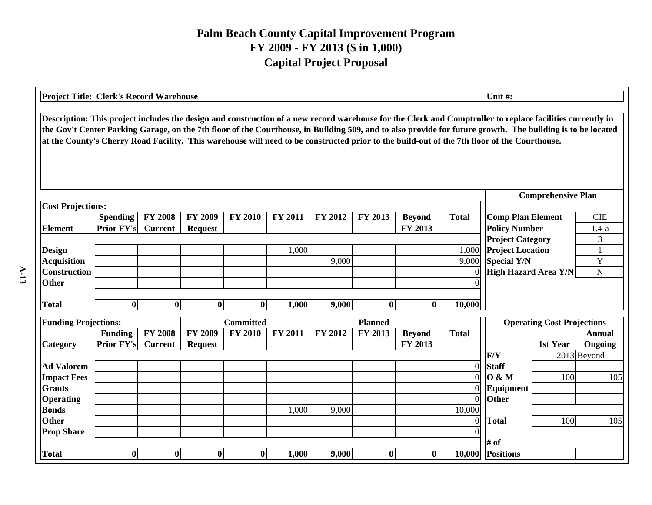| <b>Project Title: Clerk's Record Warehouse</b>                                                                                                                                                                                                                                                                                                                                                                                                                         |                   |                |                |                  |                |         |                |               |                | Unit#:                                   |  |  |  |
|------------------------------------------------------------------------------------------------------------------------------------------------------------------------------------------------------------------------------------------------------------------------------------------------------------------------------------------------------------------------------------------------------------------------------------------------------------------------|-------------------|----------------|----------------|------------------|----------------|---------|----------------|---------------|----------------|------------------------------------------|--|--|--|
| Description: This project includes the design and construction of a new record warehouse for the Clerk and Comptroller to replace facilities currently in<br>the Gov't Center Parking Garage, on the 7th floor of the Courthouse, in Building 509, and to also provide for future growth. The building is to be located<br>at the County's Cherry Road Facility. This warehouse will need to be constructed prior to the build-out of the 7th floor of the Courthouse. |                   |                |                |                  |                |         |                |               |                |                                          |  |  |  |
|                                                                                                                                                                                                                                                                                                                                                                                                                                                                        |                   |                |                |                  |                |         |                |               |                | <b>Comprehensive Plan</b>                |  |  |  |
| <b>Cost Projections:</b>                                                                                                                                                                                                                                                                                                                                                                                                                                               |                   |                |                |                  |                |         |                |               |                |                                          |  |  |  |
|                                                                                                                                                                                                                                                                                                                                                                                                                                                                        | <b>Spending</b>   | <b>FY 2008</b> | <b>FY 2009</b> | <b>FY 2010</b>   | <b>FY 2011</b> | FY 2012 | FY 2013        | <b>Beyond</b> | <b>Total</b>   | <b>Comp Plan Element</b><br><b>CIE</b>   |  |  |  |
| <b>Element</b>                                                                                                                                                                                                                                                                                                                                                                                                                                                         | <b>Prior FY's</b> | <b>Current</b> | <b>Request</b> |                  |                |         |                | FY 2013       |                | <b>Policy Number</b><br>$1.4-a$          |  |  |  |
|                                                                                                                                                                                                                                                                                                                                                                                                                                                                        |                   |                |                |                  |                |         |                |               |                | <b>Project Category</b><br>3             |  |  |  |
| <b>Design</b>                                                                                                                                                                                                                                                                                                                                                                                                                                                          |                   |                |                |                  | 1,000          |         |                |               | 1,000          | <b>Project Location</b><br>$\mathbf{1}$  |  |  |  |
| <b>Acquisition</b>                                                                                                                                                                                                                                                                                                                                                                                                                                                     |                   |                |                |                  |                | 9,000   |                |               | 9,000          | Y<br><b>Special Y/N</b>                  |  |  |  |
| <b>Construction</b><br>Other                                                                                                                                                                                                                                                                                                                                                                                                                                           |                   |                |                |                  |                |         |                |               | $\Omega$<br>∩  | <b>High Hazard Area Y/N</b><br>${\bf N}$ |  |  |  |
|                                                                                                                                                                                                                                                                                                                                                                                                                                                                        |                   |                |                |                  |                |         |                |               |                |                                          |  |  |  |
| <b>Total</b>                                                                                                                                                                                                                                                                                                                                                                                                                                                           | $\bf{0}$          | $\bf{0}$       | $\bf{0}$       | $\bf{0}$         | 1,000          | 9,000   | $\bf{0}$       | $\bf{0}$      | 10,000         |                                          |  |  |  |
| <b>Funding Projections:</b>                                                                                                                                                                                                                                                                                                                                                                                                                                            |                   |                |                | <b>Committed</b> |                |         | <b>Planned</b> |               |                | <b>Operating Cost Projections</b>        |  |  |  |
|                                                                                                                                                                                                                                                                                                                                                                                                                                                                        | Funding           | <b>FY 2008</b> | <b>FY 2009</b> | <b>FY 2010</b>   | <b>FY 2011</b> | FY 2012 | FY 2013        | <b>Beyond</b> | <b>Total</b>   | <b>Annual</b>                            |  |  |  |
| Category                                                                                                                                                                                                                                                                                                                                                                                                                                                               | Prior FY's        | <b>Current</b> | <b>Request</b> |                  |                |         |                | FY 2013       |                | 1st Year<br>Ongoing                      |  |  |  |
|                                                                                                                                                                                                                                                                                                                                                                                                                                                                        |                   |                |                |                  |                |         |                |               |                | F/Y<br>2013 Beyond                       |  |  |  |
| <b>Ad Valorem</b>                                                                                                                                                                                                                                                                                                                                                                                                                                                      |                   |                |                |                  |                |         |                |               | $\Omega$       | <b>Staff</b>                             |  |  |  |
| <b>Impact Fees</b>                                                                                                                                                                                                                                                                                                                                                                                                                                                     |                   |                |                |                  |                |         |                |               | $\Omega$       | 0 & M<br>100<br>105                      |  |  |  |
| <b>Grants</b>                                                                                                                                                                                                                                                                                                                                                                                                                                                          |                   |                |                |                  |                |         |                |               | $\Omega$       | Equipment                                |  |  |  |
| <b>Operating</b>                                                                                                                                                                                                                                                                                                                                                                                                                                                       |                   |                |                |                  |                |         |                |               | $\overline{0}$ | Other                                    |  |  |  |
| <b>Bonds</b>                                                                                                                                                                                                                                                                                                                                                                                                                                                           |                   |                |                |                  | 1,000          | 9,000   |                |               | 10,000         |                                          |  |  |  |
| <b>Other</b>                                                                                                                                                                                                                                                                                                                                                                                                                                                           |                   |                |                |                  |                |         |                |               | $\overline{0}$ | 100<br><b>Total</b><br>105               |  |  |  |
| <b>Prop Share</b>                                                                                                                                                                                                                                                                                                                                                                                                                                                      |                   |                |                |                  |                |         |                |               |                |                                          |  |  |  |
|                                                                                                                                                                                                                                                                                                                                                                                                                                                                        |                   |                |                |                  |                |         |                |               |                | # of                                     |  |  |  |
| <b>Total</b>                                                                                                                                                                                                                                                                                                                                                                                                                                                           | $\bf{0}$          | $\bf{0}$       | $\bf{0}$       | $\bf{0}$         | 1,000          | 9,000   | $\bf{0}$       | $\mathbf{0}$  | 10,000         | <b>Positions</b>                         |  |  |  |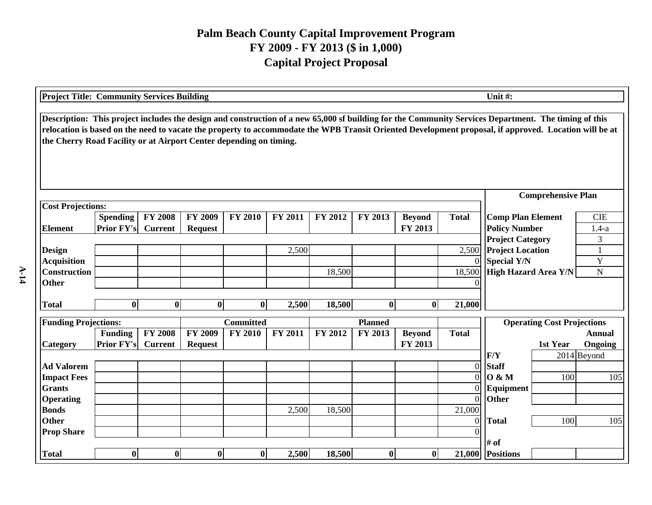| <b>Project Title: Community Services Building</b>                                                                                                                                                                                                                                                                                                                                   |                   |                |                |                  |         |         |                  |               |                | Unit #:                                            |                                   |                   |
|-------------------------------------------------------------------------------------------------------------------------------------------------------------------------------------------------------------------------------------------------------------------------------------------------------------------------------------------------------------------------------------|-------------------|----------------|----------------|------------------|---------|---------|------------------|---------------|----------------|----------------------------------------------------|-----------------------------------|-------------------|
| Description: This project includes the design and construction of a new 65,000 sf building for the Community Services Department. The timing of this<br>relocation is based on the need to vacate the property to accommodate the WPB Transit Oriented Development proposal, if approved. Location will be at<br>the Cherry Road Facility or at Airport Center depending on timing. |                   |                |                |                  |         |         |                  |               |                |                                                    |                                   |                   |
|                                                                                                                                                                                                                                                                                                                                                                                     |                   |                |                |                  |         |         |                  |               |                |                                                    | <b>Comprehensive Plan</b>         |                   |
| <b>Cost Projections:</b>                                                                                                                                                                                                                                                                                                                                                            |                   |                |                |                  |         |         |                  |               |                |                                                    |                                   |                   |
|                                                                                                                                                                                                                                                                                                                                                                                     | <b>Spending</b>   | <b>FY 2008</b> | <b>FY 2009</b> | <b>FY 2010</b>   | FY 2011 | FY 2012 | FY 2013          | <b>Beyond</b> | <b>Total</b>   | <b>Comp Plan Element</b>                           |                                   | <b>CIE</b>        |
| <b>Element</b>                                                                                                                                                                                                                                                                                                                                                                      | <b>Prior FY's</b> | <b>Current</b> | <b>Request</b> |                  |         |         |                  | FY 2013       |                | <b>Policy Number</b>                               |                                   | $1.4-a$           |
| <b>Design</b>                                                                                                                                                                                                                                                                                                                                                                       |                   |                |                |                  | 2,500   |         |                  |               | 2,500          | <b>Project Category</b><br><b>Project Location</b> |                                   | 3<br>$\mathbf{1}$ |
| <b>Acquisition</b>                                                                                                                                                                                                                                                                                                                                                                  |                   |                |                |                  |         |         |                  |               | $\Omega$       | <b>Special Y/N</b>                                 |                                   | $\mathbf Y$       |
| <b>Construction</b>                                                                                                                                                                                                                                                                                                                                                                 |                   |                |                |                  |         | 18,500  |                  |               | 18,500         | <b>High Hazard Area Y/N</b>                        |                                   | $\mathbf N$       |
| <b>Other</b>                                                                                                                                                                                                                                                                                                                                                                        |                   |                |                |                  |         |         |                  |               |                |                                                    |                                   |                   |
|                                                                                                                                                                                                                                                                                                                                                                                     |                   |                |                |                  |         |         |                  |               |                |                                                    |                                   |                   |
| <b>Total</b>                                                                                                                                                                                                                                                                                                                                                                        | $\bf{0}$          | $\bf{0}$       | $\mathbf{0}$   | $\bf{0}$         | 2,500   | 18,500  | $\bf{0}$         | $\mathbf{0}$  | 21,000         |                                                    |                                   |                   |
| <b>Funding Projections:</b>                                                                                                                                                                                                                                                                                                                                                         |                   |                |                | <b>Committed</b> |         |         | <b>Planned</b>   |               |                |                                                    | <b>Operating Cost Projections</b> |                   |
|                                                                                                                                                                                                                                                                                                                                                                                     | <b>Funding</b>    | <b>FY 2008</b> | <b>FY 2009</b> | <b>FY 2010</b>   | FY 2011 | FY 2012 | FY 2013          | <b>Beyond</b> | <b>Total</b>   |                                                    |                                   | <b>Annual</b>     |
| Category                                                                                                                                                                                                                                                                                                                                                                            | <b>Prior FY's</b> | <b>Current</b> | <b>Request</b> |                  |         |         |                  | FY 2013       |                |                                                    | 1st Year                          | Ongoing           |
|                                                                                                                                                                                                                                                                                                                                                                                     |                   |                |                |                  |         |         |                  |               |                | F/Y                                                |                                   | 2014 Beyond       |
| <b>Ad Valorem</b>                                                                                                                                                                                                                                                                                                                                                                   |                   |                |                |                  |         |         |                  |               | $\overline{0}$ | <b>Staff</b>                                       |                                   |                   |
| <b>Impact Fees</b>                                                                                                                                                                                                                                                                                                                                                                  |                   |                |                |                  |         |         |                  |               | $\Omega$       | 0 & M                                              | 100                               | 105               |
| <b>Grants</b>                                                                                                                                                                                                                                                                                                                                                                       |                   |                |                |                  |         |         |                  |               |                | Equipment                                          |                                   |                   |
| <b>Operating</b>                                                                                                                                                                                                                                                                                                                                                                    |                   |                |                |                  |         |         |                  |               | $\Omega$       | Other                                              |                                   |                   |
| <b>Bonds</b>                                                                                                                                                                                                                                                                                                                                                                        |                   |                |                |                  | 2,500   | 18,500  |                  |               | 21,000         |                                                    |                                   |                   |
| <b>Other</b>                                                                                                                                                                                                                                                                                                                                                                        |                   |                |                |                  |         |         |                  |               | $\Omega$       | <b>Total</b>                                       | 100                               | 105               |
| <b>Prop Share</b>                                                                                                                                                                                                                                                                                                                                                                   |                   |                |                |                  |         |         |                  |               |                |                                                    |                                   |                   |
|                                                                                                                                                                                                                                                                                                                                                                                     |                   |                |                |                  |         |         |                  |               |                | # of                                               |                                   |                   |
| <b>Total</b>                                                                                                                                                                                                                                                                                                                                                                        | $\bf{0}$          | $\bf{0}$       | $\bf{0}$       | $\bf{0}$         | 2,500   | 18,500  | $\boldsymbol{0}$ | $\mathbf{0}$  |                | 21,000 Positions                                   |                                   |                   |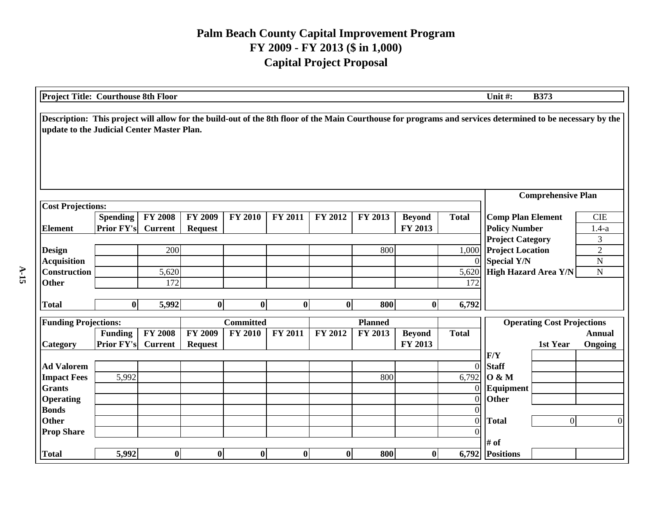| <b>Project Title: Courthouse 8th Floor</b>                                                                                                                                                               |                                      |                                  |                           |                  |          |                |                |                          |                  | Unit #:                                          | <b>B373</b>                       |                       |
|----------------------------------------------------------------------------------------------------------------------------------------------------------------------------------------------------------|--------------------------------------|----------------------------------|---------------------------|------------------|----------|----------------|----------------|--------------------------|------------------|--------------------------------------------------|-----------------------------------|-----------------------|
| Description: This project will allow for the build-out of the 8th floor of the Main Courthouse for programs and services determined to be necessary by the<br>update to the Judicial Center Master Plan. |                                      |                                  |                           |                  |          |                |                |                          |                  |                                                  |                                   |                       |
|                                                                                                                                                                                                          |                                      |                                  |                           |                  |          |                |                |                          |                  |                                                  | <b>Comprehensive Plan</b>         |                       |
| <b>Cost Projections:</b>                                                                                                                                                                                 |                                      |                                  |                           |                  |          |                |                |                          |                  |                                                  |                                   |                       |
| <b>Element</b>                                                                                                                                                                                           | <b>Spending</b><br><b>Prior FY's</b> | <b>FY 2008</b><br><b>Current</b> | FY 2009<br><b>Request</b> | <b>FY 2010</b>   | FY 2011  | <b>FY 2012</b> | FY 2013        | <b>Beyond</b><br>FY 2013 | <b>Total</b>     | <b>Comp Plan Element</b><br><b>Policy Number</b> |                                   | <b>CIE</b><br>$1.4-a$ |
|                                                                                                                                                                                                          |                                      |                                  |                           |                  |          |                |                |                          |                  | <b>Project Category</b>                          |                                   | 3                     |
| <b>Design</b>                                                                                                                                                                                            |                                      | 200                              |                           |                  |          |                | 800            |                          | 1,000            | <b>Project Location</b>                          |                                   | $\overline{2}$        |
| <b>Acquisition</b>                                                                                                                                                                                       |                                      |                                  |                           |                  |          |                |                |                          | $\Omega$         | <b>Special Y/N</b>                               |                                   | ${\bf N}$             |
| <b>Construction</b>                                                                                                                                                                                      |                                      | 5,620                            |                           |                  |          |                |                |                          | 5,620            | High Hazard Area Y/N                             |                                   | $\mathbf N$           |
| <b>Other</b>                                                                                                                                                                                             |                                      | 172                              |                           |                  |          |                |                |                          | 172              |                                                  |                                   |                       |
| <b>Total</b>                                                                                                                                                                                             | $\bf{0}$                             | 5,992                            | $\bf{0}$                  | $\bf{0}$         | $\bf{0}$ | $\bf{0}$       | 800            | $\mathbf{0}$             | 6,792            |                                                  |                                   |                       |
| <b>Funding Projections:</b>                                                                                                                                                                              |                                      |                                  |                           | <b>Committed</b> |          |                | <b>Planned</b> |                          |                  |                                                  | <b>Operating Cost Projections</b> |                       |
|                                                                                                                                                                                                          | <b>Funding</b>                       | <b>FY 2008</b>                   | <b>FY 2009</b>            | <b>FY 2010</b>   | FY 2011  | FY 2012        | FY 2013        | <b>Beyond</b>            | <b>Total</b>     |                                                  |                                   | <b>Annual</b>         |
| <b>Category</b>                                                                                                                                                                                          | <b>Prior FY's</b>                    | <b>Current</b>                   | <b>Request</b>            |                  |          |                |                | FY 2013                  |                  |                                                  | 1st Year                          | Ongoing               |
|                                                                                                                                                                                                          |                                      |                                  |                           |                  |          |                |                |                          |                  | F/Y                                              |                                   |                       |
| <b>Ad Valorem</b>                                                                                                                                                                                        |                                      |                                  |                           |                  |          |                |                |                          | $\boldsymbol{0}$ | <b>Staff</b>                                     |                                   |                       |
| <b>Impact Fees</b>                                                                                                                                                                                       | 5,992                                |                                  |                           |                  |          |                | 800            |                          | 6,792            | 0 & M                                            |                                   |                       |
| <b>Grants</b>                                                                                                                                                                                            |                                      |                                  |                           |                  |          |                |                |                          | $\Omega$         | Equipment                                        |                                   |                       |
| <b>Operating</b>                                                                                                                                                                                         |                                      |                                  |                           |                  |          |                |                |                          | $\overline{0}$   | Other                                            |                                   |                       |
| <b>Bonds</b>                                                                                                                                                                                             |                                      |                                  |                           |                  |          |                |                |                          |                  |                                                  |                                   |                       |
| <b>Other</b>                                                                                                                                                                                             |                                      |                                  |                           |                  |          |                |                |                          | $\overline{0}$   | <b>Total</b>                                     | $\overline{0}$                    | $\Omega$              |
| <b>Prop Share</b>                                                                                                                                                                                        |                                      |                                  |                           |                  |          |                |                |                          |                  | # of                                             |                                   |                       |
| <b>Total</b>                                                                                                                                                                                             | 5,992                                | $\boldsymbol{0}$                 | $\bf{0}$                  | $\boldsymbol{0}$ | $\bf{0}$ | $\bf{0}$       | 800            | $\bf{0}$                 | 6,792            | <b>Positions</b>                                 |                                   |                       |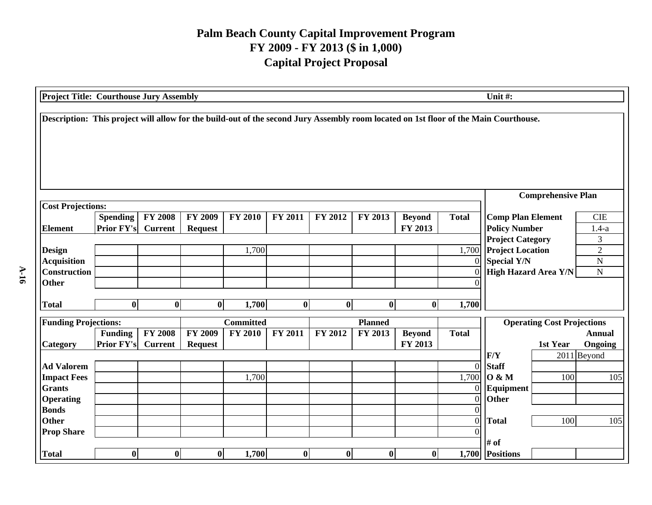| <b>Project Title: Courthouse Jury Assembly</b> |                                      |                                  |                           |                  |                |                |                |                          |                | Unit #:                                                                                                                              |
|------------------------------------------------|--------------------------------------|----------------------------------|---------------------------|------------------|----------------|----------------|----------------|--------------------------|----------------|--------------------------------------------------------------------------------------------------------------------------------------|
|                                                |                                      |                                  |                           |                  |                |                |                |                          |                | Description: This project will allow for the build-out of the second Jury Assembly room located on 1st floor of the Main Courthouse. |
|                                                |                                      |                                  |                           |                  |                |                |                |                          |                | <b>Comprehensive Plan</b>                                                                                                            |
| <b>Cost Projections:</b>                       |                                      |                                  |                           |                  |                |                |                |                          |                |                                                                                                                                      |
| <b>Element</b>                                 | <b>Spending</b><br><b>Prior FY's</b> | <b>FY 2008</b><br><b>Current</b> | FY 2009<br><b>Request</b> | <b>FY 2010</b>   | <b>FY 2011</b> | <b>FY 2012</b> | FY 2013        | <b>Beyond</b><br>FY 2013 | <b>Total</b>   | <b>Comp Plan Element</b><br><b>CIE</b><br><b>Policy Number</b><br>$1.4-a$                                                            |
|                                                |                                      |                                  |                           |                  |                |                |                |                          |                | <b>Project Category</b><br>3                                                                                                         |
| <b>Design</b>                                  |                                      |                                  |                           | 1,700            |                |                |                |                          | 1,700          | $\overline{2}$<br><b>Project Location</b>                                                                                            |
| <b>Acquisition</b>                             |                                      |                                  |                           |                  |                |                |                |                          | $\Omega$       | <b>Special Y/N</b><br>$\mathbf N$                                                                                                    |
| <b>Construction</b>                            |                                      |                                  |                           |                  |                |                |                |                          |                | <b>High Hazard Area Y/N</b><br>${\bf N}$                                                                                             |
| <b>Other</b>                                   |                                      |                                  |                           |                  |                |                |                |                          |                |                                                                                                                                      |
| <b>Total</b>                                   | $\mathbf{0}$                         | $\bf{0}$                         | $\boldsymbol{0}$          | 1,700            | $\mathbf{0}$   | $\bf{0}$       | $\bf{0}$       | $\bf{0}$                 | 1,700          |                                                                                                                                      |
|                                                |                                      |                                  |                           |                  |                |                |                |                          |                |                                                                                                                                      |
| <b>Funding Projections:</b>                    |                                      |                                  |                           | <b>Committed</b> |                |                | <b>Planned</b> |                          |                | <b>Operating Cost Projections</b>                                                                                                    |
|                                                | <b>Funding</b><br>Prior FY's         | <b>FY 2008</b>                   | <b>FY 2009</b>            | <b>FY 2010</b>   | FY 2011        | FY 2012        | FY 2013        | <b>Beyond</b><br>FY 2013 | <b>Total</b>   | <b>Annual</b>                                                                                                                        |
| <b>Category</b>                                |                                      | <b>Current</b>                   | <b>Request</b>            |                  |                |                |                |                          |                | Ongoing<br>1st Year<br>F/Y<br>2011 Beyond                                                                                            |
| <b>Ad Valorem</b>                              |                                      |                                  |                           |                  |                |                |                |                          | $\overline{0}$ | <b>Staff</b>                                                                                                                         |
| <b>Impact Fees</b>                             |                                      |                                  |                           | 1,700            |                |                |                |                          | 1,700          | 0 & M<br>100<br>105                                                                                                                  |
| <b>Grants</b>                                  |                                      |                                  |                           |                  |                |                |                |                          | $\overline{0}$ | Equipment                                                                                                                            |
| <b>Operating</b>                               |                                      |                                  |                           |                  |                |                |                |                          | $\overline{0}$ | <b>Other</b>                                                                                                                         |
| <b>Bonds</b>                                   |                                      |                                  |                           |                  |                |                |                |                          |                |                                                                                                                                      |
| <b>Other</b>                                   |                                      |                                  |                           |                  |                |                |                |                          | $\overline{0}$ | 100<br><b>Total</b><br>105                                                                                                           |
| <b>Prop Share</b>                              |                                      |                                  |                           |                  |                |                |                |                          |                |                                                                                                                                      |
|                                                |                                      |                                  |                           |                  |                |                |                |                          |                | # of                                                                                                                                 |
| <b>Total</b>                                   | $\bf{0}$                             | $\mathbf{0}$                     | $\bf{0}$                  | 1,700            | $\bf{0}$       | $\bf{0}$       | $\bf{0}$       | $\boldsymbol{0}$         |                | 1,700 Positions                                                                                                                      |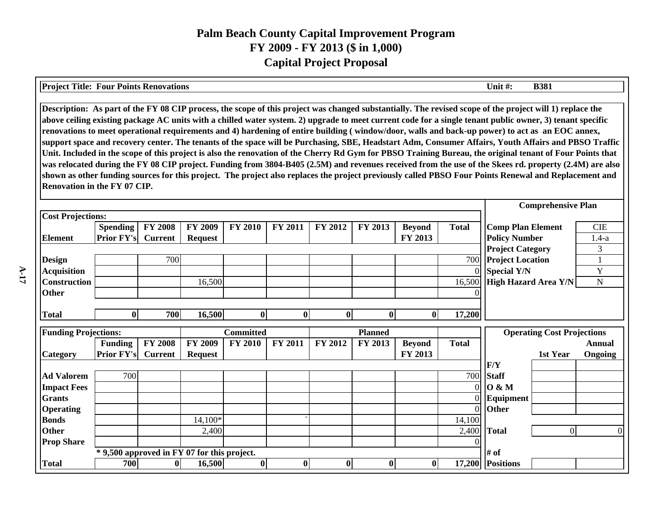| <b>Project Title: Four Points Renovations</b>                                                                                                                                                                                                                                                                                                                                                                                                                                                                                                                                                                                                                                                                                                                                                                                                                                                                                                                                                                                                                                                                                                    |                                             |                                  |                                  |                  |                |                      |                |                          |              | Unit #:                                                                  | <b>B381</b>                       |                          |
|--------------------------------------------------------------------------------------------------------------------------------------------------------------------------------------------------------------------------------------------------------------------------------------------------------------------------------------------------------------------------------------------------------------------------------------------------------------------------------------------------------------------------------------------------------------------------------------------------------------------------------------------------------------------------------------------------------------------------------------------------------------------------------------------------------------------------------------------------------------------------------------------------------------------------------------------------------------------------------------------------------------------------------------------------------------------------------------------------------------------------------------------------|---------------------------------------------|----------------------------------|----------------------------------|------------------|----------------|----------------------|----------------|--------------------------|--------------|--------------------------------------------------------------------------|-----------------------------------|--------------------------|
| Description: As part of the FY 08 CIP process, the scope of this project was changed substantially. The revised scope of the project will 1) replace the<br>above ceiling existing package AC units with a chilled water system. 2) upgrade to meet current code for a single tenant public owner, 3) tenant specific<br>renovations to meet operational requirements and 4) hardening of entire building (window/door, walls and back-up power) to act as an EOC annex,<br>support space and recovery center. The tenants of the space will be Purchasing, SBE, Headstart Adm, Consumer Affairs, Youth Affairs and PBSO Traffic<br>Unit. Included in the scope of this project is also the renovation of the Cherry Rd Gym for PBSO Training Bureau, the original tenant of Four Points that<br>was relocated during the FY 08 CIP project. Funding from 3804-B405 (2.5M) and revenues received from the use of the Skees rd. property (2.4M) are also<br>shown as other funding sources for this project. The project also replaces the project previously called PBSO Four Points Renewal and Replacement and<br>Renovation in the FY 07 CIP. |                                             |                                  |                                  |                  |                |                      |                |                          |              |                                                                          |                                   |                          |
|                                                                                                                                                                                                                                                                                                                                                                                                                                                                                                                                                                                                                                                                                                                                                                                                                                                                                                                                                                                                                                                                                                                                                  |                                             |                                  |                                  |                  |                |                      |                |                          |              |                                                                          | <b>Comprehensive Plan</b>         |                          |
| <b>Cost Projections:</b><br><b>Element</b>                                                                                                                                                                                                                                                                                                                                                                                                                                                                                                                                                                                                                                                                                                                                                                                                                                                                                                                                                                                                                                                                                                       | <b>Spending</b><br><b>Prior FY's</b>        | <b>FY 2008</b><br><b>Current</b> | <b>FY 2009</b><br><b>Request</b> | <b>FY 2010</b>   | <b>FY 2011</b> | <b>FY 2012</b>       | FY 2013        | <b>Beyond</b><br>FY 2013 | <b>Total</b> | <b>Comp Plan Element</b><br><b>Policy Number</b>                         |                                   | <b>CIE</b><br>$1.4-a$    |
| <b>Design</b><br><b>Acquisition</b>                                                                                                                                                                                                                                                                                                                                                                                                                                                                                                                                                                                                                                                                                                                                                                                                                                                                                                                                                                                                                                                                                                              |                                             | 700                              |                                  |                  |                |                      |                |                          | 700          | <b>Project Category</b><br><b>Project Location</b><br><b>Special Y/N</b> |                                   | 3<br>Y                   |
| <b>Construction</b><br><b>Other</b>                                                                                                                                                                                                                                                                                                                                                                                                                                                                                                                                                                                                                                                                                                                                                                                                                                                                                                                                                                                                                                                                                                              |                                             |                                  | 16,500                           | 16,500           |                | High Hazard Area Y/N | N              |                          |              |                                                                          |                                   |                          |
| <b>Total</b>                                                                                                                                                                                                                                                                                                                                                                                                                                                                                                                                                                                                                                                                                                                                                                                                                                                                                                                                                                                                                                                                                                                                     | $\bf{0}$                                    | 700                              | 16,500                           | $\boldsymbol{0}$ | $\mathbf{0}$   | $\boldsymbol{0}$     | $\bf{0}$       | $\bf{0}$                 | 17,200       |                                                                          |                                   |                          |
| <b>Funding Projections:</b>                                                                                                                                                                                                                                                                                                                                                                                                                                                                                                                                                                                                                                                                                                                                                                                                                                                                                                                                                                                                                                                                                                                      |                                             |                                  |                                  | <b>Committed</b> |                |                      | <b>Planned</b> |                          |              |                                                                          | <b>Operating Cost Projections</b> |                          |
| Category                                                                                                                                                                                                                                                                                                                                                                                                                                                                                                                                                                                                                                                                                                                                                                                                                                                                                                                                                                                                                                                                                                                                         | <b>Funding</b><br><b>Prior FY's</b>         | <b>FY 2008</b><br><b>Current</b> | FY 2009<br><b>Request</b>        | <b>FY 2010</b>   | <b>FY 2011</b> | FY 2012              | FY 2013        | <b>Beyond</b><br>FY 2013 | <b>Total</b> |                                                                          | 1st Year                          | <b>Annual</b><br>Ongoing |
| <b>Ad Valorem</b>                                                                                                                                                                                                                                                                                                                                                                                                                                                                                                                                                                                                                                                                                                                                                                                                                                                                                                                                                                                                                                                                                                                                | 700                                         |                                  |                                  |                  |                |                      |                |                          | 700          | F/Y<br><b>Staff</b>                                                      |                                   |                          |
| <b>Impact Fees</b><br><b>Grants</b>                                                                                                                                                                                                                                                                                                                                                                                                                                                                                                                                                                                                                                                                                                                                                                                                                                                                                                                                                                                                                                                                                                              |                                             |                                  |                                  |                  |                |                      |                |                          | $\Omega$     | <b>O</b> & M<br>Equipment                                                |                                   |                          |
| <b>Operating</b><br><b>Bonds</b>                                                                                                                                                                                                                                                                                                                                                                                                                                                                                                                                                                                                                                                                                                                                                                                                                                                                                                                                                                                                                                                                                                                 |                                             |                                  | 14,100*                          |                  |                |                      |                |                          | 14,100       | Other                                                                    |                                   |                          |
| <b>Other</b><br><b>Prop Share</b>                                                                                                                                                                                                                                                                                                                                                                                                                                                                                                                                                                                                                                                                                                                                                                                                                                                                                                                                                                                                                                                                                                                |                                             |                                  | 2,400                            |                  |                |                      |                |                          | 2,400        | <b>Total</b>                                                             | $\Omega$                          |                          |
|                                                                                                                                                                                                                                                                                                                                                                                                                                                                                                                                                                                                                                                                                                                                                                                                                                                                                                                                                                                                                                                                                                                                                  | * 9,500 approved in FY 07 for this project. |                                  |                                  |                  |                |                      |                |                          |              | # of                                                                     |                                   |                          |
| <b>Total</b>                                                                                                                                                                                                                                                                                                                                                                                                                                                                                                                                                                                                                                                                                                                                                                                                                                                                                                                                                                                                                                                                                                                                     | 700                                         | $\bf{0}$                         | 16,500                           | $\bf{0}$         | $\bf{0}$       | $\boldsymbol{0}$     | $\bf{0}$       | $\bf{0}$                 | 17,200       | <b>Positions</b>                                                         |                                   |                          |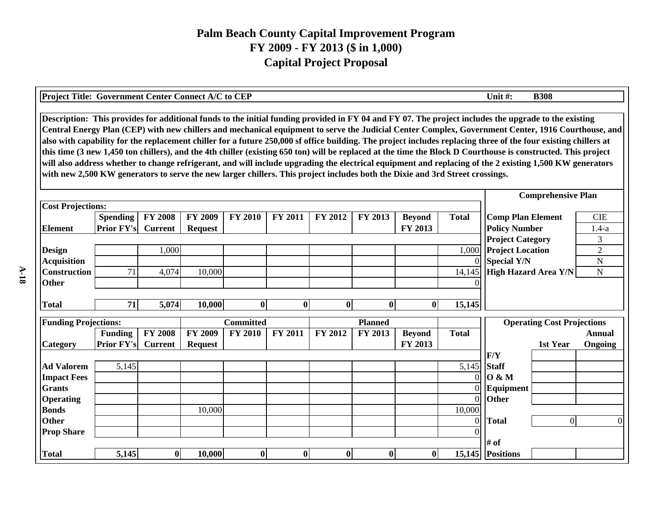| <b>Project Title: Government Center Connect A/C to CEP</b> |                                                                                                                                                                                                                                                                                                                                                                                                                                                                                                                                                                                                                                                                                                                                                                                                                                                                                                                                             |                |                |                           |                |                  |                |               |                   | Unit #:                                       | <b>B308</b>                       |                     |  |  |
|------------------------------------------------------------|---------------------------------------------------------------------------------------------------------------------------------------------------------------------------------------------------------------------------------------------------------------------------------------------------------------------------------------------------------------------------------------------------------------------------------------------------------------------------------------------------------------------------------------------------------------------------------------------------------------------------------------------------------------------------------------------------------------------------------------------------------------------------------------------------------------------------------------------------------------------------------------------------------------------------------------------|----------------|----------------|---------------------------|----------------|------------------|----------------|---------------|-------------------|-----------------------------------------------|-----------------------------------|---------------------|--|--|
|                                                            | Description: This provides for additional funds to the initial funding provided in FY 04 and FY 07. The project includes the upgrade to the existing<br>Central Energy Plan (CEP) with new chillers and mechanical equipment to serve the Judicial Center Complex, Government Center, 1916 Courthouse, and<br>also with capability for the replacement chiller for a future 250,000 sf office building. The project includes replacing three of the four existing chillers at<br>this time (3 new 1,450 ton chillers), and the 4th chiller (existing 650 ton) will be replaced at the time the Block D Courthouse is constructed. This project<br>will also address whether to change refrigerant, and will include upgrading the electrical equipment and replacing of the 2 existing 1,500 KW generators<br>with new 2,500 KW generators to serve the new larger chillers. This project includes both the Dixie and 3rd Street crossings. |                |                |                           |                |                  |                |               |                   |                                               |                                   |                     |  |  |
|                                                            |                                                                                                                                                                                                                                                                                                                                                                                                                                                                                                                                                                                                                                                                                                                                                                                                                                                                                                                                             |                |                | <b>Comprehensive Plan</b> |                |                  |                |               |                   |                                               |                                   |                     |  |  |
| <b>Cost Projections:</b>                                   |                                                                                                                                                                                                                                                                                                                                                                                                                                                                                                                                                                                                                                                                                                                                                                                                                                                                                                                                             |                |                |                           |                |                  |                |               |                   |                                               |                                   |                     |  |  |
|                                                            | <b>Spending</b>                                                                                                                                                                                                                                                                                                                                                                                                                                                                                                                                                                                                                                                                                                                                                                                                                                                                                                                             | <b>FY 2008</b> | <b>FY 2009</b> | <b>FY 2010</b>            | <b>FY 2011</b> | <b>FY 2012</b>   | <b>FY 2013</b> | <b>Beyond</b> | <b>Total</b>      | <b>Comp Plan Element</b>                      |                                   | <b>CIE</b>          |  |  |
| <b>Element</b>                                             | <b>Prior FY's</b>                                                                                                                                                                                                                                                                                                                                                                                                                                                                                                                                                                                                                                                                                                                                                                                                                                                                                                                           | <b>Current</b> | <b>Request</b> |                           |                |                  |                | FY 2013       |                   | <b>Policy Number</b>                          |                                   | $1.4-a$             |  |  |
|                                                            |                                                                                                                                                                                                                                                                                                                                                                                                                                                                                                                                                                                                                                                                                                                                                                                                                                                                                                                                             |                |                |                           |                |                  |                |               |                   | <b>Project Category</b>                       |                                   | 3                   |  |  |
| <b>Design</b><br><b>Acquisition</b>                        |                                                                                                                                                                                                                                                                                                                                                                                                                                                                                                                                                                                                                                                                                                                                                                                                                                                                                                                                             | 1,000          |                |                           |                |                  |                |               | 1,000<br>$\Omega$ | <b>Project Location</b><br><b>Special Y/N</b> |                                   | $\overline{2}$<br>N |  |  |
| <b>Construction</b>                                        | 71                                                                                                                                                                                                                                                                                                                                                                                                                                                                                                                                                                                                                                                                                                                                                                                                                                                                                                                                          | 4,074          | 10,000         |                           |                |                  |                |               | 14,145            | <b>High Hazard Area Y/N</b>                   |                                   | $\mathbf N$         |  |  |
| <b>Other</b>                                               |                                                                                                                                                                                                                                                                                                                                                                                                                                                                                                                                                                                                                                                                                                                                                                                                                                                                                                                                             |                |                |                           |                |                  |                |               |                   |                                               |                                   |                     |  |  |
|                                                            |                                                                                                                                                                                                                                                                                                                                                                                                                                                                                                                                                                                                                                                                                                                                                                                                                                                                                                                                             |                |                |                           |                |                  |                |               |                   |                                               |                                   |                     |  |  |
| <b>Total</b>                                               | 71                                                                                                                                                                                                                                                                                                                                                                                                                                                                                                                                                                                                                                                                                                                                                                                                                                                                                                                                          | 5,074          | 10,000         | $\bf{0}$                  | $\bf{0}$       | $\bf{0}$         | $\mathbf 0$    | $\mathbf{0}$  | 15,145            |                                               |                                   |                     |  |  |
|                                                            |                                                                                                                                                                                                                                                                                                                                                                                                                                                                                                                                                                                                                                                                                                                                                                                                                                                                                                                                             |                |                | <b>Committed</b>          |                |                  | <b>Planned</b> |               |                   |                                               |                                   |                     |  |  |
| <b>Funding Projections:</b>                                | <b>Funding</b>                                                                                                                                                                                                                                                                                                                                                                                                                                                                                                                                                                                                                                                                                                                                                                                                                                                                                                                              | <b>FY 2008</b> | <b>FY 2009</b> | <b>FY 2010</b>            | FY 2011        | FY 2012          | FY 2013        | <b>Beyond</b> | <b>Total</b>      |                                               | <b>Operating Cost Projections</b> | <b>Annual</b>       |  |  |
| <b>Category</b>                                            | <b>Prior FY's</b>                                                                                                                                                                                                                                                                                                                                                                                                                                                                                                                                                                                                                                                                                                                                                                                                                                                                                                                           | <b>Current</b> | <b>Request</b> |                           |                |                  |                | FY 2013       |                   |                                               | 1st Year                          | Ongoing             |  |  |
|                                                            |                                                                                                                                                                                                                                                                                                                                                                                                                                                                                                                                                                                                                                                                                                                                                                                                                                                                                                                                             |                |                |                           |                |                  |                |               |                   | F/Y                                           |                                   |                     |  |  |
| <b>Ad Valorem</b>                                          | 5,145                                                                                                                                                                                                                                                                                                                                                                                                                                                                                                                                                                                                                                                                                                                                                                                                                                                                                                                                       |                |                |                           |                |                  |                |               | 5,145             | <b>Staff</b>                                  |                                   |                     |  |  |
| <b>Impact Fees</b>                                         |                                                                                                                                                                                                                                                                                                                                                                                                                                                                                                                                                                                                                                                                                                                                                                                                                                                                                                                                             |                |                |                           |                |                  |                |               | $\Omega$          | <b>O</b> & M                                  |                                   |                     |  |  |
| <b>Grants</b>                                              |                                                                                                                                                                                                                                                                                                                                                                                                                                                                                                                                                                                                                                                                                                                                                                                                                                                                                                                                             |                |                |                           |                |                  |                |               |                   | Equipment                                     |                                   |                     |  |  |
| <b>Operating</b>                                           |                                                                                                                                                                                                                                                                                                                                                                                                                                                                                                                                                                                                                                                                                                                                                                                                                                                                                                                                             |                |                |                           |                |                  |                |               | $\Omega$          | Other                                         |                                   |                     |  |  |
| <b>Bonds</b>                                               |                                                                                                                                                                                                                                                                                                                                                                                                                                                                                                                                                                                                                                                                                                                                                                                                                                                                                                                                             |                | 10,000         |                           |                |                  |                |               | 10,000            |                                               |                                   |                     |  |  |
| <b>Other</b>                                               |                                                                                                                                                                                                                                                                                                                                                                                                                                                                                                                                                                                                                                                                                                                                                                                                                                                                                                                                             |                |                |                           |                |                  |                |               | $\theta$          | <b>Total</b>                                  | 0                                 |                     |  |  |
| <b>Prop Share</b>                                          |                                                                                                                                                                                                                                                                                                                                                                                                                                                                                                                                                                                                                                                                                                                                                                                                                                                                                                                                             |                |                |                           |                |                  |                |               |                   |                                               |                                   |                     |  |  |
|                                                            |                                                                                                                                                                                                                                                                                                                                                                                                                                                                                                                                                                                                                                                                                                                                                                                                                                                                                                                                             |                |                |                           |                |                  |                |               |                   | # of                                          |                                   |                     |  |  |
| <b>Total</b>                                               | 5,145                                                                                                                                                                                                                                                                                                                                                                                                                                                                                                                                                                                                                                                                                                                                                                                                                                                                                                                                       | $\bf{0}$       | 10,000         | $\bf{0}$                  | $\mathbf{0}$   | $\boldsymbol{0}$ | $\mathbf{0}$   | $\mathbf{0}$  |                   | 15,145 Positions                              |                                   |                     |  |  |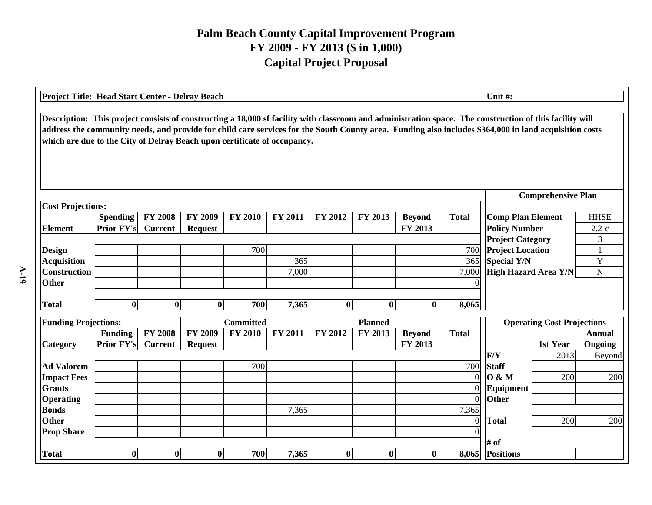| <b>Project Title: Head Start Center - Delray Beach</b>                                                                                                                                                                                                                                                                                                                                       |                   |                |                |                           |                             |                |                |               |                | Unit#:                                        |                                   |               |
|----------------------------------------------------------------------------------------------------------------------------------------------------------------------------------------------------------------------------------------------------------------------------------------------------------------------------------------------------------------------------------------------|-------------------|----------------|----------------|---------------------------|-----------------------------|----------------|----------------|---------------|----------------|-----------------------------------------------|-----------------------------------|---------------|
| Description: This project consists of constructing a 18,000 sf facility with classroom and administration space. The construction of this facility will<br>address the community needs, and provide for child care services for the South County area. Funding also includes \$364,000 in land acquisition costs<br>which are due to the City of Delray Beach upon certificate of occupancy. |                   |                |                |                           |                             |                |                |               |                |                                               |                                   |               |
|                                                                                                                                                                                                                                                                                                                                                                                              |                   |                |                | <b>Comprehensive Plan</b> |                             |                |                |               |                |                                               |                                   |               |
| <b>Cost Projections:</b>                                                                                                                                                                                                                                                                                                                                                                     |                   |                |                |                           |                             |                |                |               |                |                                               |                                   |               |
|                                                                                                                                                                                                                                                                                                                                                                                              | <b>Spending</b>   | <b>FY 2008</b> | FY 2009        | <b>Total</b>              | <b>Comp Plan Element</b>    |                | <b>HHSE</b>    |               |                |                                               |                                   |               |
| <b>Element</b>                                                                                                                                                                                                                                                                                                                                                                               | <b>Prior FY's</b> | <b>Current</b> | <b>Request</b> |                           |                             |                |                | FY 2013       |                | <b>Policy Number</b>                          |                                   | $2.2-c$       |
|                                                                                                                                                                                                                                                                                                                                                                                              |                   |                |                | 700                       |                             |                |                |               | 700            | <b>Project Category</b>                       |                                   | 3             |
| <b>Design</b><br><b>Acquisition</b>                                                                                                                                                                                                                                                                                                                                                          |                   |                |                |                           | 365                         |                |                |               | 365            | <b>Project Location</b><br><b>Special Y/N</b> |                                   | Y             |
| <b>Construction</b>                                                                                                                                                                                                                                                                                                                                                                          |                   |                |                | 7,000                     | <b>High Hazard Area Y/N</b> |                | $\mathbf N$    |               |                |                                               |                                   |               |
| <b>Other</b>                                                                                                                                                                                                                                                                                                                                                                                 |                   |                |                |                           | 7,000                       |                |                |               | $\Omega$       |                                               |                                   |               |
|                                                                                                                                                                                                                                                                                                                                                                                              |                   |                |                |                           |                             |                |                |               |                |                                               |                                   |               |
| <b>Total</b>                                                                                                                                                                                                                                                                                                                                                                                 | $\bf{0}$          | $\bf{0}$       | $\bf{0}$       | 700                       | 7,365                       | $\bf{0}$       | $\bf{0}$       | $\bf{0}$      | 8,065          |                                               |                                   |               |
| <b>Funding Projections:</b>                                                                                                                                                                                                                                                                                                                                                                  |                   |                |                | <b>Committed</b>          |                             |                | <b>Planned</b> |               |                |                                               | <b>Operating Cost Projections</b> |               |
|                                                                                                                                                                                                                                                                                                                                                                                              | <b>Funding</b>    | <b>FY 2008</b> | <b>FY 2009</b> | <b>FY 2010</b>            | FY 2011                     | <b>FY 2012</b> | FY 2013        | <b>Beyond</b> | <b>Total</b>   |                                               |                                   | <b>Annual</b> |
| Category                                                                                                                                                                                                                                                                                                                                                                                     | <b>Prior FY's</b> | <b>Current</b> | <b>Request</b> |                           |                             |                |                | FY 2013       |                |                                               | 1st Year                          | Ongoing       |
|                                                                                                                                                                                                                                                                                                                                                                                              |                   |                |                |                           |                             |                |                |               |                | F/Y                                           | 2013                              | Beyond        |
| <b>Ad Valorem</b>                                                                                                                                                                                                                                                                                                                                                                            |                   |                |                | 700                       |                             |                |                |               | 700            | <b>Staff</b>                                  |                                   |               |
| <b>Impact Fees</b>                                                                                                                                                                                                                                                                                                                                                                           |                   |                |                |                           |                             |                |                |               | $\Omega$       | 0 & M                                         | 200                               | 200           |
| <b>Grants</b>                                                                                                                                                                                                                                                                                                                                                                                |                   |                |                |                           |                             |                |                |               | $\Omega$       | Equipment                                     |                                   |               |
| <b>Operating</b>                                                                                                                                                                                                                                                                                                                                                                             |                   |                |                |                           |                             |                |                |               | $\Omega$       | <b>Other</b>                                  |                                   |               |
| <b>Bonds</b>                                                                                                                                                                                                                                                                                                                                                                                 |                   |                |                |                           | 7,365                       |                |                |               | 7,365          |                                               |                                   |               |
| <b>Other</b>                                                                                                                                                                                                                                                                                                                                                                                 |                   |                |                |                           |                             |                |                |               | $\overline{0}$ | <b>Total</b>                                  | 200                               | 200           |
| <b>Prop Share</b>                                                                                                                                                                                                                                                                                                                                                                            |                   |                |                |                           |                             |                |                |               | $\Omega$       | # of                                          |                                   |               |
| <b>Total</b>                                                                                                                                                                                                                                                                                                                                                                                 | $\bf{0}$          | $\bf{0}$       | $\bf{0}$       | 700                       | 7,365                       | $\bf{0}$       | $\bf{0}$       | $\bf{0}$      |                | 8,065 Positions                               |                                   |               |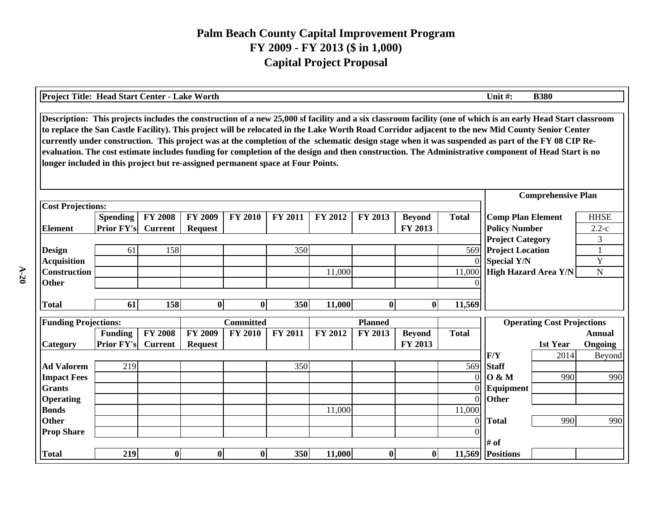| Description: This projects includes the construction of a new 25,000 sf facility and a six classroom facility (one of which is an early Head Start classroom<br>to replace the San Castle Facility). This project will be relocated in the Lake Worth Road Corridor adjacent to the new Mid County Senior Center<br>currently under construction. This project was at the completion of the schematic design stage when it was suspended as part of the FY 08 CIP Re-<br>evaluation. The cost estimate includes funding for completion of the design and then construction. The Administrative component of Head Start is no<br>longer included in this project but re-assigned permanent space at Four Points.<br><b>Comprehensive Plan</b><br><b>Cost Projections:</b><br><b>FY 2008</b><br><b>FY 2009</b><br><b>FY 2010</b><br><b>Comp Plan Element</b><br><b>Spending</b><br><b>FY 2011</b><br>FY 2012<br>FY 2013<br><b>Total</b><br><b>HHSE</b><br><b>Beyond</b><br><b>Prior FY's</b><br>FY 2013<br><b>Policy Number</b><br><b>Current</b><br>$2.2-c$<br><b>Element</b><br><b>Request</b><br><b>Project Category</b><br>3<br>158<br>350<br>569<br><b>Project Location</b><br><b>Design</b><br>61<br>$\mathbf{1}$<br>Y<br><b>Special Y/N</b><br><b>Acquisition</b><br>$\Omega$<br>Construction<br>High Hazard Area Y/N<br>$\mathbf N$<br>11,000<br>11,000<br><b>Other</b><br>11,000<br>61<br>158<br>$\bf{0}$<br>350<br>$\bf{0}$<br>11,569<br>$\bf{0}$<br>$\bf{0}$<br><b>Total</b><br><b>Funding Projections:</b><br><b>Committed</b><br><b>Planned</b><br><b>Operating Cost Projections</b><br><b>FY 2008</b><br><b>FY 2009</b><br><b>FY 2010</b><br><b>FY 2011</b><br>FY 2012<br><b>Total</b><br><b>Funding</b><br>FY 2013<br><b>Beyond</b><br>Annual<br>Prior FY's<br>FY 2013<br>Category<br><b>Current</b><br>1st Year<br>Ongoing<br><b>Request</b><br>F/Y<br>2014<br>Beyond<br><b>Ad Valorem</b><br>219<br>569<br>350<br><b>Staff</b><br>0 & M<br><b>Impact Fees</b><br>$\Omega$<br>990<br>990<br><b>Grants</b><br>Equipment<br>$\Omega$<br>Other<br>$\overline{0}$<br><b>Operating</b><br>11,000<br><b>Bonds</b><br>11,000<br><b>Other</b><br>990<br>990<br>$\overline{0}$<br><b>Total</b><br><b>Prop Share</b><br>$\Omega$<br># of | Project Title: Head Start Center - Lake Worth |     |          |              |          |     |        |              |          |        | Unit#:           | <b>B380</b> |  |  |  |
|----------------------------------------------------------------------------------------------------------------------------------------------------------------------------------------------------------------------------------------------------------------------------------------------------------------------------------------------------------------------------------------------------------------------------------------------------------------------------------------------------------------------------------------------------------------------------------------------------------------------------------------------------------------------------------------------------------------------------------------------------------------------------------------------------------------------------------------------------------------------------------------------------------------------------------------------------------------------------------------------------------------------------------------------------------------------------------------------------------------------------------------------------------------------------------------------------------------------------------------------------------------------------------------------------------------------------------------------------------------------------------------------------------------------------------------------------------------------------------------------------------------------------------------------------------------------------------------------------------------------------------------------------------------------------------------------------------------------------------------------------------------------------------------------------------------------------------------------------------------------------------------------------------------------------------------------------------------------------------------------------------------------------------------------------------------------------------------------------------------------------------------------------------------------------------------------------------------------------------------------|-----------------------------------------------|-----|----------|--------------|----------|-----|--------|--------------|----------|--------|------------------|-------------|--|--|--|
|                                                                                                                                                                                                                                                                                                                                                                                                                                                                                                                                                                                                                                                                                                                                                                                                                                                                                                                                                                                                                                                                                                                                                                                                                                                                                                                                                                                                                                                                                                                                                                                                                                                                                                                                                                                                                                                                                                                                                                                                                                                                                                                                                                                                                                              |                                               |     |          |              |          |     |        |              |          |        |                  |             |  |  |  |
|                                                                                                                                                                                                                                                                                                                                                                                                                                                                                                                                                                                                                                                                                                                                                                                                                                                                                                                                                                                                                                                                                                                                                                                                                                                                                                                                                                                                                                                                                                                                                                                                                                                                                                                                                                                                                                                                                                                                                                                                                                                                                                                                                                                                                                              |                                               |     |          |              |          |     |        |              |          |        |                  |             |  |  |  |
|                                                                                                                                                                                                                                                                                                                                                                                                                                                                                                                                                                                                                                                                                                                                                                                                                                                                                                                                                                                                                                                                                                                                                                                                                                                                                                                                                                                                                                                                                                                                                                                                                                                                                                                                                                                                                                                                                                                                                                                                                                                                                                                                                                                                                                              |                                               |     |          |              |          |     |        |              |          |        |                  |             |  |  |  |
|                                                                                                                                                                                                                                                                                                                                                                                                                                                                                                                                                                                                                                                                                                                                                                                                                                                                                                                                                                                                                                                                                                                                                                                                                                                                                                                                                                                                                                                                                                                                                                                                                                                                                                                                                                                                                                                                                                                                                                                                                                                                                                                                                                                                                                              |                                               |     |          |              |          |     |        |              |          |        |                  |             |  |  |  |
|                                                                                                                                                                                                                                                                                                                                                                                                                                                                                                                                                                                                                                                                                                                                                                                                                                                                                                                                                                                                                                                                                                                                                                                                                                                                                                                                                                                                                                                                                                                                                                                                                                                                                                                                                                                                                                                                                                                                                                                                                                                                                                                                                                                                                                              |                                               |     |          |              |          |     |        |              |          |        |                  |             |  |  |  |
|                                                                                                                                                                                                                                                                                                                                                                                                                                                                                                                                                                                                                                                                                                                                                                                                                                                                                                                                                                                                                                                                                                                                                                                                                                                                                                                                                                                                                                                                                                                                                                                                                                                                                                                                                                                                                                                                                                                                                                                                                                                                                                                                                                                                                                              |                                               |     |          |              |          |     |        |              |          |        |                  |             |  |  |  |
|                                                                                                                                                                                                                                                                                                                                                                                                                                                                                                                                                                                                                                                                                                                                                                                                                                                                                                                                                                                                                                                                                                                                                                                                                                                                                                                                                                                                                                                                                                                                                                                                                                                                                                                                                                                                                                                                                                                                                                                                                                                                                                                                                                                                                                              |                                               |     |          |              |          |     |        |              |          |        |                  |             |  |  |  |
|                                                                                                                                                                                                                                                                                                                                                                                                                                                                                                                                                                                                                                                                                                                                                                                                                                                                                                                                                                                                                                                                                                                                                                                                                                                                                                                                                                                                                                                                                                                                                                                                                                                                                                                                                                                                                                                                                                                                                                                                                                                                                                                                                                                                                                              |                                               |     |          |              |          |     |        |              |          |        |                  |             |  |  |  |
|                                                                                                                                                                                                                                                                                                                                                                                                                                                                                                                                                                                                                                                                                                                                                                                                                                                                                                                                                                                                                                                                                                                                                                                                                                                                                                                                                                                                                                                                                                                                                                                                                                                                                                                                                                                                                                                                                                                                                                                                                                                                                                                                                                                                                                              |                                               |     |          |              |          |     |        |              |          |        |                  |             |  |  |  |
|                                                                                                                                                                                                                                                                                                                                                                                                                                                                                                                                                                                                                                                                                                                                                                                                                                                                                                                                                                                                                                                                                                                                                                                                                                                                                                                                                                                                                                                                                                                                                                                                                                                                                                                                                                                                                                                                                                                                                                                                                                                                                                                                                                                                                                              |                                               |     |          |              |          |     |        |              |          |        |                  |             |  |  |  |
|                                                                                                                                                                                                                                                                                                                                                                                                                                                                                                                                                                                                                                                                                                                                                                                                                                                                                                                                                                                                                                                                                                                                                                                                                                                                                                                                                                                                                                                                                                                                                                                                                                                                                                                                                                                                                                                                                                                                                                                                                                                                                                                                                                                                                                              |                                               |     |          |              |          |     |        |              |          |        |                  |             |  |  |  |
|                                                                                                                                                                                                                                                                                                                                                                                                                                                                                                                                                                                                                                                                                                                                                                                                                                                                                                                                                                                                                                                                                                                                                                                                                                                                                                                                                                                                                                                                                                                                                                                                                                                                                                                                                                                                                                                                                                                                                                                                                                                                                                                                                                                                                                              |                                               |     |          |              |          |     |        |              |          |        |                  |             |  |  |  |
|                                                                                                                                                                                                                                                                                                                                                                                                                                                                                                                                                                                                                                                                                                                                                                                                                                                                                                                                                                                                                                                                                                                                                                                                                                                                                                                                                                                                                                                                                                                                                                                                                                                                                                                                                                                                                                                                                                                                                                                                                                                                                                                                                                                                                                              |                                               |     |          |              |          |     |        |              |          |        |                  |             |  |  |  |
|                                                                                                                                                                                                                                                                                                                                                                                                                                                                                                                                                                                                                                                                                                                                                                                                                                                                                                                                                                                                                                                                                                                                                                                                                                                                                                                                                                                                                                                                                                                                                                                                                                                                                                                                                                                                                                                                                                                                                                                                                                                                                                                                                                                                                                              |                                               |     |          |              |          |     |        |              |          |        |                  |             |  |  |  |
|                                                                                                                                                                                                                                                                                                                                                                                                                                                                                                                                                                                                                                                                                                                                                                                                                                                                                                                                                                                                                                                                                                                                                                                                                                                                                                                                                                                                                                                                                                                                                                                                                                                                                                                                                                                                                                                                                                                                                                                                                                                                                                                                                                                                                                              |                                               |     |          |              |          |     |        |              |          |        |                  |             |  |  |  |
|                                                                                                                                                                                                                                                                                                                                                                                                                                                                                                                                                                                                                                                                                                                                                                                                                                                                                                                                                                                                                                                                                                                                                                                                                                                                                                                                                                                                                                                                                                                                                                                                                                                                                                                                                                                                                                                                                                                                                                                                                                                                                                                                                                                                                                              |                                               |     |          |              |          |     |        |              |          |        |                  |             |  |  |  |
|                                                                                                                                                                                                                                                                                                                                                                                                                                                                                                                                                                                                                                                                                                                                                                                                                                                                                                                                                                                                                                                                                                                                                                                                                                                                                                                                                                                                                                                                                                                                                                                                                                                                                                                                                                                                                                                                                                                                                                                                                                                                                                                                                                                                                                              |                                               |     |          |              |          |     |        |              |          |        |                  |             |  |  |  |
|                                                                                                                                                                                                                                                                                                                                                                                                                                                                                                                                                                                                                                                                                                                                                                                                                                                                                                                                                                                                                                                                                                                                                                                                                                                                                                                                                                                                                                                                                                                                                                                                                                                                                                                                                                                                                                                                                                                                                                                                                                                                                                                                                                                                                                              |                                               |     |          |              |          |     |        |              |          |        |                  |             |  |  |  |
|                                                                                                                                                                                                                                                                                                                                                                                                                                                                                                                                                                                                                                                                                                                                                                                                                                                                                                                                                                                                                                                                                                                                                                                                                                                                                                                                                                                                                                                                                                                                                                                                                                                                                                                                                                                                                                                                                                                                                                                                                                                                                                                                                                                                                                              |                                               |     |          |              |          |     |        |              |          |        |                  |             |  |  |  |
|                                                                                                                                                                                                                                                                                                                                                                                                                                                                                                                                                                                                                                                                                                                                                                                                                                                                                                                                                                                                                                                                                                                                                                                                                                                                                                                                                                                                                                                                                                                                                                                                                                                                                                                                                                                                                                                                                                                                                                                                                                                                                                                                                                                                                                              |                                               |     |          |              |          |     |        |              |          |        |                  |             |  |  |  |
|                                                                                                                                                                                                                                                                                                                                                                                                                                                                                                                                                                                                                                                                                                                                                                                                                                                                                                                                                                                                                                                                                                                                                                                                                                                                                                                                                                                                                                                                                                                                                                                                                                                                                                                                                                                                                                                                                                                                                                                                                                                                                                                                                                                                                                              |                                               |     |          |              |          |     |        |              |          |        |                  |             |  |  |  |
|                                                                                                                                                                                                                                                                                                                                                                                                                                                                                                                                                                                                                                                                                                                                                                                                                                                                                                                                                                                                                                                                                                                                                                                                                                                                                                                                                                                                                                                                                                                                                                                                                                                                                                                                                                                                                                                                                                                                                                                                                                                                                                                                                                                                                                              |                                               |     |          |              |          |     |        |              |          |        |                  |             |  |  |  |
|                                                                                                                                                                                                                                                                                                                                                                                                                                                                                                                                                                                                                                                                                                                                                                                                                                                                                                                                                                                                                                                                                                                                                                                                                                                                                                                                                                                                                                                                                                                                                                                                                                                                                                                                                                                                                                                                                                                                                                                                                                                                                                                                                                                                                                              | <b>Total</b>                                  | 219 | $\bf{0}$ | $\mathbf{0}$ | $\bf{0}$ | 350 | 11,000 | $\mathbf{0}$ | $\bf{0}$ | 11,569 | <b>Positions</b> |             |  |  |  |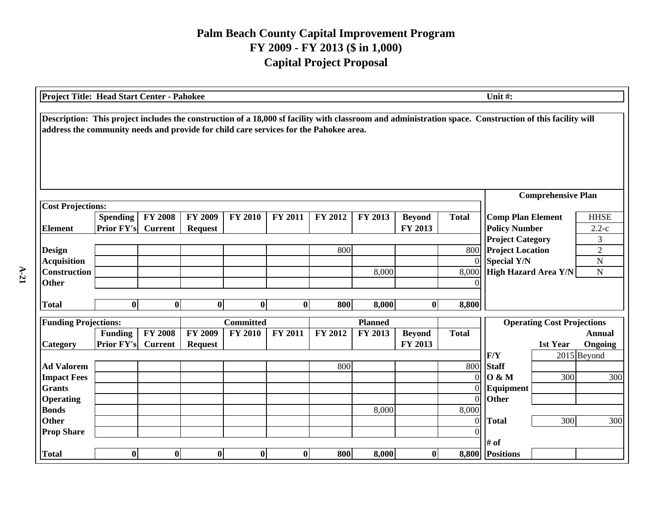| Project Title: Head Start Center - Pahokee                                                                                                                                                                                                       |                   |                |                |                  |                |                      |                |               |                 | Unit#:                                        |                                   |                                  |
|--------------------------------------------------------------------------------------------------------------------------------------------------------------------------------------------------------------------------------------------------|-------------------|----------------|----------------|------------------|----------------|----------------------|----------------|---------------|-----------------|-----------------------------------------------|-----------------------------------|----------------------------------|
| Description: This project includes the construction of a 18,000 sf facility with classroom and administration space. Construction of this facility will<br>address the community needs and provide for child care services for the Pahokee area. |                   |                |                |                  |                |                      |                |               |                 |                                               |                                   |                                  |
|                                                                                                                                                                                                                                                  |                   |                |                |                  |                |                      |                |               |                 |                                               | <b>Comprehensive Plan</b>         |                                  |
| <b>Cost Projections:</b>                                                                                                                                                                                                                         |                   |                |                |                  |                |                      |                |               |                 |                                               |                                   |                                  |
|                                                                                                                                                                                                                                                  | Spending          | <b>FY 2008</b> | FY 2009        | <b>FY 2010</b>   | FY 2011        | FY 2012              | FY 2013        | <b>Beyond</b> | <b>Total</b>    | <b>Comp Plan Element</b>                      |                                   | <b>HHSE</b>                      |
| <b>Element</b>                                                                                                                                                                                                                                   | <b>Prior FY's</b> | <b>Current</b> | <b>Request</b> |                  |                |                      |                | FY 2013       |                 | <b>Policy Number</b>                          |                                   | $2.2-c$                          |
|                                                                                                                                                                                                                                                  |                   |                |                |                  |                |                      |                |               |                 | <b>Project Category</b>                       |                                   | 3                                |
| <b>Design</b><br><b>Acquisition</b>                                                                                                                                                                                                              |                   |                |                |                  |                | 800                  |                |               | 800<br>$\Omega$ | <b>Project Location</b><br><b>Special Y/N</b> |                                   | $\overline{2}$<br>$\overline{N}$ |
| <b>Construction</b>                                                                                                                                                                                                                              |                   |                |                |                  | 8,000          | High Hazard Area Y/N |                | ${\bf N}$     |                 |                                               |                                   |                                  |
| <b>Other</b>                                                                                                                                                                                                                                     |                   |                |                | 0                |                |                      |                |               |                 |                                               |                                   |                                  |
|                                                                                                                                                                                                                                                  |                   |                |                |                  |                |                      |                |               |                 |                                               |                                   |                                  |
| <b>Total</b>                                                                                                                                                                                                                                     | $\bf{0}$          | $\bf{0}$       | $\bf{0}$       | $\bf{0}$         | $\bf{0}$       | 800                  | 8,000          | $\bf{0}$      | 8,800           |                                               |                                   |                                  |
| <b>Funding Projections:</b>                                                                                                                                                                                                                      |                   |                |                | <b>Committed</b> |                |                      | <b>Planned</b> |               |                 |                                               | <b>Operating Cost Projections</b> |                                  |
|                                                                                                                                                                                                                                                  | <b>Funding</b>    | <b>FY 2008</b> | <b>FY 2009</b> | <b>FY 2010</b>   | <b>FY 2011</b> | FY 2012              | FY 2013        | <b>Beyond</b> | <b>Total</b>    |                                               |                                   | <b>Annual</b>                    |
| Category                                                                                                                                                                                                                                         | <b>Prior FY's</b> | <b>Current</b> | <b>Request</b> |                  |                |                      |                | FY 2013       |                 |                                               | 1st Year                          | Ongoing                          |
|                                                                                                                                                                                                                                                  |                   |                |                |                  |                |                      |                |               |                 | F/Y                                           |                                   | 2015 Beyond                      |
| <b>Ad Valorem</b>                                                                                                                                                                                                                                |                   |                |                |                  |                | 800                  |                |               | 800             | <b>Staff</b>                                  |                                   |                                  |
| <b>Impact Fees</b>                                                                                                                                                                                                                               |                   |                |                |                  |                |                      |                |               | $\overline{0}$  | 0 & M                                         | 300                               | 300                              |
| <b>Grants</b>                                                                                                                                                                                                                                    |                   |                |                |                  |                |                      |                |               | $\overline{0}$  | Equipment                                     |                                   |                                  |
| <b>Operating</b>                                                                                                                                                                                                                                 |                   |                |                |                  |                |                      |                |               | $\Omega$        | Other                                         |                                   |                                  |
| <b>Bonds</b>                                                                                                                                                                                                                                     |                   |                |                |                  |                |                      | 8,000          |               | 8,000           |                                               |                                   |                                  |
| <b>Other</b>                                                                                                                                                                                                                                     |                   |                |                |                  |                |                      |                |               | $\overline{0}$  | <b>Total</b>                                  | 300                               | 300                              |
| <b>Prop Share</b>                                                                                                                                                                                                                                |                   |                |                |                  |                |                      |                |               | $\Omega$        |                                               |                                   |                                  |
|                                                                                                                                                                                                                                                  |                   |                |                |                  |                |                      |                |               |                 | # of                                          |                                   |                                  |
| <b>Total</b>                                                                                                                                                                                                                                     | $\bf{0}$          | $\bf{0}$       | $\bf{0}$       | $\bf{0}$         | $\bf{0}$       | 800                  | 8,000          | $\bf{0}$      |                 | 8,800 Positions                               |                                   |                                  |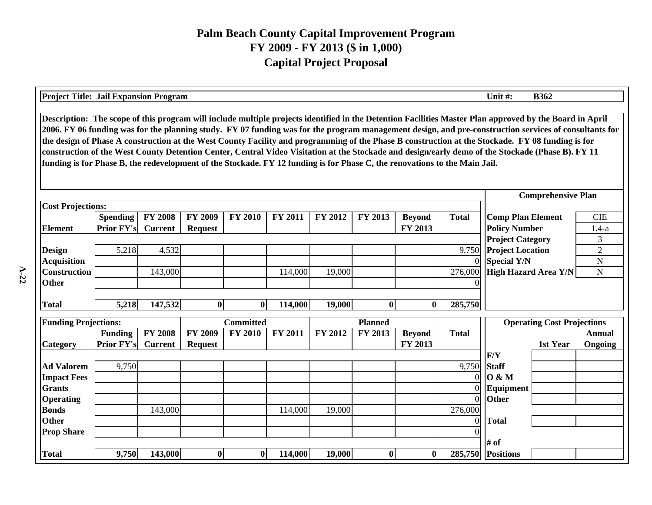| <b>Project Title: Jail Expansion Program</b> |                                                                                                                                                                                                                                                                                                                                                                                                                                                                                                                                                                                                                                                                                                                                                                                      |                |                                                  |                  |                       |         |                |               |              | Unit #:                     | <b>B362</b>                       |                |  |  |
|----------------------------------------------|--------------------------------------------------------------------------------------------------------------------------------------------------------------------------------------------------------------------------------------------------------------------------------------------------------------------------------------------------------------------------------------------------------------------------------------------------------------------------------------------------------------------------------------------------------------------------------------------------------------------------------------------------------------------------------------------------------------------------------------------------------------------------------------|----------------|--------------------------------------------------|------------------|-----------------------|---------|----------------|---------------|--------------|-----------------------------|-----------------------------------|----------------|--|--|
|                                              | Description: The scope of this program will include multiple projects identified in the Detention Facilities Master Plan approved by the Board in April<br>2006. FY 06 funding was for the planning study. FY 07 funding was for the program management design, and pre-construction services of consultants for<br>the design of Phase A construction at the West County Facility and programming of the Phase B construction at the Stockade. FY 08 funding is for<br>construction of the West County Detention Center, Central Video Visitation at the Stockade and design/early demo of the Stockade (Phase B). FY 11<br>funding is for Phase B, the redevelopment of the Stockade. FY 12 funding is for Phase C, the renovations to the Main Jail.<br><b>Comprehensive Plan</b> |                |                                                  |                  |                       |         |                |               |              |                             |                                   |                |  |  |
|                                              |                                                                                                                                                                                                                                                                                                                                                                                                                                                                                                                                                                                                                                                                                                                                                                                      |                |                                                  |                  |                       |         |                |               |              |                             |                                   |                |  |  |
| <b>Cost Projections:</b>                     |                                                                                                                                                                                                                                                                                                                                                                                                                                                                                                                                                                                                                                                                                                                                                                                      |                |                                                  |                  |                       |         |                |               |              |                             |                                   |                |  |  |
| <b>Element</b>                               | <b>Spending</b><br><b>Prior FY's</b>                                                                                                                                                                                                                                                                                                                                                                                                                                                                                                                                                                                                                                                                                                                                                 | <b>Total</b>   | <b>Comp Plan Element</b><br><b>Policy Number</b> |                  | <b>CIE</b><br>$1.4-a$ |         |                |               |              |                             |                                   |                |  |  |
|                                              |                                                                                                                                                                                                                                                                                                                                                                                                                                                                                                                                                                                                                                                                                                                                                                                      | <b>Current</b> | <b>Request</b>                                   |                  |                       |         |                | FY 2013       |              | <b>Project Category</b>     |                                   | 3              |  |  |
| <b>Design</b>                                | 5,218                                                                                                                                                                                                                                                                                                                                                                                                                                                                                                                                                                                                                                                                                                                                                                                | 4,532          |                                                  |                  |                       |         |                |               | 9,750        | <b>Project Location</b>     |                                   | $\overline{2}$ |  |  |
| <b>Acquisition</b>                           |                                                                                                                                                                                                                                                                                                                                                                                                                                                                                                                                                                                                                                                                                                                                                                                      |                |                                                  |                  |                       |         |                |               | $\Omega$     | <b>Special Y/N</b>          |                                   | N              |  |  |
| <b>Construction</b>                          |                                                                                                                                                                                                                                                                                                                                                                                                                                                                                                                                                                                                                                                                                                                                                                                      | 143,000        |                                                  |                  | 114,000               | 19,000  |                |               | 276,000      | <b>High Hazard Area Y/N</b> |                                   | ${\bf N}$      |  |  |
| <b>Other</b>                                 |                                                                                                                                                                                                                                                                                                                                                                                                                                                                                                                                                                                                                                                                                                                                                                                      |                |                                                  |                  |                       |         |                |               |              |                             |                                   |                |  |  |
|                                              |                                                                                                                                                                                                                                                                                                                                                                                                                                                                                                                                                                                                                                                                                                                                                                                      |                |                                                  |                  |                       |         |                |               |              |                             |                                   |                |  |  |
| <b>Total</b>                                 | 5,218                                                                                                                                                                                                                                                                                                                                                                                                                                                                                                                                                                                                                                                                                                                                                                                | 147,532        | $\bf{0}$                                         | $\mathbf{0}$     | 114,000               | 19,000  | $\mathbf 0$    | $\mathbf{0}$  | 285,750      |                             |                                   |                |  |  |
| <b>Funding Projections:</b>                  |                                                                                                                                                                                                                                                                                                                                                                                                                                                                                                                                                                                                                                                                                                                                                                                      |                |                                                  | <b>Committed</b> |                       |         | <b>Planned</b> |               |              |                             | <b>Operating Cost Projections</b> |                |  |  |
|                                              | <b>Funding</b>                                                                                                                                                                                                                                                                                                                                                                                                                                                                                                                                                                                                                                                                                                                                                                       | <b>FY 2008</b> | <b>FY 2009</b>                                   | <b>FY 2010</b>   | FY 2011               | FY 2012 | <b>FY 2013</b> | <b>Beyond</b> | <b>Total</b> |                             |                                   | <b>Annual</b>  |  |  |
| Category                                     | <b>Prior FY's</b>                                                                                                                                                                                                                                                                                                                                                                                                                                                                                                                                                                                                                                                                                                                                                                    | <b>Current</b> | <b>Request</b>                                   |                  |                       |         |                | FY 2013       |              |                             | 1st Year                          | Ongoing        |  |  |
|                                              |                                                                                                                                                                                                                                                                                                                                                                                                                                                                                                                                                                                                                                                                                                                                                                                      |                |                                                  |                  |                       |         |                |               |              | F/Y                         |                                   |                |  |  |
| <b>Ad Valorem</b>                            | 9,750                                                                                                                                                                                                                                                                                                                                                                                                                                                                                                                                                                                                                                                                                                                                                                                |                |                                                  |                  |                       |         |                |               | 9,750        | <b>Staff</b>                |                                   |                |  |  |
| <b>Impact Fees</b>                           |                                                                                                                                                                                                                                                                                                                                                                                                                                                                                                                                                                                                                                                                                                                                                                                      |                |                                                  |                  |                       |         |                |               |              | 0 & M                       |                                   |                |  |  |
| <b>Grants</b>                                |                                                                                                                                                                                                                                                                                                                                                                                                                                                                                                                                                                                                                                                                                                                                                                                      |                |                                                  |                  |                       |         |                |               |              | Equipment                   |                                   |                |  |  |
| <b>Operating</b>                             |                                                                                                                                                                                                                                                                                                                                                                                                                                                                                                                                                                                                                                                                                                                                                                                      |                |                                                  |                  |                       |         |                |               | $\Omega$     | Other                       |                                   |                |  |  |
| <b>Bonds</b>                                 |                                                                                                                                                                                                                                                                                                                                                                                                                                                                                                                                                                                                                                                                                                                                                                                      | 143,000        |                                                  |                  | 114,000               | 19,000  |                |               | 276,000      |                             |                                   |                |  |  |
| Other                                        |                                                                                                                                                                                                                                                                                                                                                                                                                                                                                                                                                                                                                                                                                                                                                                                      |                |                                                  |                  |                       |         |                |               | $\theta$     | <b>Total</b>                |                                   |                |  |  |
| <b>Prop Share</b>                            |                                                                                                                                                                                                                                                                                                                                                                                                                                                                                                                                                                                                                                                                                                                                                                                      |                |                                                  |                  |                       |         |                |               |              |                             |                                   |                |  |  |
|                                              |                                                                                                                                                                                                                                                                                                                                                                                                                                                                                                                                                                                                                                                                                                                                                                                      |                |                                                  |                  |                       |         |                |               |              | # of                        |                                   |                |  |  |
| <b>Total</b>                                 | 9,750                                                                                                                                                                                                                                                                                                                                                                                                                                                                                                                                                                                                                                                                                                                                                                                | 143,000        | $\bf{0}$                                         | $\bf{0}$         | 114,000               | 19,000  | $\mathbf{0}$   | $\mathbf{0}$  |              | 285,750 Positions           |                                   |                |  |  |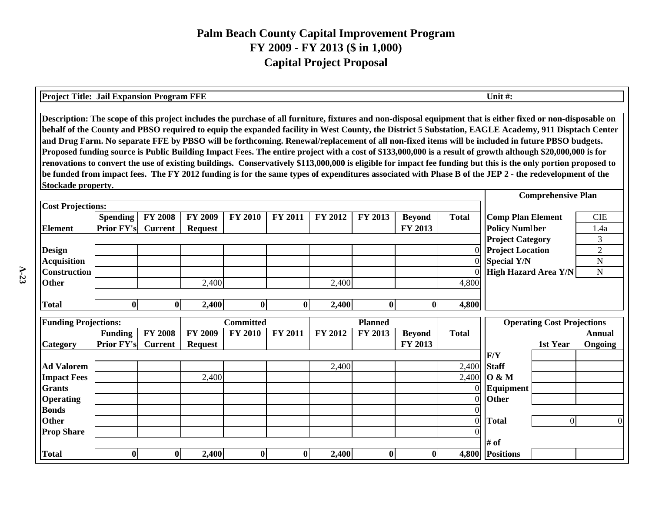| <b>Project Title: Jail Expansion Program FFE</b> |                                                                                                                                                                                                                                                                                                                                                                                                                                                                                                                                                                                                                                                                                                                                                                                                                                                                                                                                                                                                                    |                                  |                |                                                   |                    |                    |                |               |                | Unit#:                  |                                   |                |  |
|--------------------------------------------------|--------------------------------------------------------------------------------------------------------------------------------------------------------------------------------------------------------------------------------------------------------------------------------------------------------------------------------------------------------------------------------------------------------------------------------------------------------------------------------------------------------------------------------------------------------------------------------------------------------------------------------------------------------------------------------------------------------------------------------------------------------------------------------------------------------------------------------------------------------------------------------------------------------------------------------------------------------------------------------------------------------------------|----------------------------------|----------------|---------------------------------------------------|--------------------|--------------------|----------------|---------------|----------------|-------------------------|-----------------------------------|----------------|--|
|                                                  | Description: The scope of this project includes the purchase of all furniture, fixtures and non-disposal equipment that is either fixed or non-disposable on<br>behalf of the County and PBSO required to equip the expanded facility in West County, the District 5 Substation, EAGLE Academy, 911 Disptach Center<br>and Drug Farm. No separate FFE by PBSO will be forthcoming. Renewal/replacement of all non-fixed items will be included in future PBSO budgets.<br>Proposed funding source is Public Building Impact Fees. The entire project with a cost of \$133,000,000 is a result of growth although \$20,000,000 is for<br>renovations to convert the use of existing buildings. Conservatively \$113,000,000 is eligible for impact fee funding but this is the only portion proposed to<br>be funded from impact fees. The FY 2012 funding is for the same types of expenditures associated with Phase B of the JEP 2 - the redevelopment of the<br>Stockade property.<br><b>Comprehensive Plan</b> |                                  |                |                                                   |                    |                    |                |               |                |                         |                                   |                |  |
|                                                  |                                                                                                                                                                                                                                                                                                                                                                                                                                                                                                                                                                                                                                                                                                                                                                                                                                                                                                                                                                                                                    |                                  |                |                                                   |                    |                    |                |               |                |                         |                                   |                |  |
| <b>Cost Projections:</b>                         |                                                                                                                                                                                                                                                                                                                                                                                                                                                                                                                                                                                                                                                                                                                                                                                                                                                                                                                                                                                                                    |                                  |                |                                                   |                    |                    |                |               |                |                         |                                   |                |  |
| <b>Element</b>                                   | <b>Spending</b><br><b>Prior FY's</b>                                                                                                                                                                                                                                                                                                                                                                                                                                                                                                                                                                                                                                                                                                                                                                                                                                                                                                                                                                               | <b>FY 2008</b><br><b>Current</b> | <b>Total</b>   | <b>Comp Plan Element</b><br><b>Policy Numlber</b> |                    | <b>CIE</b><br>1.4a |                |               |                |                         |                                   |                |  |
|                                                  |                                                                                                                                                                                                                                                                                                                                                                                                                                                                                                                                                                                                                                                                                                                                                                                                                                                                                                                                                                                                                    |                                  |                |                                                   |                    |                    |                |               |                | <b>Project Category</b> |                                   | 3              |  |
| <b>Design</b>                                    |                                                                                                                                                                                                                                                                                                                                                                                                                                                                                                                                                                                                                                                                                                                                                                                                                                                                                                                                                                                                                    |                                  |                |                                                   |                    |                    |                |               | $\Omega$       | <b>Project Location</b> |                                   | $\overline{2}$ |  |
| <b>Acquisition</b>                               |                                                                                                                                                                                                                                                                                                                                                                                                                                                                                                                                                                                                                                                                                                                                                                                                                                                                                                                                                                                                                    |                                  |                | $\Omega$                                          | <b>Special Y/N</b> |                    | N              |               |                |                         |                                   |                |  |
| <b>Construction</b>                              |                                                                                                                                                                                                                                                                                                                                                                                                                                                                                                                                                                                                                                                                                                                                                                                                                                                                                                                                                                                                                    |                                  |                |                                                   |                    |                    |                |               |                | High Hazard Area Y/N    |                                   | $\mathbf N$    |  |
| <b>Other</b>                                     |                                                                                                                                                                                                                                                                                                                                                                                                                                                                                                                                                                                                                                                                                                                                                                                                                                                                                                                                                                                                                    |                                  | 2,400          |                                                   |                    | 2,400              |                |               | 4,800          |                         |                                   |                |  |
| <b>Total</b>                                     | $\bf{0}$                                                                                                                                                                                                                                                                                                                                                                                                                                                                                                                                                                                                                                                                                                                                                                                                                                                                                                                                                                                                           | $\bf{0}$                         | 2,400          | $\boldsymbol{0}$                                  | 0                  | 2,400              | $\mathbf{0}$   | $\bf{0}$      | 4,800          |                         |                                   |                |  |
|                                                  |                                                                                                                                                                                                                                                                                                                                                                                                                                                                                                                                                                                                                                                                                                                                                                                                                                                                                                                                                                                                                    |                                  |                |                                                   |                    |                    |                |               |                |                         |                                   |                |  |
| <b>Funding Projections:</b>                      |                                                                                                                                                                                                                                                                                                                                                                                                                                                                                                                                                                                                                                                                                                                                                                                                                                                                                                                                                                                                                    |                                  |                | <b>Committed</b>                                  |                    |                    | <b>Planned</b> |               |                |                         | <b>Operating Cost Projections</b> |                |  |
|                                                  | <b>Funding</b>                                                                                                                                                                                                                                                                                                                                                                                                                                                                                                                                                                                                                                                                                                                                                                                                                                                                                                                                                                                                     | <b>FY 2008</b>                   | <b>FY 2009</b> | <b>FY 2010</b>                                    | FY 2011            | FY 2012            | FY 2013        | <b>Beyond</b> | <b>Total</b>   |                         |                                   | Annual         |  |
| Category                                         | <b>Prior FY's</b>                                                                                                                                                                                                                                                                                                                                                                                                                                                                                                                                                                                                                                                                                                                                                                                                                                                                                                                                                                                                  | <b>Current</b>                   | <b>Request</b> |                                                   |                    |                    |                | FY 2013       |                |                         | 1st Year                          | Ongoing        |  |
| <b>Ad Valorem</b>                                |                                                                                                                                                                                                                                                                                                                                                                                                                                                                                                                                                                                                                                                                                                                                                                                                                                                                                                                                                                                                                    |                                  |                |                                                   |                    | 2,400              |                |               | 2,400          | F/Y<br><b>Staff</b>     |                                   |                |  |
| <b>Impact Fees</b>                               |                                                                                                                                                                                                                                                                                                                                                                                                                                                                                                                                                                                                                                                                                                                                                                                                                                                                                                                                                                                                                    |                                  | 2,400          |                                                   |                    |                    |                |               | 2,400          | $\overline{O}$ & M      |                                   |                |  |
| <b>Grants</b>                                    |                                                                                                                                                                                                                                                                                                                                                                                                                                                                                                                                                                                                                                                                                                                                                                                                                                                                                                                                                                                                                    |                                  |                |                                                   |                    |                    |                |               |                | Equipment               |                                   |                |  |
| <b>Operating</b>                                 |                                                                                                                                                                                                                                                                                                                                                                                                                                                                                                                                                                                                                                                                                                                                                                                                                                                                                                                                                                                                                    |                                  |                |                                                   |                    |                    |                |               | $\Omega$       | <b>Other</b>            |                                   |                |  |
| <b>Bonds</b>                                     |                                                                                                                                                                                                                                                                                                                                                                                                                                                                                                                                                                                                                                                                                                                                                                                                                                                                                                                                                                                                                    |                                  |                |                                                   |                    |                    |                |               |                |                         |                                   |                |  |
| <b>Other</b>                                     |                                                                                                                                                                                                                                                                                                                                                                                                                                                                                                                                                                                                                                                                                                                                                                                                                                                                                                                                                                                                                    |                                  |                |                                                   |                    |                    |                |               | $\overline{0}$ | <b>Total</b>            | 0                                 |                |  |
| <b>Prop Share</b>                                |                                                                                                                                                                                                                                                                                                                                                                                                                                                                                                                                                                                                                                                                                                                                                                                                                                                                                                                                                                                                                    |                                  |                |                                                   |                    |                    |                |               |                |                         |                                   |                |  |
|                                                  |                                                                                                                                                                                                                                                                                                                                                                                                                                                                                                                                                                                                                                                                                                                                                                                                                                                                                                                                                                                                                    |                                  |                |                                                   |                    |                    |                |               |                | # of                    |                                   |                |  |
| <b>Total</b>                                     | $\bf{0}$                                                                                                                                                                                                                                                                                                                                                                                                                                                                                                                                                                                                                                                                                                                                                                                                                                                                                                                                                                                                           | $\mathbf{0}$                     | 2,400          | $\boldsymbol{0}$                                  | $\mathbf{0}$       | 2,400              | $\bf{0}$       | $\mathbf{0}$  | 4,800          | <b>Positions</b>        |                                   |                |  |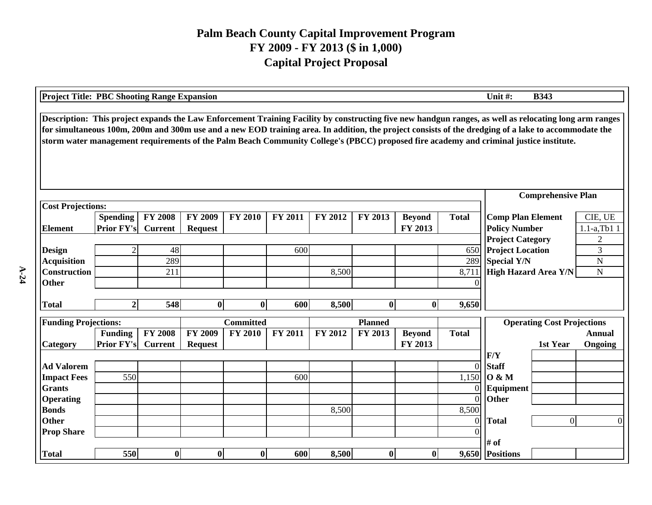| <b>Project Title: PBC Shooting Range Expansion</b> |                                                                                                                                                                                                                                                                                                                                                                                                                                                          |                |                |                  |         |                |                |               |              | Unit#:                      | <b>B343</b>                       |                 |  |  |
|----------------------------------------------------|----------------------------------------------------------------------------------------------------------------------------------------------------------------------------------------------------------------------------------------------------------------------------------------------------------------------------------------------------------------------------------------------------------------------------------------------------------|----------------|----------------|------------------|---------|----------------|----------------|---------------|--------------|-----------------------------|-----------------------------------|-----------------|--|--|
|                                                    | Description: This project expands the Law Enforcement Training Facility by constructing five new handgun ranges, as well as relocating long arm ranges<br>for simultaneous 100m, 200m and 300m use and a new EOD training area. In addition, the project consists of the dredging of a lake to accommodate the<br>storm water management requirements of the Palm Beach Community College's (PBCC) proposed fire academy and criminal justice institute. |                |                |                  |         |                |                |               |              |                             |                                   |                 |  |  |
|                                                    |                                                                                                                                                                                                                                                                                                                                                                                                                                                          |                |                |                  |         |                |                |               |              |                             | <b>Comprehensive Plan</b>         |                 |  |  |
| <b>Cost Projections:</b>                           |                                                                                                                                                                                                                                                                                                                                                                                                                                                          |                |                |                  |         |                |                |               |              |                             |                                   |                 |  |  |
|                                                    | <b>Spending</b>                                                                                                                                                                                                                                                                                                                                                                                                                                          | <b>FY 2008</b> | <b>FY 2009</b> | <b>FY 2010</b>   | FY 2011 | <b>FY 2012</b> | FY 2013        | <b>Beyond</b> | <b>Total</b> | <b>Comp Plan Element</b>    |                                   | CIE, UE         |  |  |
| <b>Element</b>                                     | <b>Prior FY's</b>                                                                                                                                                                                                                                                                                                                                                                                                                                        | <b>Current</b> | <b>Request</b> |                  |         |                |                | FY 2013       |              | <b>Policy Number</b>        |                                   | $1.1-a$ , Tb1 1 |  |  |
|                                                    |                                                                                                                                                                                                                                                                                                                                                                                                                                                          |                |                |                  |         |                |                |               |              | <b>Project Category</b>     |                                   | $\overline{2}$  |  |  |
| <b>Design</b>                                      | $\overline{2}$                                                                                                                                                                                                                                                                                                                                                                                                                                           | 48             |                |                  | 600     |                |                |               | 650          | <b>Project Location</b>     |                                   | 3               |  |  |
| <b>Acquisition</b>                                 |                                                                                                                                                                                                                                                                                                                                                                                                                                                          | 289            |                |                  |         |                |                |               | 289          | Special Y/N                 |                                   | ${\bf N}$       |  |  |
| <b>Construction</b>                                |                                                                                                                                                                                                                                                                                                                                                                                                                                                          | 211            |                |                  |         | 8,500          |                |               | 8,711        | <b>High Hazard Area Y/N</b> |                                   | $\mathbf N$     |  |  |
| <b>Other</b>                                       |                                                                                                                                                                                                                                                                                                                                                                                                                                                          |                |                |                  |         |                |                |               |              |                             |                                   |                 |  |  |
|                                                    |                                                                                                                                                                                                                                                                                                                                                                                                                                                          |                |                |                  |         |                |                |               |              |                             |                                   |                 |  |  |
| <b>Total</b>                                       | $\overline{2}$                                                                                                                                                                                                                                                                                                                                                                                                                                           | 548            | $\bf{0}$       | $\bf{0}$         | 600     | 8,500          | $\bf{0}$       | $\bf{0}$      | 9,650        |                             |                                   |                 |  |  |
| <b>Funding Projections:</b>                        |                                                                                                                                                                                                                                                                                                                                                                                                                                                          |                |                | <b>Committed</b> |         |                | <b>Planned</b> |               |              |                             | <b>Operating Cost Projections</b> |                 |  |  |
|                                                    | <b>Funding</b>                                                                                                                                                                                                                                                                                                                                                                                                                                           | <b>FY 2008</b> | <b>FY 2009</b> | <b>FY 2010</b>   | FY 2011 | FY 2012        | FY 2013        | <b>Beyond</b> | <b>Total</b> |                             |                                   | <b>Annual</b>   |  |  |
| Category                                           | Prior FY's                                                                                                                                                                                                                                                                                                                                                                                                                                               | <b>Current</b> | <b>Request</b> |                  |         |                |                | FY 2013       |              |                             | 1st Year                          | Ongoing         |  |  |
|                                                    |                                                                                                                                                                                                                                                                                                                                                                                                                                                          |                |                |                  |         |                |                |               |              | F/Y                         |                                   |                 |  |  |
| <b>Ad Valorem</b>                                  |                                                                                                                                                                                                                                                                                                                                                                                                                                                          |                |                |                  |         |                |                |               | $\Omega$     | <b>Staff</b>                |                                   |                 |  |  |
| <b>Impact Fees</b>                                 | 550                                                                                                                                                                                                                                                                                                                                                                                                                                                      |                |                |                  | 600     |                |                |               | 1,150        | $\overline{O}$ & M          |                                   |                 |  |  |
| <b>Grants</b>                                      |                                                                                                                                                                                                                                                                                                                                                                                                                                                          |                |                |                  |         |                |                |               | ΩI           | Equipment                   |                                   |                 |  |  |
| <b>Operating</b>                                   |                                                                                                                                                                                                                                                                                                                                                                                                                                                          |                |                |                  |         |                |                |               | $\Omega$     | Other                       |                                   |                 |  |  |
| <b>Bonds</b>                                       |                                                                                                                                                                                                                                                                                                                                                                                                                                                          |                |                |                  |         | 8,500          |                |               | 8,500        |                             |                                   |                 |  |  |
| <b>Other</b>                                       |                                                                                                                                                                                                                                                                                                                                                                                                                                                          |                |                |                  |         |                |                |               | $\Omega$     | <b>Total</b>                | $\overline{0}$                    | $\Omega$        |  |  |
| <b>Prop Share</b>                                  |                                                                                                                                                                                                                                                                                                                                                                                                                                                          |                |                |                  |         |                |                |               |              |                             |                                   |                 |  |  |
|                                                    |                                                                                                                                                                                                                                                                                                                                                                                                                                                          |                |                |                  |         |                |                |               |              | # of                        |                                   |                 |  |  |
| <b>Total</b>                                       | 550                                                                                                                                                                                                                                                                                                                                                                                                                                                      | $\bf{0}$       | $\bf{0}$       | $\bf{0}$         | 600     | 8,500          | $\bf{0}$       | $\bf{0}$      |              | 9,650 Positions             |                                   |                 |  |  |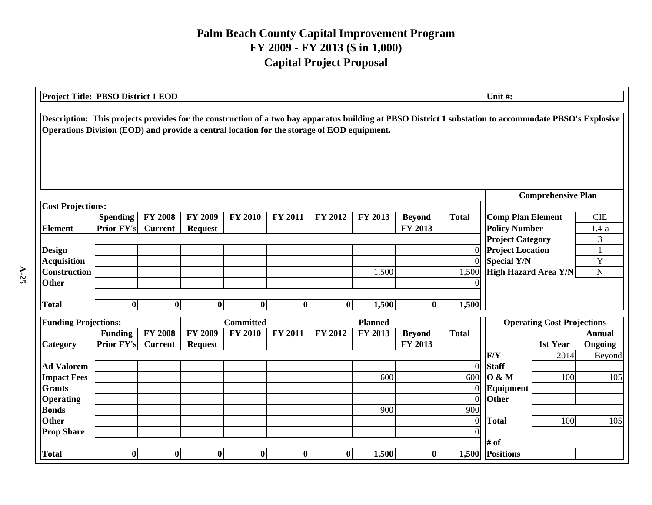|                             | Project Title: PBSO District 1 EOD<br>Unit#:                                                                                                                                                                                                         |                |                          |                  |                             |          |                |                          |                |                         |                                   |                   |  |  |
|-----------------------------|------------------------------------------------------------------------------------------------------------------------------------------------------------------------------------------------------------------------------------------------------|----------------|--------------------------|------------------|-----------------------------|----------|----------------|--------------------------|----------------|-------------------------|-----------------------------------|-------------------|--|--|
|                             | Description: This projects provides for the construction of a two bay apparatus building at PBSO District 1 substation to accommodate PBSO's Explosive<br>Operations Division (EOD) and provide a central location for the storage of EOD equipment. |                |                          |                  |                             |          |                |                          |                |                         |                                   |                   |  |  |
|                             |                                                                                                                                                                                                                                                      |                |                          |                  |                             |          |                |                          |                |                         | <b>Comprehensive Plan</b>         |                   |  |  |
| <b>Cost Projections:</b>    |                                                                                                                                                                                                                                                      |                |                          |                  |                             |          |                |                          |                |                         |                                   |                   |  |  |
|                             | <b>Spending</b>                                                                                                                                                                                                                                      | <b>Total</b>   | <b>Comp Plan Element</b> |                  | <b>CIE</b>                  |          |                |                          |                |                         |                                   |                   |  |  |
| <b>Element</b>              | <b>Prior FY's</b>                                                                                                                                                                                                                                    | <b>Current</b> | <b>Request</b>           |                  |                             |          |                | FY 2013                  |                | <b>Policy Number</b>    |                                   | $1.4-a$           |  |  |
|                             |                                                                                                                                                                                                                                                      |                |                          |                  |                             |          |                |                          |                | <b>Project Category</b> |                                   | 3                 |  |  |
| <b>Design</b>               |                                                                                                                                                                                                                                                      |                |                          |                  |                             |          |                |                          | $\overline{0}$ | <b>Project Location</b> |                                   |                   |  |  |
| <b>Acquisition</b>          |                                                                                                                                                                                                                                                      |                |                          | $\Omega$         | <b>Special Y/N</b>          |          | Y              |                          |                |                         |                                   |                   |  |  |
| <b>Construction</b>         |                                                                                                                                                                                                                                                      |                |                          | 1,500            | <b>High Hazard Area Y/N</b> |          | $\mathbf N$    |                          |                |                         |                                   |                   |  |  |
| <b>Other</b>                |                                                                                                                                                                                                                                                      |                |                          |                  |                             |          |                |                          |                |                         |                                   |                   |  |  |
| <b>Total</b>                | $\bf{0}$                                                                                                                                                                                                                                             | $\bf{0}$       | $\bf{0}$                 | $\bf{0}$         | $\mathbf{0}$                | $\bf{0}$ | 1,500          | $\mathbf{0}$             | 1,500          |                         |                                   |                   |  |  |
|                             |                                                                                                                                                                                                                                                      |                |                          |                  |                             |          |                |                          |                |                         |                                   |                   |  |  |
| <b>Funding Projections:</b> |                                                                                                                                                                                                                                                      |                |                          | <b>Committed</b> |                             |          | <b>Planned</b> |                          |                |                         | <b>Operating Cost Projections</b> |                   |  |  |
|                             | Funding<br><b>Prior FY's</b>                                                                                                                                                                                                                         | <b>FY 2008</b> | <b>FY 2009</b>           | <b>FY 2010</b>   | <b>FY 2011</b>              | FY 2012  | FY 2013        | <b>Beyond</b><br>FY 2013 | <b>Total</b>   |                         |                                   | <b>Annual</b>     |  |  |
| Category                    |                                                                                                                                                                                                                                                      | <b>Current</b> | <b>Request</b>           |                  |                             |          |                |                          |                | F/Y                     | 1st Year<br>2014                  | Ongoing<br>Beyond |  |  |
| <b>Ad Valorem</b>           |                                                                                                                                                                                                                                                      |                |                          |                  |                             |          |                |                          | $\overline{0}$ | <b>Staff</b>            |                                   |                   |  |  |
| <b>Impact Fees</b>          |                                                                                                                                                                                                                                                      |                |                          |                  |                             |          | 600            |                          | 600            | 0 & M                   | 100                               | 105               |  |  |
| <b>Grants</b>               |                                                                                                                                                                                                                                                      |                |                          |                  |                             |          |                |                          | $\theta$       | Equipment               |                                   |                   |  |  |
| <b>Operating</b>            |                                                                                                                                                                                                                                                      |                |                          |                  |                             |          |                |                          | $\Omega$       | Other                   |                                   |                   |  |  |
| <b>Bonds</b>                |                                                                                                                                                                                                                                                      |                |                          |                  |                             |          | 900            |                          | 900            |                         |                                   |                   |  |  |
| <b>Other</b>                |                                                                                                                                                                                                                                                      |                |                          |                  |                             |          |                |                          | $\Omega$       | <b>Total</b>            | 100                               | 105               |  |  |
| <b>Prop Share</b>           |                                                                                                                                                                                                                                                      |                |                          |                  |                             |          |                |                          |                |                         |                                   |                   |  |  |
|                             |                                                                                                                                                                                                                                                      |                |                          |                  |                             |          |                |                          |                | # of                    |                                   |                   |  |  |
| <b>Total</b>                | $\bf{0}$                                                                                                                                                                                                                                             | $\bf{0}$       | $\bf{0}$                 | $\bf{0}$         | $\bf{0}$                    | $\bf{0}$ | 1,500          | $\bf{0}$                 |                | 1,500 Positions         |                                   |                   |  |  |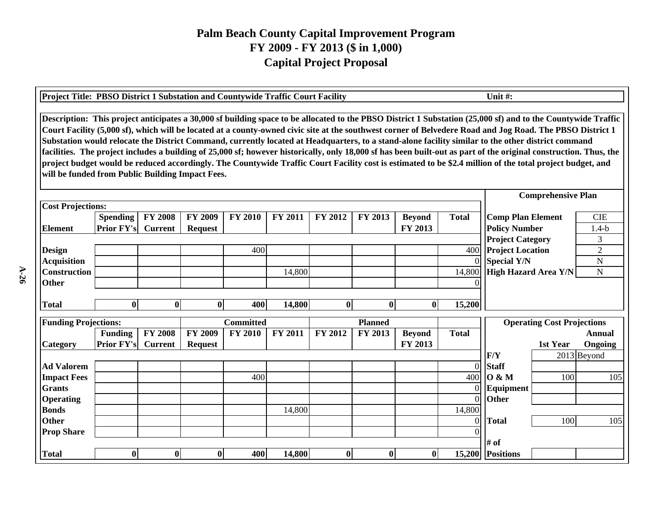| Project Title: PBSO District 1 Substation and Countywide Traffic Court Facility |                                                                                                                                                                                                                                                                                                                                                                                                                                                                                                                                                                                                                                                                                                                                                                                                                                                                       |                |                           |                  |                |                |                  |               |              | Unit#:                            |                |  |  |  |
|---------------------------------------------------------------------------------|-----------------------------------------------------------------------------------------------------------------------------------------------------------------------------------------------------------------------------------------------------------------------------------------------------------------------------------------------------------------------------------------------------------------------------------------------------------------------------------------------------------------------------------------------------------------------------------------------------------------------------------------------------------------------------------------------------------------------------------------------------------------------------------------------------------------------------------------------------------------------|----------------|---------------------------|------------------|----------------|----------------|------------------|---------------|--------------|-----------------------------------|----------------|--|--|--|
|                                                                                 | Description: This project anticipates a 30,000 sf building space to be allocated to the PBSO District 1 Substation (25,000 sf) and to the Countywide Traffic<br>Court Facility (5,000 sf), which will be located at a county-owned civic site at the southwest corner of Belvedere Road and Jog Road. The PBSO District 1<br>Substation would relocate the District Command, currently located at Headquarters, to a stand-alone facility similar to the other district command<br>facilities. The project includes a building of 25,000 sf; however historically, only 18,000 sf has been built-out as part of the original construction. Thus, the<br>project budget would be reduced accordingly. The Countywide Traffic Court Facility cost is estimated to be \$2.4 million of the total project budget, and<br>will be funded from Public Building Impact Fees. |                |                           |                  |                |                |                  |               |              |                                   |                |  |  |  |
|                                                                                 |                                                                                                                                                                                                                                                                                                                                                                                                                                                                                                                                                                                                                                                                                                                                                                                                                                                                       |                | <b>Comprehensive Plan</b> |                  |                |                |                  |               |              |                                   |                |  |  |  |
| <b>Cost Projections:</b>                                                        |                                                                                                                                                                                                                                                                                                                                                                                                                                                                                                                                                                                                                                                                                                                                                                                                                                                                       |                |                           |                  |                |                |                  |               |              |                                   |                |  |  |  |
|                                                                                 | <b>Spending</b>                                                                                                                                                                                                                                                                                                                                                                                                                                                                                                                                                                                                                                                                                                                                                                                                                                                       | <b>FY 2008</b> | <b>FY 2009</b>            | <b>FY 2010</b>   | <b>FY 2011</b> | <b>FY 2012</b> | FY 2013          | <b>Beyond</b> | <b>Total</b> | <b>Comp Plan Element</b>          | <b>CIE</b>     |  |  |  |
| <b>Element</b>                                                                  | <b>Prior FY's</b>                                                                                                                                                                                                                                                                                                                                                                                                                                                                                                                                                                                                                                                                                                                                                                                                                                                     | <b>Current</b> | <b>Request</b>            |                  |                |                |                  | FY 2013       |              | <b>Policy Number</b>              | $1.4-b$        |  |  |  |
|                                                                                 |                                                                                                                                                                                                                                                                                                                                                                                                                                                                                                                                                                                                                                                                                                                                                                                                                                                                       |                |                           |                  |                |                |                  |               |              | <b>Project Category</b>           | 3              |  |  |  |
| <b>Design</b>                                                                   |                                                                                                                                                                                                                                                                                                                                                                                                                                                                                                                                                                                                                                                                                                                                                                                                                                                                       |                |                           | 400              |                |                |                  |               | 400          | <b>Project Location</b>           | $\overline{2}$ |  |  |  |
| <b>Acquisition</b>                                                              |                                                                                                                                                                                                                                                                                                                                                                                                                                                                                                                                                                                                                                                                                                                                                                                                                                                                       |                |                           |                  |                |                |                  |               |              | <b>Special Y/N</b>                | ${\bf N}$      |  |  |  |
| <b>Construction</b>                                                             |                                                                                                                                                                                                                                                                                                                                                                                                                                                                                                                                                                                                                                                                                                                                                                                                                                                                       |                |                           |                  | 14,800         |                |                  |               | 14,800       | High Hazard Area Y/N              | ${\bf N}$      |  |  |  |
| <b>Other</b>                                                                    |                                                                                                                                                                                                                                                                                                                                                                                                                                                                                                                                                                                                                                                                                                                                                                                                                                                                       |                |                           |                  |                |                |                  |               | $\Omega$     |                                   |                |  |  |  |
|                                                                                 |                                                                                                                                                                                                                                                                                                                                                                                                                                                                                                                                                                                                                                                                                                                                                                                                                                                                       |                |                           |                  |                |                |                  |               |              |                                   |                |  |  |  |
| <b>Total</b>                                                                    | $\mathbf{0}$                                                                                                                                                                                                                                                                                                                                                                                                                                                                                                                                                                                                                                                                                                                                                                                                                                                          | $\bf{0}$       | $\bf{0}$                  | 400              | 14,800         | $\bf{0}$       | $\bf{0}$         | $\mathbf{0}$  | 15,200       |                                   |                |  |  |  |
| <b>Funding Projections:</b>                                                     |                                                                                                                                                                                                                                                                                                                                                                                                                                                                                                                                                                                                                                                                                                                                                                                                                                                                       |                |                           | <b>Committed</b> |                |                | <b>Planned</b>   |               |              | <b>Operating Cost Projections</b> |                |  |  |  |
|                                                                                 | <b>Funding</b>                                                                                                                                                                                                                                                                                                                                                                                                                                                                                                                                                                                                                                                                                                                                                                                                                                                        | <b>FY 2008</b> | <b>FY 2009</b>            | <b>FY 2010</b>   | <b>FY 2011</b> | FY 2012        | FY 2013          | <b>Beyond</b> | <b>Total</b> |                                   | <b>Annual</b>  |  |  |  |
| Category                                                                        | <b>Prior FY's</b>                                                                                                                                                                                                                                                                                                                                                                                                                                                                                                                                                                                                                                                                                                                                                                                                                                                     | <b>Current</b> | <b>Request</b>            |                  |                |                |                  | FY 2013       |              | 1st Year                          | Ongoing        |  |  |  |
|                                                                                 |                                                                                                                                                                                                                                                                                                                                                                                                                                                                                                                                                                                                                                                                                                                                                                                                                                                                       |                |                           |                  |                |                |                  |               |              | F/Y<br>2013 Beyond                |                |  |  |  |
| <b>Ad Valorem</b>                                                               |                                                                                                                                                                                                                                                                                                                                                                                                                                                                                                                                                                                                                                                                                                                                                                                                                                                                       |                |                           |                  |                |                |                  |               | $\Omega$     | <b>Staff</b>                      |                |  |  |  |
| <b>Impact Fees</b>                                                              |                                                                                                                                                                                                                                                                                                                                                                                                                                                                                                                                                                                                                                                                                                                                                                                                                                                                       |                |                           | 400              |                |                |                  |               | 400          | <b>O</b> & M<br>100               | 105            |  |  |  |
| <b>Grants</b>                                                                   |                                                                                                                                                                                                                                                                                                                                                                                                                                                                                                                                                                                                                                                                                                                                                                                                                                                                       |                |                           |                  |                |                |                  |               | $\Omega$     | Equipment                         |                |  |  |  |
| <b>Operating</b>                                                                |                                                                                                                                                                                                                                                                                                                                                                                                                                                                                                                                                                                                                                                                                                                                                                                                                                                                       |                |                           |                  |                |                |                  |               | $\Omega$     | <b>Other</b>                      |                |  |  |  |
| <b>Bonds</b>                                                                    |                                                                                                                                                                                                                                                                                                                                                                                                                                                                                                                                                                                                                                                                                                                                                                                                                                                                       |                |                           |                  | 14,800         |                |                  |               | 14,800       |                                   |                |  |  |  |
| <b>Other</b>                                                                    |                                                                                                                                                                                                                                                                                                                                                                                                                                                                                                                                                                                                                                                                                                                                                                                                                                                                       |                |                           |                  |                |                |                  |               | $\Omega$     | 100<br><b>Total</b>               | 105            |  |  |  |
| <b>Prop Share</b>                                                               |                                                                                                                                                                                                                                                                                                                                                                                                                                                                                                                                                                                                                                                                                                                                                                                                                                                                       |                |                           |                  |                |                |                  |               |              |                                   |                |  |  |  |
|                                                                                 |                                                                                                                                                                                                                                                                                                                                                                                                                                                                                                                                                                                                                                                                                                                                                                                                                                                                       |                |                           |                  |                |                |                  |               |              | # of                              |                |  |  |  |
| <b>Total</b>                                                                    | $\bf{0}$                                                                                                                                                                                                                                                                                                                                                                                                                                                                                                                                                                                                                                                                                                                                                                                                                                                              | $\bf{0}$       | $\mathbf{0}$              | 400              | 14,800         | $\bf{0}$       | $\boldsymbol{0}$ | $\mathbf{0}$  | 15,200       | <b>Positions</b>                  |                |  |  |  |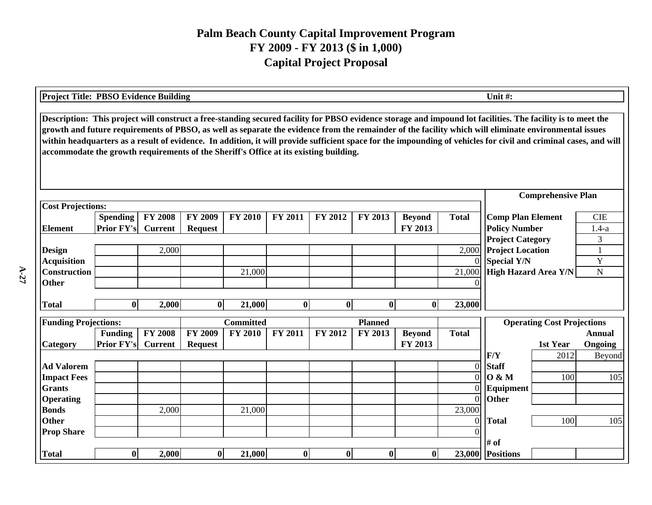| Unit #:<br><b>Project Title: PBSO Evidence Building</b>                                                                                                                                                                                                                                                                                                                                                                                                                                                                                                                           |                   |                |                |                  |          |                  |                |               |              |                             |                                   |               |
|-----------------------------------------------------------------------------------------------------------------------------------------------------------------------------------------------------------------------------------------------------------------------------------------------------------------------------------------------------------------------------------------------------------------------------------------------------------------------------------------------------------------------------------------------------------------------------------|-------------------|----------------|----------------|------------------|----------|------------------|----------------|---------------|--------------|-----------------------------|-----------------------------------|---------------|
| Description: This project will construct a free-standing secured facility for PBSO evidence storage and impound lot facilities. The facility is to meet the<br>growth and future requirements of PBSO, as well as separate the evidence from the remainder of the facility which will eliminate environmental issues<br>within headquarters as a result of evidence. In addition, it will provide sufficient space for the impounding of vehicles for civil and criminal cases, and will<br>accommodate the growth requirements of the Sheriff's Office at its existing building. |                   |                |                |                  |          |                  |                |               |              |                             |                                   |               |
|                                                                                                                                                                                                                                                                                                                                                                                                                                                                                                                                                                                   |                   |                |                |                  |          |                  |                |               |              |                             | <b>Comprehensive Plan</b>         |               |
| <b>Cost Projections:</b>                                                                                                                                                                                                                                                                                                                                                                                                                                                                                                                                                          |                   |                |                |                  |          |                  |                |               |              |                             |                                   |               |
|                                                                                                                                                                                                                                                                                                                                                                                                                                                                                                                                                                                   | <b>Spending</b>   | <b>FY 2008</b> | FY 2009        | <b>FY 2010</b>   | FY 2011  | FY 2012          | FY 2013        | <b>Beyond</b> | <b>Total</b> | <b>Comp Plan Element</b>    |                                   | <b>CIE</b>    |
| <b>Element</b>                                                                                                                                                                                                                                                                                                                                                                                                                                                                                                                                                                    | <b>Prior FY's</b> | <b>Current</b> | <b>Request</b> |                  |          |                  |                | FY 2013       |              | <b>Policy Number</b>        |                                   | $1.4-a$       |
|                                                                                                                                                                                                                                                                                                                                                                                                                                                                                                                                                                                   |                   |                |                |                  |          |                  |                |               |              | <b>Project Category</b>     |                                   | 3             |
| <b>Design</b>                                                                                                                                                                                                                                                                                                                                                                                                                                                                                                                                                                     |                   | 2,000          |                |                  |          |                  |                |               | 2,000        | <b>Project Location</b>     |                                   | $\mathbf{1}$  |
| <b>Acquisition</b>                                                                                                                                                                                                                                                                                                                                                                                                                                                                                                                                                                |                   |                |                |                  |          |                  |                |               |              | <b>Special Y/N</b>          |                                   | Y             |
| <b>Construction</b>                                                                                                                                                                                                                                                                                                                                                                                                                                                                                                                                                               |                   |                |                | 21,000           |          |                  |                |               | 21,000       | <b>High Hazard Area Y/N</b> | $\mathbf N$                       |               |
| <b>Other</b>                                                                                                                                                                                                                                                                                                                                                                                                                                                                                                                                                                      |                   |                |                |                  |          |                  |                |               |              |                             |                                   |               |
|                                                                                                                                                                                                                                                                                                                                                                                                                                                                                                                                                                                   |                   |                |                |                  |          |                  |                |               |              |                             |                                   |               |
| <b>Total</b>                                                                                                                                                                                                                                                                                                                                                                                                                                                                                                                                                                      | $\bf{0}$          | 2,000          | $\mathbf{0}$   | 21,000           | $\bf{0}$ | $\bf{0}$         | $\bf{0}$       | 0l            | 23,000       |                             |                                   |               |
| <b>Funding Projections:</b>                                                                                                                                                                                                                                                                                                                                                                                                                                                                                                                                                       |                   |                |                | <b>Committed</b> |          |                  | <b>Planned</b> |               |              |                             | <b>Operating Cost Projections</b> |               |
|                                                                                                                                                                                                                                                                                                                                                                                                                                                                                                                                                                                   | <b>Funding</b>    | <b>FY 2008</b> | <b>FY 2009</b> | <b>FY 2010</b>   | FY 2011  | FY 2012          | FY 2013        | <b>Beyond</b> | <b>Total</b> |                             |                                   | <b>Annual</b> |
| <b>Category</b>                                                                                                                                                                                                                                                                                                                                                                                                                                                                                                                                                                   | <b>Prior FY's</b> | <b>Current</b> | <b>Request</b> |                  |          |                  |                | FY 2013       |              |                             | 1st Year                          | Ongoing       |
|                                                                                                                                                                                                                                                                                                                                                                                                                                                                                                                                                                                   |                   |                |                |                  |          |                  |                |               |              | F/Y                         | 2012                              | Beyond        |
| <b>Ad Valorem</b>                                                                                                                                                                                                                                                                                                                                                                                                                                                                                                                                                                 |                   |                |                |                  |          |                  |                |               | $\Omega$     | <b>Staff</b>                |                                   |               |
| <b>Impact Fees</b>                                                                                                                                                                                                                                                                                                                                                                                                                                                                                                                                                                |                   |                |                |                  |          |                  |                |               | $\Omega$     | 0 & M                       | 100                               | 105           |
| <b>Grants</b>                                                                                                                                                                                                                                                                                                                                                                                                                                                                                                                                                                     |                   |                |                |                  |          |                  |                |               | $\Omega$     | Equipment                   |                                   |               |
| <b>Operating</b>                                                                                                                                                                                                                                                                                                                                                                                                                                                                                                                                                                  |                   |                |                |                  |          |                  |                |               | $\Omega$     | <b>Other</b>                |                                   |               |
| <b>Bonds</b>                                                                                                                                                                                                                                                                                                                                                                                                                                                                                                                                                                      |                   | 2,000          |                | 21,000           |          |                  |                |               | 23,000       |                             |                                   |               |
| Other                                                                                                                                                                                                                                                                                                                                                                                                                                                                                                                                                                             |                   |                |                |                  |          |                  |                |               | $\Omega$     | <b>Total</b>                | 100                               | 105           |
| <b>Prop Share</b>                                                                                                                                                                                                                                                                                                                                                                                                                                                                                                                                                                 |                   |                |                |                  |          |                  |                |               |              |                             |                                   |               |
|                                                                                                                                                                                                                                                                                                                                                                                                                                                                                                                                                                                   |                   |                |                |                  |          |                  |                |               |              | # of                        |                                   |               |
| <b>Total</b>                                                                                                                                                                                                                                                                                                                                                                                                                                                                                                                                                                      | $\bf{0}$          | 2,000          | $\mathbf{0}$   | 21,000           | $\bf{0}$ | $\boldsymbol{0}$ | $\bf{0}$       | $\bf{0}$      | 23,000       | <b>Positions</b>            |                                   |               |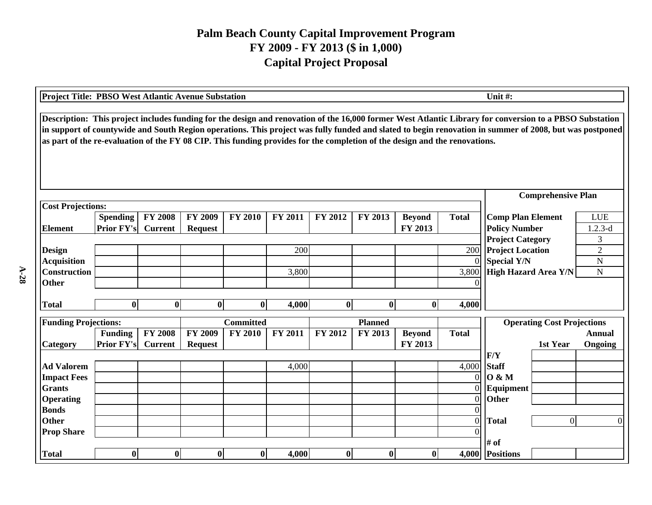| <b>Project Title: PBSO West Atlantic Avenue Substation</b><br>Unit #:                                                                                                                                                                                                                                                                                                                                                                            |                   |                |                |                  |                |                |                  |               |                |                                                    |                                   |                     |
|--------------------------------------------------------------------------------------------------------------------------------------------------------------------------------------------------------------------------------------------------------------------------------------------------------------------------------------------------------------------------------------------------------------------------------------------------|-------------------|----------------|----------------|------------------|----------------|----------------|------------------|---------------|----------------|----------------------------------------------------|-----------------------------------|---------------------|
| Description: This project includes funding for the design and renovation of the 16,000 former West Atlantic Library for conversion to a PBSO Substation<br>in support of countywide and South Region operations. This project was fully funded and slated to begin renovation in summer of 2008, but was postponed<br>as part of the re-evaluation of the FY 08 CIP. This funding provides for the completion of the design and the renovations. |                   |                |                |                  |                |                |                  |               |                |                                                    |                                   |                     |
|                                                                                                                                                                                                                                                                                                                                                                                                                                                  |                   |                |                |                  |                |                |                  |               |                |                                                    | <b>Comprehensive Plan</b>         |                     |
| <b>Cost Projections:</b>                                                                                                                                                                                                                                                                                                                                                                                                                         |                   |                |                |                  |                |                |                  |               |                |                                                    |                                   |                     |
|                                                                                                                                                                                                                                                                                                                                                                                                                                                  | <b>Spending</b>   | <b>FY 2008</b> | FY 2009        | <b>FY 2010</b>   | FY 2011        | <b>FY 2012</b> | FY 2013          | <b>Beyond</b> | <b>Total</b>   | <b>Comp Plan Element</b>                           |                                   | <b>LUE</b>          |
| <b>Element</b>                                                                                                                                                                                                                                                                                                                                                                                                                                   | <b>Prior FY's</b> | <b>Current</b> | <b>Request</b> |                  |                |                |                  | FY 2013       |                | <b>Policy Number</b>                               |                                   | $1.2.3-d$           |
| <b>Design</b>                                                                                                                                                                                                                                                                                                                                                                                                                                    |                   |                |                |                  | 200            |                |                  |               | 200            | <b>Project Category</b><br><b>Project Location</b> |                                   | 3<br>$\overline{2}$ |
| <b>Acquisition</b>                                                                                                                                                                                                                                                                                                                                                                                                                               |                   |                |                |                  |                |                |                  |               | $\Omega$       | <b>Special Y/N</b>                                 |                                   | $\mathbf N$         |
| <b>Construction</b>                                                                                                                                                                                                                                                                                                                                                                                                                              |                   |                |                |                  | 3,800          |                |                  |               | 3,800          | High Hazard Area Y/N                               | N                                 |                     |
| <b>Other</b>                                                                                                                                                                                                                                                                                                                                                                                                                                     |                   |                |                |                  |                |                |                  |               |                |                                                    |                                   |                     |
|                                                                                                                                                                                                                                                                                                                                                                                                                                                  |                   |                |                |                  |                |                |                  |               |                |                                                    |                                   |                     |
| <b>Total</b>                                                                                                                                                                                                                                                                                                                                                                                                                                     | $\bf{0}$          | $\bf{0}$       | $\bf{0}$       | $\bf{0}$         | 4,000          | $\bf{0}$       | $\bf{0}$         | $\bf{0}$      | 4,000          |                                                    |                                   |                     |
| <b>Funding Projections:</b>                                                                                                                                                                                                                                                                                                                                                                                                                      |                   |                |                | <b>Committed</b> |                |                | <b>Planned</b>   |               |                |                                                    | <b>Operating Cost Projections</b> |                     |
|                                                                                                                                                                                                                                                                                                                                                                                                                                                  | <b>Funding</b>    | <b>FY 2008</b> | <b>FY 2009</b> | <b>FY 2010</b>   | <b>FY 2011</b> | FY 2012        | FY 2013          | <b>Beyond</b> | <b>Total</b>   |                                                    |                                   | <b>Annual</b>       |
| Category                                                                                                                                                                                                                                                                                                                                                                                                                                         | <b>Prior FY's</b> | <b>Current</b> | <b>Request</b> |                  |                |                |                  | FY 2013       |                |                                                    | 1st Year                          | Ongoing             |
|                                                                                                                                                                                                                                                                                                                                                                                                                                                  |                   |                |                |                  |                |                |                  |               |                | F/Y                                                |                                   |                     |
| <b>Ad Valorem</b>                                                                                                                                                                                                                                                                                                                                                                                                                                |                   |                |                |                  | 4,000          |                |                  |               | 4,000          | <b>Staff</b>                                       |                                   |                     |
| <b>Impact Fees</b>                                                                                                                                                                                                                                                                                                                                                                                                                               |                   |                |                |                  |                |                |                  |               | $\Omega$       | <b>O</b> & M                                       |                                   |                     |
| <b>Grants</b>                                                                                                                                                                                                                                                                                                                                                                                                                                    |                   |                |                |                  |                |                |                  |               | $\Omega$       | Equipment                                          |                                   |                     |
| <b>Operating</b>                                                                                                                                                                                                                                                                                                                                                                                                                                 |                   |                |                |                  |                |                |                  |               | $\overline{0}$ | Other                                              |                                   |                     |
| <b>Bonds</b>                                                                                                                                                                                                                                                                                                                                                                                                                                     |                   |                |                |                  |                |                |                  |               |                |                                                    |                                   |                     |
| <b>Other</b>                                                                                                                                                                                                                                                                                                                                                                                                                                     |                   |                |                |                  |                |                |                  |               | $\overline{0}$ | <b>Total</b>                                       | $\Omega$                          |                     |
| <b>Prop Share</b>                                                                                                                                                                                                                                                                                                                                                                                                                                |                   |                |                |                  |                |                |                  |               |                |                                                    |                                   |                     |
|                                                                                                                                                                                                                                                                                                                                                                                                                                                  |                   |                |                |                  |                |                |                  |               |                | # of                                               |                                   |                     |
| <b>Total</b>                                                                                                                                                                                                                                                                                                                                                                                                                                     | $\bf{0}$          | $\bf{0}$       | $\bf{0}$       | $\bf{0}$         | 4,000          | $\bf{0}$       | $\boldsymbol{0}$ | $\bf{0}$      |                | 4,000 Positions                                    |                                   |                     |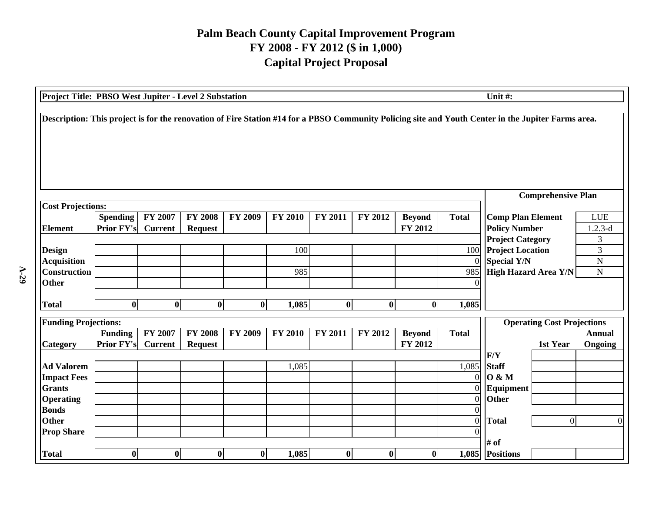| Project Title: PBSO West Jupiter - Level 2 Substation<br>Unit #:                                                                                   |                               |                           |                                  |                |                |                  |                  |                          |                                                                         |                                                                                           |                                   |                                         |
|----------------------------------------------------------------------------------------------------------------------------------------------------|-------------------------------|---------------------------|----------------------------------|----------------|----------------|------------------|------------------|--------------------------|-------------------------------------------------------------------------|-------------------------------------------------------------------------------------------|-----------------------------------|-----------------------------------------|
| Description: This project is for the renovation of Fire Station #14 for a PBSO Community Policing site and Youth Center in the Jupiter Farms area. |                               |                           |                                  |                |                |                  |                  |                          |                                                                         |                                                                                           |                                   |                                         |
|                                                                                                                                                    |                               |                           |                                  |                |                |                  |                  |                          |                                                                         |                                                                                           | <b>Comprehensive Plan</b>         |                                         |
| <b>Cost Projections:</b><br><b>Element</b>                                                                                                         | Spending<br><b>Prior FY's</b> | FY 2007<br><b>Current</b> | <b>FY 2008</b><br><b>Request</b> | <b>FY 2009</b> | <b>FY 2010</b> | <b>FY 2011</b>   | FY 2012          | <b>Beyond</b><br>FY 2012 | <b>Total</b>                                                            | <b>Comp Plan Element</b><br><b>Policy Number</b>                                          |                                   | <b>LUE</b><br>$1.2.3-d$                 |
| <b>Design</b><br><b>Acquisition</b><br>Construction<br><b>Other</b>                                                                                |                               |                           |                                  |                | 100<br>985     |                  |                  |                          | 100<br>$\Omega$<br>985                                                  | <b>Project Category</b><br><b>Project Location</b><br>Special Y/N<br>High Hazard Area Y/N |                                   | 3<br>3<br>$\overline{N}$<br>$\mathbf N$ |
| <b>Total</b>                                                                                                                                       | $\bf{0}$                      | $\bf{0}$                  | $\bf{0}$                         | $\bf{0}$       | 1,085          | $\boldsymbol{0}$ | $\boldsymbol{0}$ | $\mathbf{0}$             | 1,085                                                                   |                                                                                           |                                   |                                         |
| <b>Funding Projections:</b>                                                                                                                        |                               |                           |                                  |                |                |                  |                  |                          |                                                                         |                                                                                           | <b>Operating Cost Projections</b> |                                         |
| Category                                                                                                                                           | Funding<br><b>Prior FY's</b>  | FY 2007<br><b>Current</b> | <b>FY 2008</b><br><b>Request</b> | <b>FY 2009</b> | <b>FY 2010</b> | <b>FY 2011</b>   | <b>FY 2012</b>   | <b>Beyond</b><br>FY 2012 | <b>Total</b>                                                            | F/Y                                                                                       | 1st Year                          | <b>Annual</b><br>Ongoing                |
| <b>Ad Valorem</b><br><b>Impact Fees</b><br><b>Grants</b><br><b>Operating</b><br><b>Bonds</b><br><b>Other</b><br><b>Prop Share</b>                  |                               |                           |                                  |                | 1,085          |                  |                  |                          | 1,085<br>$\Omega$<br>$\overline{0}$<br>$\overline{0}$<br>$\overline{0}$ | <b>Staff</b><br>$0 \& M$<br>Equipment<br>Other<br><b>Total</b>                            | $\overline{0}$                    | $\Omega$                                |
| <b>Total</b>                                                                                                                                       | $\bf{0}$                      | $\boldsymbol{0}$          | $\bf{0}$                         | $\bf{0}$       | 1,085          | $\boldsymbol{0}$ | $\boldsymbol{0}$ | $\bf{0}$                 |                                                                         | # of<br>1,085 Positions                                                                   |                                   |                                         |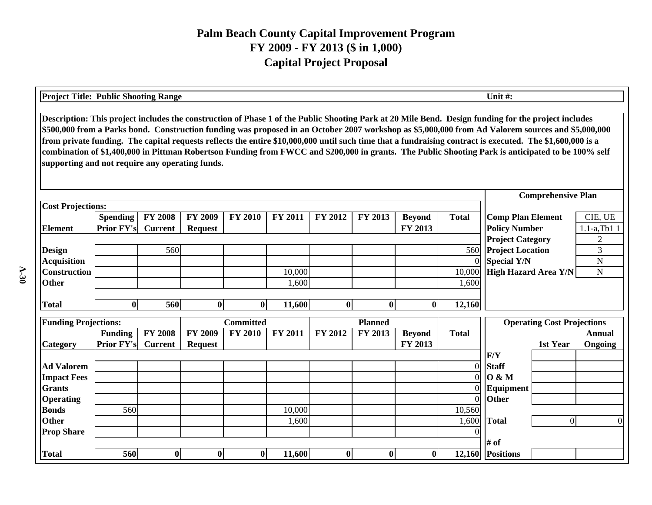| <b>Project Title: Public Shooting Range</b>     |                   |                |                | Unit #:          |                |          |                |               |                |                                                                                                                                                                                                                                                                                                                                                                                                                                                                                                                                                                                                                             |                 |
|-------------------------------------------------|-------------------|----------------|----------------|------------------|----------------|----------|----------------|---------------|----------------|-----------------------------------------------------------------------------------------------------------------------------------------------------------------------------------------------------------------------------------------------------------------------------------------------------------------------------------------------------------------------------------------------------------------------------------------------------------------------------------------------------------------------------------------------------------------------------------------------------------------------------|-----------------|
| supporting and not require any operating funds. |                   |                |                |                  |                |          |                |               |                | Description: This project includes the construction of Phase 1 of the Public Shooting Park at 20 Mile Bend. Design funding for the project includes<br>\$500,000 from a Parks bond. Construction funding was proposed in an October 2007 workshop as \$5,000,000 from Ad Valorem sources and \$5,000,000<br>from private funding. The capital requests reflects the entire \$10,000,000 until such time that a fundraising contract is executed. The \$1,600,000 is a<br>combination of \$1,400,000 in Pittman Robertson Funding from FWCC and \$200,000 in grants. The Public Shooting Park is anticipated to be 100% self |                 |
|                                                 |                   |                |                |                  |                |          |                |               |                | <b>Comprehensive Plan</b>                                                                                                                                                                                                                                                                                                                                                                                                                                                                                                                                                                                                   |                 |
| <b>Cost Projections:</b>                        |                   |                |                |                  |                |          |                |               |                |                                                                                                                                                                                                                                                                                                                                                                                                                                                                                                                                                                                                                             |                 |
|                                                 | <b>Spending</b>   | <b>FY 2008</b> | <b>FY 2009</b> | <b>FY 2010</b>   | <b>FY 2011</b> | FY 2012  | FY 2013        | <b>Beyond</b> | <b>Total</b>   | <b>Comp Plan Element</b>                                                                                                                                                                                                                                                                                                                                                                                                                                                                                                                                                                                                    | CIE, UE         |
| <b>Element</b>                                  | <b>Prior FY's</b> | <b>Current</b> | <b>Request</b> |                  |                |          |                | FY 2013       |                | <b>Policy Number</b>                                                                                                                                                                                                                                                                                                                                                                                                                                                                                                                                                                                                        | $1.1-a$ , Tb1 1 |
|                                                 |                   |                |                |                  |                |          |                |               |                | <b>Project Category</b>                                                                                                                                                                                                                                                                                                                                                                                                                                                                                                                                                                                                     | $\overline{c}$  |
| <b>Design</b>                                   |                   | 560            |                |                  |                |          |                |               | 560            | <b>Project Location</b>                                                                                                                                                                                                                                                                                                                                                                                                                                                                                                                                                                                                     | 3               |
| <b>Acquisition</b>                              |                   |                |                |                  |                |          |                |               | $\overline{0}$ | <b>Special Y/N</b>                                                                                                                                                                                                                                                                                                                                                                                                                                                                                                                                                                                                          | ${\bf N}$       |
| <b>Construction</b>                             |                   |                |                |                  | 10,000         |          |                |               | 10,000         | <b>High Hazard Area Y/N</b>                                                                                                                                                                                                                                                                                                                                                                                                                                                                                                                                                                                                 | $\mathbf N$     |
| <b>Other</b>                                    |                   |                |                |                  | 1,600          |          |                |               | 1,600          |                                                                                                                                                                                                                                                                                                                                                                                                                                                                                                                                                                                                                             |                 |
| <b>Total</b>                                    | $\bf{0}$          | 560            | $\bf{0}$       | $\mathbf{0}$     | 11,600         | $\bf{0}$ | $\bf{0}$       | $\mathbf{0}$  | 12,160         |                                                                                                                                                                                                                                                                                                                                                                                                                                                                                                                                                                                                                             |                 |
|                                                 |                   |                |                |                  |                |          |                |               |                |                                                                                                                                                                                                                                                                                                                                                                                                                                                                                                                                                                                                                             |                 |
| <b>Funding Projections:</b>                     |                   |                |                | <b>Committed</b> |                |          | <b>Planned</b> |               |                | <b>Operating Cost Projections</b>                                                                                                                                                                                                                                                                                                                                                                                                                                                                                                                                                                                           |                 |
|                                                 | <b>Funding</b>    | <b>FY 2008</b> | <b>FY 2009</b> | <b>FY 2010</b>   | FY 2011        | FY 2012  | <b>FY 2013</b> | <b>Beyond</b> | <b>Total</b>   |                                                                                                                                                                                                                                                                                                                                                                                                                                                                                                                                                                                                                             | Annual          |
| <b>Category</b>                                 | <b>Prior FY's</b> | <b>Current</b> | <b>Request</b> |                  |                |          |                | FY 2013       |                | 1st Year                                                                                                                                                                                                                                                                                                                                                                                                                                                                                                                                                                                                                    | Ongoing         |
|                                                 |                   |                |                |                  |                |          |                |               |                | F/Y                                                                                                                                                                                                                                                                                                                                                                                                                                                                                                                                                                                                                         |                 |
| <b>Ad Valorem</b>                               |                   |                |                |                  |                |          |                |               | $\overline{0}$ | <b>Staff</b>                                                                                                                                                                                                                                                                                                                                                                                                                                                                                                                                                                                                                |                 |
| <b>Impact Fees</b>                              |                   |                |                |                  |                |          |                |               | $\overline{0}$ | <b>O</b> & M                                                                                                                                                                                                                                                                                                                                                                                                                                                                                                                                                                                                                |                 |
| <b>Grants</b>                                   |                   |                |                |                  |                |          |                |               | $\Omega$       | Equipment                                                                                                                                                                                                                                                                                                                                                                                                                                                                                                                                                                                                                   |                 |
| <b>Operating</b>                                |                   |                |                |                  |                |          |                |               | $\Omega$       | Other                                                                                                                                                                                                                                                                                                                                                                                                                                                                                                                                                                                                                       |                 |
| <b>Bonds</b>                                    | 560               |                |                |                  | 10,000         |          |                |               | 10,560         |                                                                                                                                                                                                                                                                                                                                                                                                                                                                                                                                                                                                                             |                 |
| <b>Other</b>                                    |                   |                |                |                  | 1,600          |          |                |               | 1,600          | $\Omega$<br><b>Total</b>                                                                                                                                                                                                                                                                                                                                                                                                                                                                                                                                                                                                    |                 |
| <b>Prop Share</b>                               |                   |                |                |                  |                |          |                |               |                |                                                                                                                                                                                                                                                                                                                                                                                                                                                                                                                                                                                                                             |                 |
|                                                 |                   |                |                |                  |                |          |                |               |                | # of                                                                                                                                                                                                                                                                                                                                                                                                                                                                                                                                                                                                                        |                 |
| <b>Total</b>                                    | 560               | $\mathbf 0$    | $\bf{0}$       | $\bf{0}$         | 11,600         | $\bf{0}$ | $\bf{0}$       | $\bf{0}$      |                | 12,160 Positions                                                                                                                                                                                                                                                                                                                                                                                                                                                                                                                                                                                                            |                 |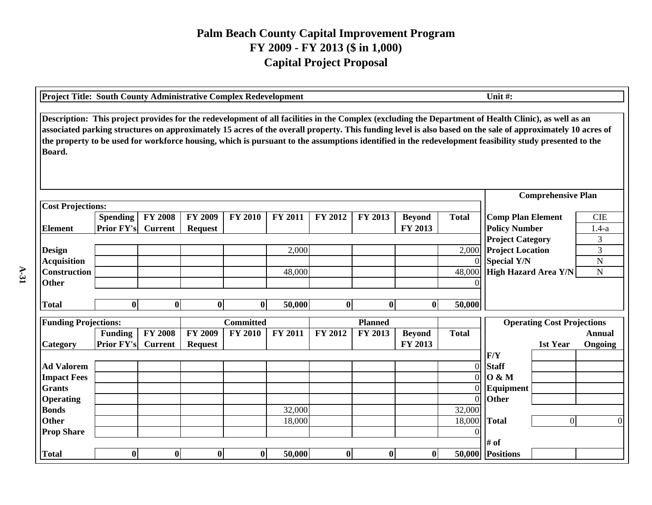| Unit #:<br><b>Project Title: South County Administrative Complex Redevelopment</b>                                                                                                                                                                                                                                                                                                                                                                                                     |                                      |                                  |                                  |                  |                |          |                |                          |                |                                                  |                                   |                       |
|----------------------------------------------------------------------------------------------------------------------------------------------------------------------------------------------------------------------------------------------------------------------------------------------------------------------------------------------------------------------------------------------------------------------------------------------------------------------------------------|--------------------------------------|----------------------------------|----------------------------------|------------------|----------------|----------|----------------|--------------------------|----------------|--------------------------------------------------|-----------------------------------|-----------------------|
| Description: This project provides for the redevelopment of all facilities in the Complex (excluding the Department of Health Clinic), as well as an<br>associated parking structures on approximately 15 acres of the overall property. This funding level is also based on the sale of approximately 10 acres of<br>the property to be used for workforce housing, which is pursuant to the assumptions identified in the redevelopment feasibility study presented to the<br>Board. |                                      |                                  |                                  |                  |                |          |                |                          |                |                                                  |                                   |                       |
|                                                                                                                                                                                                                                                                                                                                                                                                                                                                                        |                                      |                                  |                                  |                  |                |          |                |                          |                |                                                  | <b>Comprehensive Plan</b>         |                       |
| <b>Cost Projections:</b>                                                                                                                                                                                                                                                                                                                                                                                                                                                               |                                      |                                  |                                  |                  |                |          |                |                          |                |                                                  |                                   |                       |
| <b>Element</b>                                                                                                                                                                                                                                                                                                                                                                                                                                                                         | <b>Spending</b><br><b>Prior FY's</b> | <b>FY 2008</b><br><b>Current</b> | <b>FY 2009</b><br><b>Request</b> | <b>FY 2010</b>   | <b>FY 2011</b> | FY 2012  | FY 2013        | <b>Beyond</b><br>FY 2013 | <b>Total</b>   | <b>Comp Plan Element</b><br><b>Policy Number</b> |                                   | <b>CIE</b><br>$1.4-a$ |
|                                                                                                                                                                                                                                                                                                                                                                                                                                                                                        |                                      |                                  |                                  |                  |                |          |                |                          |                | <b>Project Category</b>                          |                                   | 3                     |
| <b>Design</b>                                                                                                                                                                                                                                                                                                                                                                                                                                                                          |                                      |                                  |                                  |                  | 2,000          |          |                |                          | 2,000          | <b>Project Location</b>                          |                                   | 3                     |
| <b>Acquisition</b>                                                                                                                                                                                                                                                                                                                                                                                                                                                                     |                                      |                                  |                                  |                  |                |          |                |                          | $\Omega$       | <b>Special Y/N</b>                               |                                   | $\mathbf N$           |
| Construction                                                                                                                                                                                                                                                                                                                                                                                                                                                                           |                                      |                                  |                                  |                  | 48,000         |          |                |                          | 48,000         | High Hazard Area Y/N                             |                                   | ${\bf N}$             |
| <b>Other</b>                                                                                                                                                                                                                                                                                                                                                                                                                                                                           |                                      |                                  |                                  |                  |                |          |                |                          |                |                                                  |                                   |                       |
| <b>Total</b>                                                                                                                                                                                                                                                                                                                                                                                                                                                                           | 0l                                   | $\mathbf{0}$                     | $\bf{0}$                         | $\bf{0}$         | 50,000         | $\bf{0}$ | $\bf{0}$       | $\mathbf{0}$             | 50,000         |                                                  |                                   |                       |
| <b>Funding Projections:</b>                                                                                                                                                                                                                                                                                                                                                                                                                                                            |                                      |                                  |                                  | <b>Committed</b> |                |          | <b>Planned</b> |                          |                |                                                  | <b>Operating Cost Projections</b> |                       |
|                                                                                                                                                                                                                                                                                                                                                                                                                                                                                        | <b>Funding</b>                       | <b>FY 2008</b>                   | <b>FY 2009</b>                   | <b>FY 2010</b>   | FY 2011        | FY 2012  | FY 2013        | <b>Beyond</b>            | <b>Total</b>   |                                                  |                                   | Annual                |
| <b>Category</b>                                                                                                                                                                                                                                                                                                                                                                                                                                                                        | <b>Prior FY's</b>                    | <b>Current</b>                   | <b>Request</b>                   |                  |                |          |                | FY 2013                  |                |                                                  | 1st Year                          | Ongoing               |
|                                                                                                                                                                                                                                                                                                                                                                                                                                                                                        |                                      |                                  |                                  |                  |                |          |                |                          |                | F/Y                                              |                                   |                       |
| <b>Ad Valorem</b>                                                                                                                                                                                                                                                                                                                                                                                                                                                                      |                                      |                                  |                                  |                  |                |          |                |                          | $\overline{0}$ | <b>Staff</b>                                     |                                   |                       |
| <b>Impact Fees</b>                                                                                                                                                                                                                                                                                                                                                                                                                                                                     |                                      |                                  |                                  |                  |                |          |                |                          | $\Omega$       | <b>O</b> & M                                     |                                   |                       |
| <b>Grants</b>                                                                                                                                                                                                                                                                                                                                                                                                                                                                          |                                      |                                  |                                  |                  |                |          |                |                          | $\Omega$       | Equipment                                        |                                   |                       |
| <b>Operating</b>                                                                                                                                                                                                                                                                                                                                                                                                                                                                       |                                      |                                  |                                  |                  |                |          |                |                          | $\overline{0}$ | <b>Other</b>                                     |                                   |                       |
| <b>Bonds</b>                                                                                                                                                                                                                                                                                                                                                                                                                                                                           |                                      |                                  |                                  |                  | 32,000         |          |                |                          | 32,000         |                                                  |                                   |                       |
| <b>Other</b>                                                                                                                                                                                                                                                                                                                                                                                                                                                                           |                                      |                                  |                                  |                  | 18,000         |          |                |                          | 18,000         | <b>Total</b>                                     | $\overline{0}$                    | $\Omega$              |
| <b>Prop Share</b>                                                                                                                                                                                                                                                                                                                                                                                                                                                                      |                                      |                                  |                                  |                  |                |          |                |                          |                | # of                                             |                                   |                       |
| <b>Total</b>                                                                                                                                                                                                                                                                                                                                                                                                                                                                           | $\boldsymbol{0}$                     | 0                                | $\bf{0}$                         | $\bf{0}$         | 50,000         | $\bf{0}$ | $\bf{0}$       | $\bf{0}$                 |                | 50,000 Positions                                 |                                   |                       |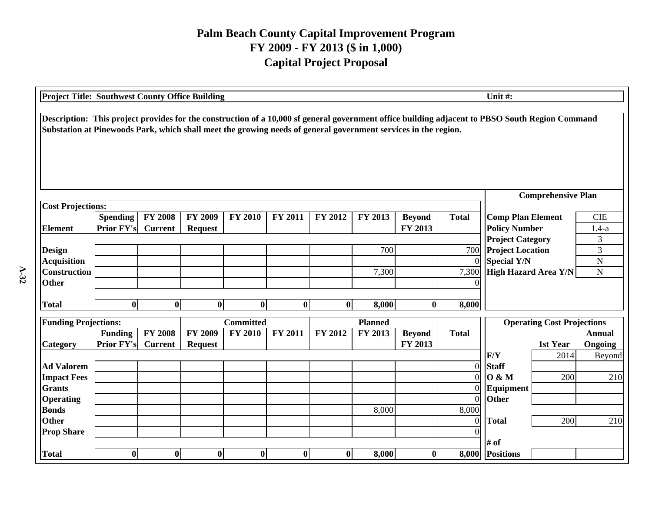| Unit #:<br><b>Project Title: Southwest County Office Building</b>                                                                                                                                                                                                 |                         |                |                |                  |                |                |                |               |                |                                                   |                                   |                |
|-------------------------------------------------------------------------------------------------------------------------------------------------------------------------------------------------------------------------------------------------------------------|-------------------------|----------------|----------------|------------------|----------------|----------------|----------------|---------------|----------------|---------------------------------------------------|-----------------------------------|----------------|
| Description: This project provides for the construction of a 10,000 sf general government office building adjacent to PBSO South Region Command<br>Substation at Pinewoods Park, which shall meet the growing needs of general government services in the region. |                         |                |                |                  |                |                |                |               |                |                                                   |                                   |                |
|                                                                                                                                                                                                                                                                   |                         |                |                |                  |                |                |                |               |                |                                                   | <b>Comprehensive Plan</b>         |                |
| <b>Cost Projections:</b>                                                                                                                                                                                                                                          |                         |                |                |                  |                |                |                |               |                |                                                   |                                   |                |
|                                                                                                                                                                                                                                                                   | <b>Spending</b>         | <b>FY 2008</b> | <b>FY 2009</b> | <b>FY 2010</b>   | FY 2011        | <b>FY 2012</b> | FY 2013        | <b>Beyond</b> | <b>Total</b>   | <b>Comp Plan Element</b>                          |                                   | <b>CIE</b>     |
| <b>Element</b>                                                                                                                                                                                                                                                    | <b>Prior FY's</b>       | <b>Current</b> | <b>Request</b> |                  |                |                |                | FY 2013       |                | <b>Policy Number</b>                              |                                   | $1.4-a$<br>3   |
|                                                                                                                                                                                                                                                                   | <b>Project Category</b> |                |                |                  |                |                |                |               |                |                                                   |                                   |                |
| <b>Design</b>                                                                                                                                                                                                                                                     |                         |                |                |                  |                |                | 700            |               | 700            | <b>Project Location</b>                           | 3                                 |                |
| <b>Acquisition</b>                                                                                                                                                                                                                                                |                         |                |                |                  |                |                |                |               | $\Omega$       | <b>Special Y/N</b><br><b>High Hazard Area Y/N</b> |                                   | $\overline{N}$ |
| <b>Construction</b>                                                                                                                                                                                                                                               |                         |                |                |                  |                |                | 7,300          |               | 7,300          |                                                   |                                   | $\mathbf N$    |
| <b>Other</b>                                                                                                                                                                                                                                                      |                         |                |                |                  |                |                |                |               |                |                                                   |                                   |                |
| <b>Total</b>                                                                                                                                                                                                                                                      | $\bf{0}$                | $\bf{0}$       | $\bf{0}$       | $\bf{0}$         | $\bf{0}$       | $\bf{0}$       | 8,000          | $\mathbf{0}$  | 8,000          |                                                   |                                   |                |
|                                                                                                                                                                                                                                                                   |                         |                |                |                  |                |                |                |               |                |                                                   |                                   |                |
| <b>Funding Projections:</b>                                                                                                                                                                                                                                       |                         |                |                | <b>Committed</b> |                |                | <b>Planned</b> |               |                |                                                   | <b>Operating Cost Projections</b> |                |
|                                                                                                                                                                                                                                                                   | <b>Funding</b>          | <b>FY 2008</b> | <b>FY 2009</b> | <b>FY 2010</b>   | <b>FY 2011</b> | FY 2012        | FY 2013        | <b>Beyond</b> | <b>Total</b>   |                                                   |                                   | <b>Annual</b>  |
| Category                                                                                                                                                                                                                                                          | <b>Prior FY's</b>       | <b>Current</b> | <b>Request</b> |                  |                |                |                | FY 2013       |                |                                                   | 1st Year                          | Ongoing        |
|                                                                                                                                                                                                                                                                   |                         |                |                |                  |                |                |                |               |                | F/Y                                               | 2014                              | Beyond         |
| <b>Ad Valorem</b>                                                                                                                                                                                                                                                 |                         |                |                |                  |                |                |                |               | $\overline{0}$ | <b>Staff</b>                                      |                                   |                |
| <b>Impact Fees</b>                                                                                                                                                                                                                                                |                         |                |                |                  |                |                |                |               | $\Omega$       | 0 & M                                             | 200                               | 210            |
| <b>Grants</b>                                                                                                                                                                                                                                                     |                         |                |                |                  |                |                |                |               | 0              | Equipment                                         |                                   |                |
| <b>Operating</b>                                                                                                                                                                                                                                                  |                         |                |                |                  |                |                |                |               | $\overline{0}$ | Other                                             |                                   |                |
| <b>Bonds</b>                                                                                                                                                                                                                                                      |                         |                |                |                  |                |                | 8,000          |               | 8,000          |                                                   |                                   |                |
| <b>Other</b>                                                                                                                                                                                                                                                      |                         |                |                |                  |                |                |                |               | $\mathbf{0}$   | <b>Total</b>                                      | 200                               | 210            |
| <b>Prop Share</b>                                                                                                                                                                                                                                                 |                         |                |                |                  |                |                |                |               |                |                                                   |                                   |                |
|                                                                                                                                                                                                                                                                   |                         |                |                |                  |                |                |                |               |                | # of                                              |                                   |                |
| <b>Total</b>                                                                                                                                                                                                                                                      | 0                       | $\bf{0}$       | $\bf{0}$       | $\bf{0}$         | $\bf{0}$       | $\bf{0}$       | 8,000          | $\bf{0}$      |                | 8,000 Positions                                   |                                   |                |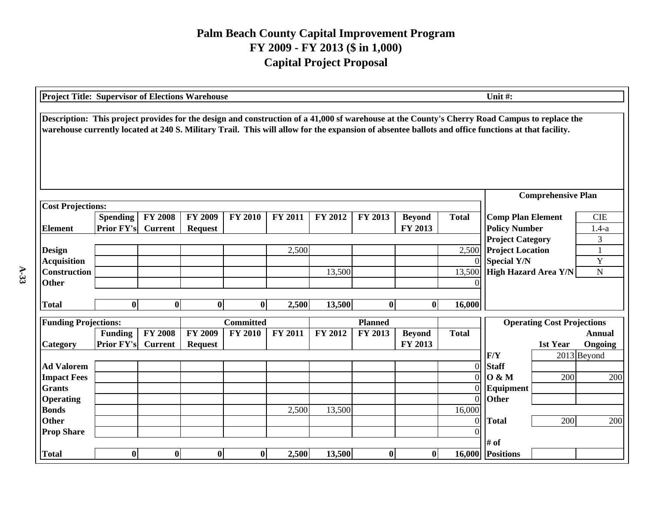| <b>Project Title: Supervisor of Elections Warehouse</b><br>Unit#:                                                                                                                                                                                                                                   |                   |                |                  |                  |         |         |                |               |                            |                                                                                           |                                   |               |
|-----------------------------------------------------------------------------------------------------------------------------------------------------------------------------------------------------------------------------------------------------------------------------------------------------|-------------------|----------------|------------------|------------------|---------|---------|----------------|---------------|----------------------------|-------------------------------------------------------------------------------------------|-----------------------------------|---------------|
| Description: This project provides for the design and construction of a 41,000 sf warehouse at the County's Cherry Road Campus to replace the<br>warehouse currently located at 240 S. Military Trail. This will allow for the expansion of absentee ballots and office functions at that facility. |                   |                |                  |                  |         |         |                |               |                            |                                                                                           |                                   |               |
|                                                                                                                                                                                                                                                                                                     |                   |                |                  |                  |         |         |                |               |                            |                                                                                           | <b>Comprehensive Plan</b>         |               |
| <b>Cost Projections:</b>                                                                                                                                                                                                                                                                            |                   |                |                  |                  |         |         |                |               |                            |                                                                                           |                                   |               |
|                                                                                                                                                                                                                                                                                                     | <b>Spending</b>   | <b>FY 2008</b> | <b>FY 2009</b>   | <b>FY 2010</b>   | FY 2011 | FY 2012 | FY 2013        | <b>Beyond</b> | <b>Total</b>               | <b>Comp Plan Element</b>                                                                  |                                   | <b>CIE</b>    |
| <b>Element</b>                                                                                                                                                                                                                                                                                      | <b>Prior FY's</b> | <b>Current</b> | <b>Request</b>   |                  |         |         |                | FY 2013       |                            | <b>Policy Number</b>                                                                      |                                   | $1.4-a$       |
|                                                                                                                                                                                                                                                                                                     |                   |                |                  |                  | 2,500   |         |                |               | 2,500                      | <b>Project Category</b>                                                                   |                                   | 3             |
| <b>Design</b><br><b>Acquisition</b>                                                                                                                                                                                                                                                                 |                   |                |                  |                  |         |         |                |               | $\Omega$                   | <b>Project Location</b><br><b>Special Y/N</b><br>Y<br>High Hazard Area Y/N<br>$\mathbf N$ |                                   |               |
| <b>Construction</b>                                                                                                                                                                                                                                                                                 |                   |                |                  |                  |         | 13,500  |                |               | 13,500                     |                                                                                           |                                   |               |
| <b>Other</b>                                                                                                                                                                                                                                                                                        |                   |                |                  |                  |         |         |                |               | $\Omega$                   |                                                                                           |                                   |               |
|                                                                                                                                                                                                                                                                                                     |                   |                |                  |                  |         |         |                |               |                            |                                                                                           |                                   |               |
| <b>Total</b>                                                                                                                                                                                                                                                                                        | $\bf{0}$          | $\bf{0}$       | $\boldsymbol{0}$ | $\bf{0}$         | 2,500   | 13,500  | $\bf{0}$       | $\bf{0}$      | 16,000                     |                                                                                           |                                   |               |
| <b>Funding Projections:</b>                                                                                                                                                                                                                                                                         |                   |                |                  | <b>Committed</b> |         |         | <b>Planned</b> |               |                            |                                                                                           | <b>Operating Cost Projections</b> |               |
|                                                                                                                                                                                                                                                                                                     | <b>Funding</b>    | <b>FY 2008</b> | <b>FY 2009</b>   | <b>FY 2010</b>   | FY 2011 | FY 2012 | FY 2013        | <b>Beyond</b> | <b>Total</b>               |                                                                                           |                                   | <b>Annual</b> |
| Category                                                                                                                                                                                                                                                                                            | <b>Prior FY's</b> | <b>Current</b> | <b>Request</b>   |                  |         |         |                | FY 2013       |                            |                                                                                           | 1st Year                          | Ongoing       |
|                                                                                                                                                                                                                                                                                                     |                   |                |                  |                  |         |         |                |               |                            | F/Y                                                                                       |                                   | 2013 Beyond   |
| <b>Ad Valorem</b>                                                                                                                                                                                                                                                                                   |                   |                |                  |                  |         |         |                |               | $\overline{0}$             | <b>Staff</b>                                                                              |                                   |               |
| <b>Impact Fees</b>                                                                                                                                                                                                                                                                                  |                   |                |                  |                  |         |         |                |               | $\Omega$                   | 0 & M                                                                                     | 200                               | 200           |
| <b>Grants</b>                                                                                                                                                                                                                                                                                       |                   |                |                  |                  |         |         |                |               | $\Omega$                   | Equipment                                                                                 |                                   |               |
| <b>Operating</b>                                                                                                                                                                                                                                                                                    |                   |                |                  |                  |         |         |                |               | $\overline{0}$             | Other                                                                                     |                                   |               |
| <b>Bonds</b>                                                                                                                                                                                                                                                                                        |                   |                |                  |                  | 2,500   | 13,500  |                |               | 16,000                     |                                                                                           |                                   |               |
| <b>Other</b><br><b>Prop Share</b>                                                                                                                                                                                                                                                                   |                   |                |                  |                  |         |         |                |               | $\overline{0}$<br>$\Omega$ | <b>Total</b>                                                                              | 200                               | 200           |
|                                                                                                                                                                                                                                                                                                     |                   |                |                  |                  |         |         |                |               |                            | # of                                                                                      |                                   |               |
| <b>Total</b>                                                                                                                                                                                                                                                                                        | $\bf{0}$          | $\bf{0}$       | $\bf{0}$         | $\bf{0}$         | 2,500   | 13,500  | $\bf{0}$       | $\bf{0}$      |                            | 16,000 Positions                                                                          |                                   |               |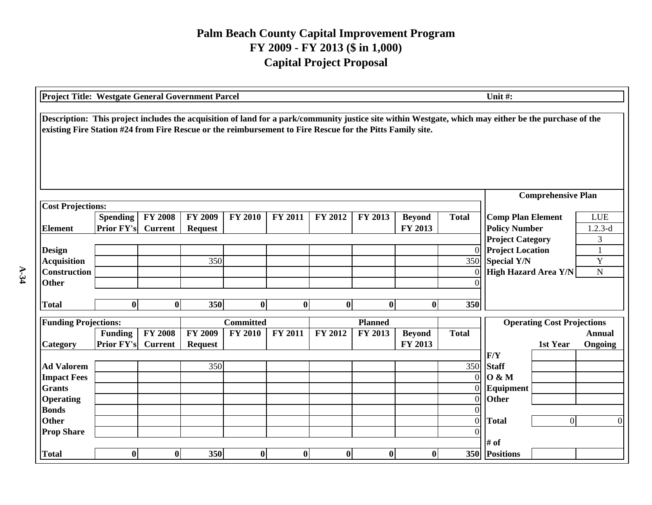| Unit#:<br>Project Title: Westgate General Government Parcel                                                                                                                                                                                                        |                                      |                                  |                                  |                  |                |                  |                  |                          |                                  |                                                                     |                          |
|--------------------------------------------------------------------------------------------------------------------------------------------------------------------------------------------------------------------------------------------------------------------|--------------------------------------|----------------------------------|----------------------------------|------------------|----------------|------------------|------------------|--------------------------|----------------------------------|---------------------------------------------------------------------|--------------------------|
| Description: This project includes the acquisition of land for a park/community justice site within Westgate, which may either be the purchase of the<br>existing Fire Station #24 from Fire Rescue or the reimbursement to Fire Rescue for the Pitts Family site. |                                      |                                  |                                  |                  |                |                  |                  |                          |                                  |                                                                     |                          |
|                                                                                                                                                                                                                                                                    |                                      |                                  |                                  |                  |                |                  |                  |                          |                                  | <b>Comprehensive Plan</b>                                           |                          |
| <b>Cost Projections:</b><br><b>Element</b>                                                                                                                                                                                                                         | <b>Spending</b><br><b>Prior FY's</b> | <b>FY 2008</b><br><b>Current</b> | <b>FY 2009</b><br><b>Request</b> | <b>FY 2010</b>   | <b>FY 2011</b> | <b>FY 2012</b>   | <b>FY 2013</b>   | <b>Beyond</b><br>FY 2013 | <b>Total</b>                     | <b>Comp Plan Element</b><br><b>Policy Number</b>                    | <b>LUE</b><br>$1.2.3-d$  |
| <b>Design</b><br><b>Acquisition</b>                                                                                                                                                                                                                                |                                      |                                  | 350                              |                  |                |                  |                  |                          | 350                              | <b>Project Category</b><br>0 Project Location<br><b>Special Y/N</b> | $\mathfrak{Z}$<br>Y      |
| <b>Construction</b><br><b>Other</b>                                                                                                                                                                                                                                |                                      |                                  |                                  |                  |                |                  |                  |                          | $\Omega$                         | <b>High Hazard Area Y/N</b>                                         | $\mathbf N$              |
| <b>Total</b>                                                                                                                                                                                                                                                       | $\bf{0}$                             | $\boldsymbol{0}$                 | 350                              | $\bf{0}$         | $\bf{0}$       | $\boldsymbol{0}$ | $\bf{0}$         | $\bf{0}$                 | 350                              |                                                                     |                          |
| <b>Funding Projections:</b>                                                                                                                                                                                                                                        |                                      |                                  |                                  | <b>Committed</b> |                |                  | <b>Planned</b>   |                          |                                  | <b>Operating Cost Projections</b>                                   |                          |
| Category                                                                                                                                                                                                                                                           | <b>Funding</b><br><b>Prior FY's</b>  | <b>FY 2008</b><br><b>Current</b> | <b>FY 2009</b><br><b>Request</b> | <b>FY 2010</b>   | <b>FY 2011</b> | FY 2012          | FY 2013          | <b>Beyond</b><br>FY 2013 | <b>Total</b>                     | 1st Year<br>F/Y                                                     | <b>Annual</b><br>Ongoing |
| <b>Ad Valorem</b><br><b>Impact Fees</b><br><b>Grants</b>                                                                                                                                                                                                           |                                      |                                  | 350                              |                  |                |                  |                  |                          | 350<br>$\Omega$<br>$\Omega$      | <b>Staff</b><br><b>O</b> & M<br>Equipment                           |                          |
| <b>Operating</b><br><b>Bonds</b><br><b>Other</b>                                                                                                                                                                                                                   |                                      |                                  |                                  |                  |                |                  |                  |                          | $\overline{0}$<br>$\overline{0}$ | Other<br><b>Total</b><br>$\overline{0}$                             | $\Omega$                 |
| <b>Prop Share</b><br><b>Total</b>                                                                                                                                                                                                                                  | $\bf{0}$                             | $\bf{0}$                         | 350                              | $\bf{0}$         | $\bf{0}$       | $\bf{0}$         | $\boldsymbol{0}$ | $\bf{0}$                 |                                  | # of<br>350 Positions                                               |                          |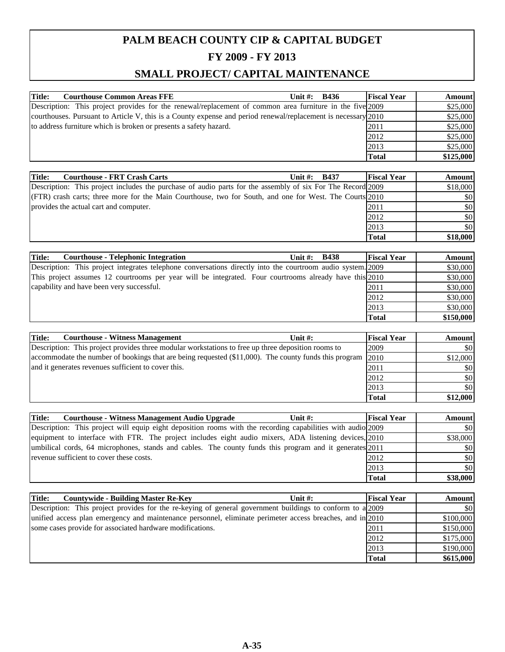| <b>Title:</b><br><b>Courthouse Common Areas FFE</b>                                                           | Unit $\#$ : | <b>B436</b>                  | <b>Fiscal Year</b> | <b>Amount</b> |
|---------------------------------------------------------------------------------------------------------------|-------------|------------------------------|--------------------|---------------|
| Description: This project provides for the renewal/replacement of common area furniture in the five 2009      |             |                              |                    | \$25,000      |
| courthouses. Pursuant to Article V, this is a County expense and period renewal/replacement is necessary 2010 |             |                              |                    | \$25,000      |
| to address furniture which is broken or presents a safety hazard.                                             |             |                              | 2011               | \$25,000      |
|                                                                                                               |             |                              | 2012               | \$25,000      |
|                                                                                                               |             |                              | 2013               | \$25,000      |
|                                                                                                               |             |                              | <b>Total</b>       | \$125,000     |
|                                                                                                               |             |                              |                    |               |
| <b>Title:</b><br><b>Courthouse - FRT Crash Carts</b>                                                          | Unit $#$ :  | <b>B437</b>                  | <b>Fiscal Year</b> | <b>Amount</b> |
| Description: This project includes the purchase of audio parts for the assembly of six For The Record 2009    |             |                              |                    | \$18,000      |
| (FTR) crash carts; three more for the Main Courthouse, two for South, and one for West. The Courts 2010       |             |                              |                    | \$0           |
| provides the actual cart and computer.                                                                        |             |                              | 2011               | \$0           |
|                                                                                                               |             |                              | 2012               | \$0           |
|                                                                                                               |             |                              | 2013               | \$0           |
|                                                                                                               |             |                              | <b>Total</b>       | \$18,000      |
|                                                                                                               |             |                              |                    |               |
| I.                                                                                                            | -- - - -    | $\mathbf{r}$ is $\mathbf{r}$ | --- ---            |               |

| Title:<br><b>Courthouse - Telephonic Integration</b>                                                        | Unit $\#$ : | <b>B438</b> | <b>Fiscal Year</b> | <b>Amount</b> |
|-------------------------------------------------------------------------------------------------------------|-------------|-------------|--------------------|---------------|
| Description: This project integrates telephone conversations directly into the courtroom audio system. 2009 |             |             |                    | \$30,000      |
| This project assumes 12 courtrooms per year will be integrated. Four courtrooms already have this 2010      |             |             |                    | \$30,000      |
| capability and have been very successful.                                                                   |             |             | 2011               | \$30,000      |
|                                                                                                             |             |             | 2012               | \$30,000      |
|                                                                                                             |             |             | 2013               | \$30,000      |
|                                                                                                             |             |             | <b>Total</b>       | \$150,000     |

| <b>Courthouse - Witness Management</b><br>Title:<br>Unit $\#$ :                                       | <b>Fiscal Year</b> | Amount   |
|-------------------------------------------------------------------------------------------------------|--------------------|----------|
| Description: This project provides three modular workstations to free up three deposition rooms to    | 2009               | \$0      |
| accommodate the number of bookings that are being requested (\$11,000). The county funds this program | 2010               | \$12,000 |
| and it generates revenues sufficient to cover this.                                                   | 2011               | \$0      |
|                                                                                                       | 2012               | \$0      |
|                                                                                                       | 2013               | \$0      |
|                                                                                                       | <b>Total</b>       | \$12,000 |

| Title:<br><b>Courthouse - Witness Management Audio Upgrade</b><br>Unit $\#$ :                               | <b>Fiscal Year</b> | <b>Amount</b> |
|-------------------------------------------------------------------------------------------------------------|--------------------|---------------|
| Description: This project will equip eight deposition rooms with the recording capabilities with audio 2009 |                    | <b>SO</b>     |
| equipment to interface with FTR. The project includes eight audio mixers, ADA listening devices, 2010       |                    | \$38,000      |
| umbilical cords, 64 microphones, stands and cables. The county funds this program and it generates 2011     |                    | \$0           |
| revenue sufficient to cover these costs.                                                                    | 2012               | \$0           |
|                                                                                                             | 2013               | \$0           |
|                                                                                                             | <b>Total</b>       | \$38,000      |

| <b>Countywide - Building Master Re-Key</b><br><b>Title:</b>                                               | Unit $\#$ : | <b>Fiscal Year</b> | <b>Amount</b> |
|-----------------------------------------------------------------------------------------------------------|-------------|--------------------|---------------|
| Description: This project provides for the re-keying of general government buildings to conform to a 2009 |             |                    | \$0           |
| unified access plan emergency and maintenance personnel, eliminate perimeter access breaches, and in 2010 |             |                    | \$100,000     |
| some cases provide for associated hardware modifications.                                                 |             | 2011               | \$150,000     |
|                                                                                                           |             | 2012               | \$175,000     |
|                                                                                                           |             | 2013               | \$190,000     |
|                                                                                                           |             | <b>Total</b>       | \$615,000     |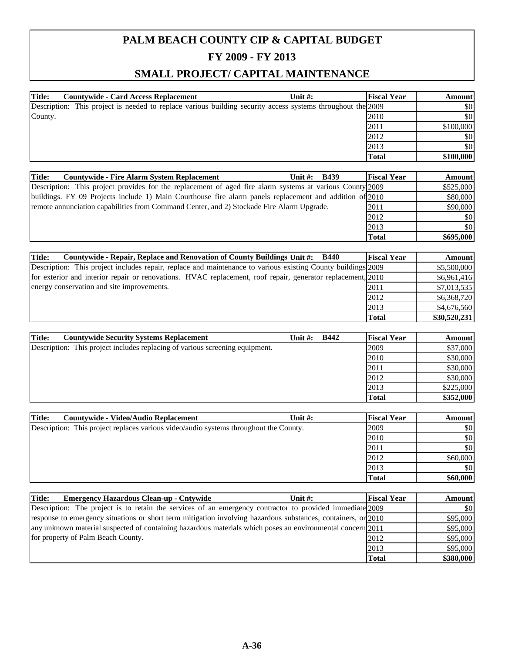| Description: This project is needed to replace various building security access systems throughout the 2009 |           |
|-------------------------------------------------------------------------------------------------------------|-----------|
|                                                                                                             | \$0       |
| 2010                                                                                                        | \$0       |
| 2011                                                                                                        | \$100,000 |
| 2012                                                                                                        | \$0       |
| 2013                                                                                                        | \$0       |
| <b>Total</b>                                                                                                | \$100,000 |
|                                                                                                             |           |

| Title:<br><b>Countywide - Fire Alarm System Replacement</b><br>Unit $\#$ :<br><b>B439</b>                | <b>Fiscal Year</b> | <b>Amount</b> |
|----------------------------------------------------------------------------------------------------------|--------------------|---------------|
| Description: This project provides for the replacement of aged fire alarm systems at various County 2009 |                    | \$525,000     |
| buildings. FY 09 Projects include 1) Main Courthouse fire alarm panels replacement and addition of 2010  |                    | \$80,000      |
| remote annunciation capabilities from Command Center, and 2) Stockade Fire Alarm Upgrade.                | 2011               | \$90,000      |
|                                                                                                          | 2012               | \$0           |
|                                                                                                          | 2013               | \$0           |
|                                                                                                          | <b>Total</b>       | \$695,000     |

| Countywide - Repair, Replace and Renovation of County Buildings Unit #: B440<br><b>Title:</b>                | <b>Fiscal Year</b> | <b>Amount</b> |
|--------------------------------------------------------------------------------------------------------------|--------------------|---------------|
| Description: This project includes repair, replace and maintenance to various existing County buildings 2009 |                    | \$5,500,000   |
| for exterior and interior repair or renovations. HVAC replacement, roof repair, generator replacement, 2010  |                    | \$6,961,416   |
| energy conservation and site improvements.                                                                   | 2011               | \$7,013,535   |
|                                                                                                              | 2012               | \$6,368,720   |
|                                                                                                              | 2013               | \$4,676,560   |
|                                                                                                              | <b>Total</b>       | \$30,520,231  |

| Title:<br><b>Countywide Security Systems Replacement</b>                     | Unit #: | <b>B442</b> | <b>Fiscal Year</b> | <b>Amount</b> |
|------------------------------------------------------------------------------|---------|-------------|--------------------|---------------|
| Description: This project includes replacing of various screening equipment. |         |             | 2009               | \$37,000      |
|                                                                              |         |             | 2010               | \$30,000      |
|                                                                              |         |             | 2011               | \$30,000      |
|                                                                              |         |             | 2012               | \$30,000      |
|                                                                              |         |             | 2013               | \$225,000     |
|                                                                              |         |             | <b>Total</b>       | \$352,000     |

| <b>Countywide - Video/Audio Replacement</b><br>Title:                                 | Unit $#$ : | <b>Fiscal Year</b> | <b>Amount</b> |
|---------------------------------------------------------------------------------------|------------|--------------------|---------------|
| Description: This project replaces various video/audio systems throughout the County. |            | 2009               | \$0           |
|                                                                                       |            | 2010               | \$0           |
|                                                                                       |            | 2011               | \$0           |
|                                                                                       |            | 2012               | \$60,000      |
|                                                                                       |            | 2013               | \$0           |
|                                                                                       |            | <b>Total</b>       | \$60,000      |

| Title:<br><b>Emergency Hazardous Clean-up - Cntywide</b><br>Unit $\#$ :                                       | <b>Fiscal Year</b> | <b>Amount</b> |
|---------------------------------------------------------------------------------------------------------------|--------------------|---------------|
| Description: The project is to retain the services of an emergency contractor to provided immediate 2009      |                    | \$0           |
| response to emergency situations or short term mitigation involving hazardous substances, containers, or 2010 |                    | \$95,000      |
| any unknown material suspected of containing hazardous materials which poses an environmental concern [2011]  |                    | \$95,000      |
| for property of Palm Beach County.                                                                            | 2012               | \$95,000      |
|                                                                                                               | 2013               | \$95,000      |
|                                                                                                               | <b>Total</b>       | \$380,000     |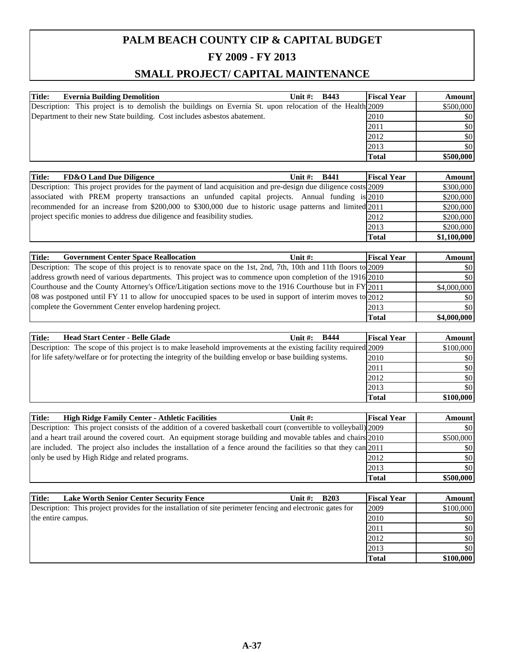| <b>Title:</b><br><b>Evernia Building Demolition</b>                                                      | Unit $\#$ : | <b>B443</b> | <b>Fiscal Year</b> | <b>Amount</b> |
|----------------------------------------------------------------------------------------------------------|-------------|-------------|--------------------|---------------|
| Description: This project is to demolish the buildings on Evernia St. upon relocation of the Health 2009 |             |             |                    | \$500,000     |
| Department to their new State building. Cost includes as bestos abatement.                               |             |             | 2010               | \$0           |
|                                                                                                          |             |             | 2011               | \$0           |
|                                                                                                          |             |             | 2012               | \$0           |
|                                                                                                          |             |             | 2013               | \$0           |
|                                                                                                          |             |             | <b>Total</b>       | \$500,000     |

| Title:<br><b>FD&amp;O Land Due Diligence</b><br><b>B441</b><br>Unit $\#$ :                                     | <b>Fiscal Year</b> | <b>Amount</b> |
|----------------------------------------------------------------------------------------------------------------|--------------------|---------------|
| Description: This project provides for the payment of land acquisition and pre-design due diligence costs 2009 |                    | \$300,000     |
| associated with PREM property transactions an unfunded capital projects. Annual funding is 2010                |                    | \$200,000     |
| recommended for an increase from \$200,000 to \$300,000 due to historic usage patterns and limited 2011        |                    | \$200,000     |
| project specific monies to address due diligence and feasibility studies.                                      | 2012               | \$200,000     |
|                                                                                                                | 2013               | \$200,000     |
|                                                                                                                | <b>Total</b>       | \$1,100,000   |

| <b>Government Center Space Reallocation</b><br>Title:                                                          | Unit $\#$ : | <b>Fiscal Year</b> | <b>Amount</b> |
|----------------------------------------------------------------------------------------------------------------|-------------|--------------------|---------------|
| Description: The scope of this project is to renovate space on the 1st, 2nd, 7th, 10th and 11th floors to 2009 |             |                    | \$0           |
| address growth need of various departments. This project was to commence upon completion of the 1916 2010      |             |                    | \$0           |
| Courthouse and the County Attorney's Office/Litigation sections move to the 1916 Courthouse but in FY 2011     |             |                    | \$4,000,000   |
| 08 was postponed until FY 11 to allow for unoccupied spaces to be used in support of interim moves to 2012     |             |                    | \$0           |
| complete the Government Center envelop hardening project.                                                      |             | 2013               | \$0           |
|                                                                                                                |             | <b>Total</b>       | \$4,000,000   |

| <b>Head Start Center - Belle Glade</b><br>Title:<br><b>B444</b><br>Unit $\#$ :                                  | <b>Fiscal Year</b> | <b>Amount</b> |
|-----------------------------------------------------------------------------------------------------------------|--------------------|---------------|
| Description: The scope of this project is to make leasehold improvements at the existing facility required 2009 |                    | \$100,000     |
| for life safety/welfare or for protecting the integrity of the building envelop or base building systems.       | 2010               | \$0           |
|                                                                                                                 | 2011               | \$0           |
|                                                                                                                 | 2012               | \$0           |
|                                                                                                                 | 2013               | \$0           |
|                                                                                                                 | <b>Total</b>       | \$100,000     |

| <b>Title:</b><br><b>High Ridge Family Center - Athletic Facilities</b><br>Unit $#$ :                              | <b>Fiscal Year</b> | <b>Amount</b> |
|-------------------------------------------------------------------------------------------------------------------|--------------------|---------------|
| Description: This project consists of the addition of a covered basketball court (convertible to volleyball) 2009 |                    | \$0           |
| and a heart trail around the covered court. An equipment storage building and movable tables and chairs 2010      |                    | \$500,000     |
| are included. The project also includes the installation of a fence around the facilities so that they can 2011   |                    | \$0           |
| only be used by High Ridge and related programs.                                                                  | 2012               | \$0           |
|                                                                                                                   | 2013               | \$0           |
|                                                                                                                   | <b>Total</b>       | \$500,000     |

| <b>Lake Worth Senior Center Security Fence</b><br><b>B203</b><br>Title:<br>Unit $\#$ :                     | <b>Fiscal Year</b> | <b>Amount</b> |
|------------------------------------------------------------------------------------------------------------|--------------------|---------------|
| Description: This project provides for the installation of site perimeter fencing and electronic gates for | 2009               | \$100,000     |
| the entire campus.                                                                                         | 2010               | \$0           |
|                                                                                                            | 2011               | \$0           |
|                                                                                                            | 2012               | \$0           |
|                                                                                                            | 2013               | \$0           |
|                                                                                                            | <b>Total</b>       | \$100,000     |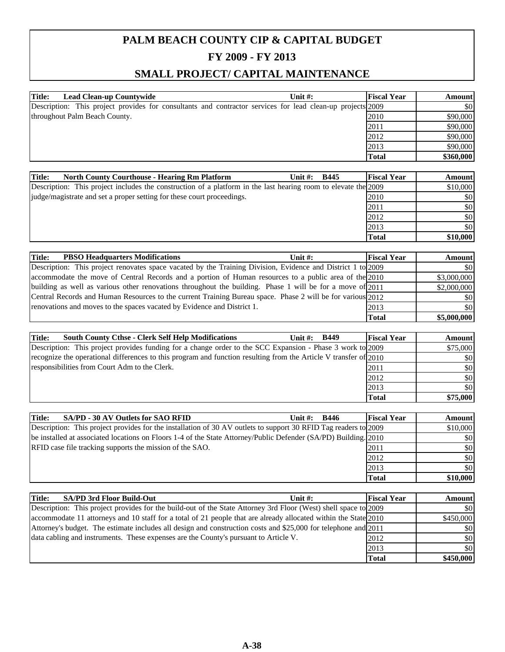| <b>Title:</b><br>Lead Clean-up Countywide                                                                  | Unit $#$ : | <b>Fiscal Year</b> | <b>Amount</b> |
|------------------------------------------------------------------------------------------------------------|------------|--------------------|---------------|
| Description: This project provides for consultants and contractor services for lead clean-up projects 2009 |            |                    | \$0           |
| throughout Palm Beach County.                                                                              |            | 2010               | \$90,000      |
|                                                                                                            |            | 2011               | \$90,000      |
|                                                                                                            |            | 2012               | \$90,000      |
|                                                                                                            |            | 2013               | \$90,000      |
|                                                                                                            |            | <b>Total</b>       | \$360,000     |

| <b>Title:</b><br><b>North County Courthouse - Hearing Rm Platform</b>                                          | Unit $\#$ : | <b>B445</b> | <b>Fiscal Year</b> | <b>Amount</b> |
|----------------------------------------------------------------------------------------------------------------|-------------|-------------|--------------------|---------------|
| Description: This project includes the construction of a platform in the last hearing room to elevate the 2009 |             |             |                    | \$10,000      |
| judge/magistrate and set a proper setting for these court proceedings.                                         |             |             | 2010               | \$0           |
|                                                                                                                |             |             | 2011               | \$0           |
|                                                                                                                |             |             | 2012               | \$0           |
|                                                                                                                |             |             | 2013               | \$0           |
|                                                                                                                |             |             | <b>Total</b>       | \$10,000      |

| Title:<br><b>PBSO Headquarters Modifications</b><br>Unit $\#$ :                                             | <b>Fiscal Year</b> | Amount      |
|-------------------------------------------------------------------------------------------------------------|--------------------|-------------|
| Description: This project renovates space vacated by the Training Division, Evidence and District 1 to 2009 |                    | \$0         |
| accommodate the move of Central Records and a portion of Human resources to a public area of the 2010       |                    | \$3,000,000 |
| building as well as various other renovations throughout the building. Phase 1 will be for a move of $2011$ |                    | \$2,000,000 |
| Central Records and Human Resources to the current Training Bureau space. Phase 2 will be for various 2012  |                    | \$0         |
| renovations and moves to the spaces vacated by Evidence and District 1.                                     | 2013               | \$0         |
|                                                                                                             | Total              | \$5,000,000 |

| Title:<br><b>South County Cthse - Clerk Self Help Modifications</b><br><b>B449</b><br>Unit $\#$ :                | <b>Fiscal Year</b> | <b>Amount</b> |
|------------------------------------------------------------------------------------------------------------------|--------------------|---------------|
| Description: This project provides funding for a change order to the SCC Expansion - Phase 3 work to 2009        |                    | \$75,000      |
| recognize the operational differences to this program and function resulting from the Article V transfer of 2010 |                    | \$0           |
| responsibilities from Court Adm to the Clerk.                                                                    | 2011               | \$0           |
|                                                                                                                  | 2012               | \$0           |
|                                                                                                                  | 2013               | \$0           |
|                                                                                                                  | <b>Total</b>       | \$75,000      |

| SA/PD - 30 AV Outlets for SAO RFID<br><b>Title:</b><br><b>B446</b><br>Unit #:                                   | <b>Fiscal Year</b> | <b>Amount</b> |
|-----------------------------------------------------------------------------------------------------------------|--------------------|---------------|
| Description: This project provides for the installation of 30 AV outlets to support 30 RFID Tag readers to 2009 |                    | \$10,000      |
| be installed at associated locations on Floors 1-4 of the State Attorney/Public Defender (SA/PD) Building. 2010 |                    | \$0           |
| RFID case file tracking supports the mission of the SAO.                                                        | 2011               | \$0           |
|                                                                                                                 | 2012               | \$0           |
|                                                                                                                 | 2013               | \$0           |
|                                                                                                                 | <b>Total</b>       | \$10,000      |

| <b>Title:</b> | <b>SA/PD 3rd Floor Build-Out</b>                                                                                | Unit $\#$ : | <b>Fiscal Year</b> | <b>Amount</b> |
|---------------|-----------------------------------------------------------------------------------------------------------------|-------------|--------------------|---------------|
|               | Description: This project provides for the build-out of the State Attorney 3rd Floor (West) shell space to 2009 |             |                    | \$0           |
|               | accommodate 11 attorneys and 10 staff for a total of 21 people that are already allocated within the State 2010 |             |                    | \$450,000     |
|               | Attorney's budget. The estimate includes all design and construction costs and \$25,000 for telephone and 2011  |             |                    | \$0           |
|               | data cabling and instruments. These expenses are the County's pursuant to Article V.                            |             | 2012               | \$0           |
|               |                                                                                                                 |             | 2013               | \$0           |
|               |                                                                                                                 |             | <b>Total</b>       | \$450,000     |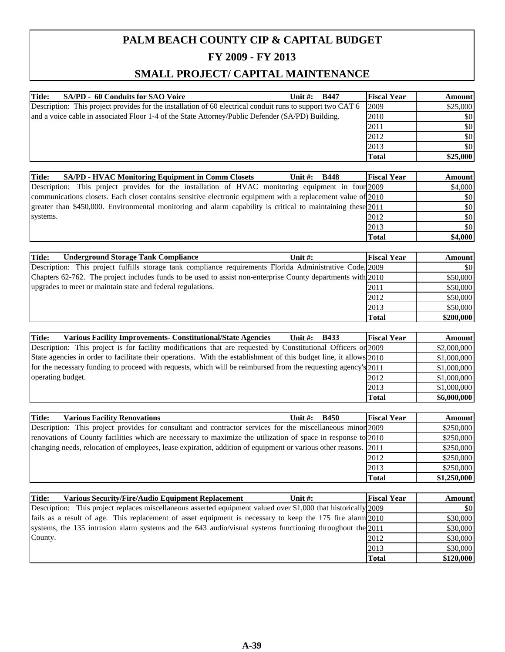| <b>Title:</b><br>SA/PD - 60 Conduits for SAO Voice                                                         | Unit $\#$ : | <b>B447</b> | <b>Fiscal Year</b> | <b>Amount</b> |
|------------------------------------------------------------------------------------------------------------|-------------|-------------|--------------------|---------------|
| Description: This project provides for the installation of 60 electrical conduit runs to support two CAT 6 |             |             | 2009               | \$25,000      |
| and a voice cable in associated Floor 1-4 of the State Attorney/Public Defender (SA/PD) Building.          |             |             | 2010               | \$0           |
|                                                                                                            |             |             | 2011               | \$0           |
|                                                                                                            |             |             | 2012               | \$0           |
|                                                                                                            |             |             | 2013               | \$0           |
|                                                                                                            |             |             | <b>Total</b>       | \$25,000      |

| Title:<br><b>SA/PD - HVAC Monitoring Equipment in Comm Closets</b><br><b>B448</b><br>Unit $\#$ :             | <b>Fiscal Year</b> | <b>Amount</b> |
|--------------------------------------------------------------------------------------------------------------|--------------------|---------------|
| Description: This project provides for the installation of HVAC monitoring equipment in four 2009            |                    | \$4,000       |
| communications closets. Each closet contains sensitive electronic equipment with a replacement value of 2010 |                    | \$0           |
| greater than \$450,000. Environmental monitoring and alarm capability is critical to maintaining these 2011  |                    | \$0           |
| systems.                                                                                                     | 2012               | \$0           |
|                                                                                                              | 2013               | \$0           |
|                                                                                                              | <b>Total</b>       | \$4,000       |

| <b>Underground Storage Tank Compliance</b><br>Title:<br>Unit $\#$ :                                          | <b>Fiscal Year</b> | <b>Amount</b> |
|--------------------------------------------------------------------------------------------------------------|--------------------|---------------|
| Description: This project fulfills storage tank compliance requirements Florida Administrative Code, 2009    |                    | \$0           |
| Chapters 62-762. The project includes funds to be used to assist non-enterprise County departments with 2010 |                    | \$50,000      |
| upgrades to meet or maintain state and federal regulations.                                                  | 2011               | \$50,000      |
|                                                                                                              | 2012               | \$50,000      |
|                                                                                                              | 2013               | \$50,000      |
|                                                                                                              | <b>Total</b>       | \$200,000     |

| <b>Various Facility Improvements- Constitutional/State Agencies</b><br>Title:<br><b>B433</b><br>Unit $\#$ :        | <b>Fiscal Year</b> | <b>Amount</b> |
|--------------------------------------------------------------------------------------------------------------------|--------------------|---------------|
| Description: This project is for facility modifications that are requested by Constitutional Officers or 2009      |                    | \$2,000,000   |
| State agencies in order to facilitate their operations. With the establishment of this budget line, it allows 2010 |                    | \$1,000,000   |
| for the necessary funding to proceed with requests, which will be reimbursed from the requesting agency's 2011     |                    | \$1,000,000   |
| operating budget.                                                                                                  | 2012               | \$1,000,000   |
|                                                                                                                    | 2013               | \$1,000,000   |
|                                                                                                                    | <b>Total</b>       | \$6,000,000   |

| Title:<br><b>Various Facility Renovations</b><br><b>B450</b><br>Unit $\#$ :                                      | <b>Fiscal Year</b> | <b>Amount</b> |
|------------------------------------------------------------------------------------------------------------------|--------------------|---------------|
| Description: This project provides for consultant and contractor services for the miscellaneous minor 2009       |                    | \$250,000     |
| renovations of County facilities which are necessary to maximize the utilization of space in response to 2010    |                    | \$250,000     |
| changing needs, relocation of employees, lease expiration, addition of equipment or various other reasons. [2011 |                    | \$250,000     |
|                                                                                                                  | 2012               | \$250,000     |
|                                                                                                                  | 2013               | \$250,000     |
|                                                                                                                  | <b>Total</b>       | \$1,250,000   |

| <b>Various Security/Fire/Audio Equipment Replacement</b><br>Title:<br>Unit $#$ :                               | <b>Fiscal Year</b> | <b>Amount</b> |
|----------------------------------------------------------------------------------------------------------------|--------------------|---------------|
| Description: This project replaces miscellaneous asserted equipment valued over \$1,000 that historically 2009 |                    | \$0           |
| fails as a result of age. This replacement of asset equipment is necessary to keep the 175 fire alarm 2010     |                    | \$30,000      |
| systems, the 135 intrusion alarm systems and the 643 audio/visual systems functioning throughout the $2011$    |                    | \$30,000      |
| County.                                                                                                        | 2012               | \$30,000      |
|                                                                                                                | 2013               | \$30,000      |
|                                                                                                                | <b>Total</b>       | \$120,000     |